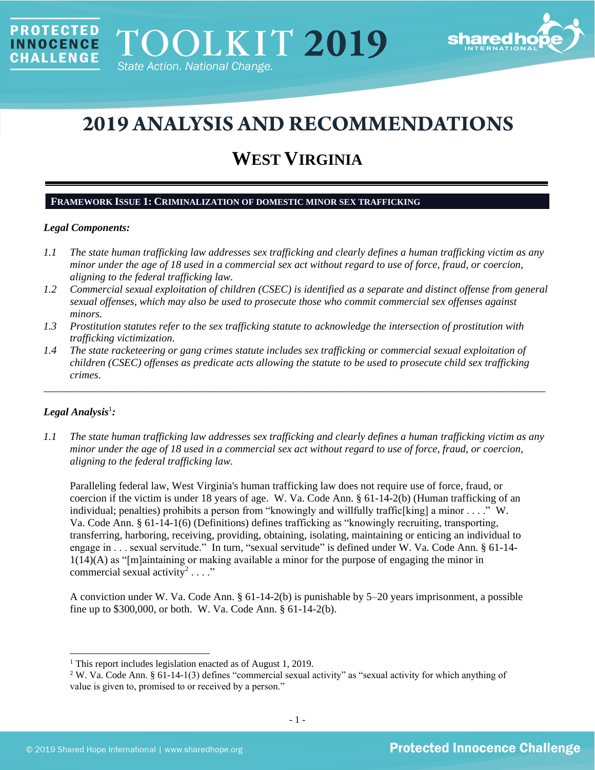

# **2019 ANALYSIS AND RECOMMENDATIONS**

## **WEST VIRGINIA**

#### **FRAMEWORK ISSUE 1: CRIMINALIZATION OF DOMESTIC MINOR SEX TRAFFICKING**

#### *Legal Components:*

**PROTECTED** 

**INNOCENCE CHALLENGE** 

- *1.1 The state human trafficking law addresses sex trafficking and clearly defines a human trafficking victim as any minor under the age of 18 used in a commercial sex act without regard to use of force, fraud, or coercion, aligning to the federal trafficking law.*
- *1.2 Commercial sexual exploitation of children (CSEC) is identified as a separate and distinct offense from general sexual offenses, which may also be used to prosecute those who commit commercial sex offenses against minors.*
- *1.3 Prostitution statutes refer to the sex trafficking statute to acknowledge the intersection of prostitution with trafficking victimization.*
- *1.4 The state racketeering or gang crimes statute includes sex trafficking or commercial sexual exploitation of children (CSEC) offenses as predicate acts allowing the statute to be used to prosecute child sex trafficking crimes.*

\_\_\_\_\_\_\_\_\_\_\_\_\_\_\_\_\_\_\_\_\_\_\_\_\_\_\_\_\_\_\_\_\_\_\_\_\_\_\_\_\_\_\_\_\_\_\_\_\_\_\_\_\_\_\_\_\_\_\_\_\_\_\_\_\_\_\_\_\_\_\_\_\_\_\_\_\_\_\_\_\_\_\_\_\_\_\_\_\_\_\_\_\_\_

## *Legal Analysis*<sup>1</sup> *:*

*1.1 The state human trafficking law addresses sex trafficking and clearly defines a human trafficking victim as any minor under the age of 18 used in a commercial sex act without regard to use of force, fraud, or coercion, aligning to the federal trafficking law.*

Paralleling federal law, West Virginia's human trafficking law does not require use of force, fraud, or coercion if the victim is under 18 years of age. W. Va. Code Ann. § 61-14-2(b) (Human trafficking of an individual; penalties) prohibits a person from "knowingly and willfully traffic[king] a minor  $\dots$ ." W. Va. Code Ann. § 61-14-1(6) (Definitions) defines trafficking as "knowingly recruiting, transporting, transferring, harboring, receiving, providing, obtaining, isolating, maintaining or enticing an individual to engage in . . . sexual servitude." In turn, "sexual servitude" is defined under W. Va. Code Ann. § 61-14- 1(14)(A) as "[m]aintaining or making available a minor for the purpose of engaging the minor in commercial sexual activity<sup>2</sup>...."

A conviction under W. Va. Code Ann. § 61-14-2(b) is punishable by 5–20 years imprisonment, a possible fine up to \$300,000, or both. W. Va. Code Ann. § 61-14-2(b).

<sup>1</sup> This report includes legislation enacted as of August 1, 2019.

<sup>2</sup> W. Va. Code Ann. § 61-14-1(3) defines "commercial sexual activity" as "sexual activity for which anything of value is given to, promised to or received by a person."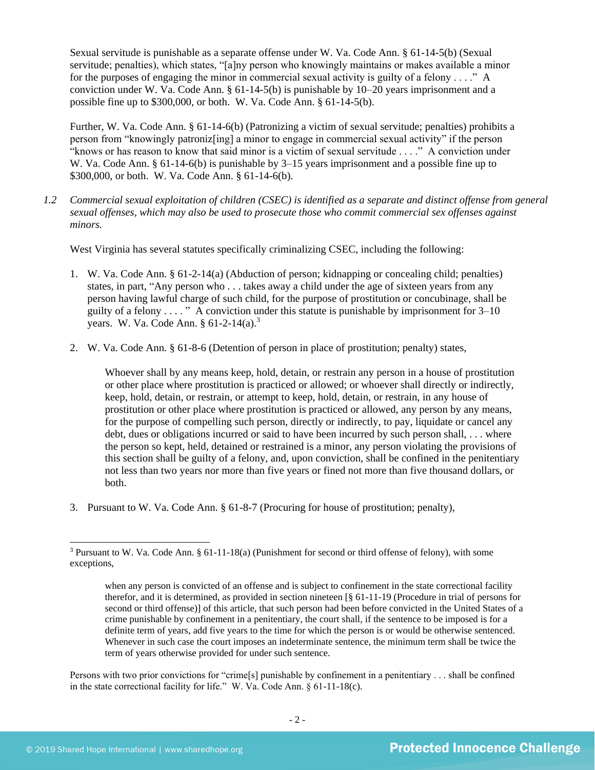Sexual servitude is punishable as a separate offense under W. Va. Code Ann. § 61-14-5(b) (Sexual servitude; penalties), which states, "[a]ny person who knowingly maintains or makes available a minor for the purposes of engaging the minor in commercial sexual activity is guilty of a felony . . . ." A conviction under W. Va. Code Ann. § 61-14-5(b) is punishable by 10–20 years imprisonment and a possible fine up to \$300,000, or both. W. Va. Code Ann. § 61-14-5(b).

Further, W. Va. Code Ann. § 61-14-6(b) (Patronizing a victim of sexual servitude; penalties) prohibits a person from "knowingly patroniz[ing] a minor to engage in commercial sexual activity" if the person "knows or has reason to know that said minor is a victim of sexual servitude . . . ." A conviction under W. Va. Code Ann. § 61-14-6(b) is punishable by 3–15 years imprisonment and a possible fine up to \$300,000, or both. W. Va. Code Ann. § 61-14-6(b).

<span id="page-1-0"></span>*1.2 Commercial sexual exploitation of children (CSEC) is identified as a separate and distinct offense from general sexual offenses, which may also be used to prosecute those who commit commercial sex offenses against minors.*

West Virginia has several statutes specifically criminalizing CSEC, including the following:

- 1. W. Va. Code Ann. § 61-2-14(a) (Abduction of person; kidnapping or concealing child; penalties) states, in part, "Any person who . . . takes away a child under the age of sixteen years from any person having lawful charge of such child, for the purpose of prostitution or concubinage, shall be guilty of a felony  $\dots$  " A conviction under this statute is punishable by imprisonment for  $3-10$ years. W. Va. Code Ann. § 61-2-14(a).<sup>3</sup>
- 2. W. Va. Code Ann. § 61-8-6 (Detention of person in place of prostitution; penalty) states,

Whoever shall by any means keep, hold, detain, or restrain any person in a house of prostitution or other place where prostitution is practiced or allowed; or whoever shall directly or indirectly, keep, hold, detain, or restrain, or attempt to keep, hold, detain, or restrain, in any house of prostitution or other place where prostitution is practiced or allowed, any person by any means, for the purpose of compelling such person, directly or indirectly, to pay, liquidate or cancel any debt, dues or obligations incurred or said to have been incurred by such person shall, . . . where the person so kept, held, detained or restrained is a minor, any person violating the provisions of this section shall be guilty of a felony, and, upon conviction, shall be confined in the penitentiary not less than two years nor more than five years or fined not more than five thousand dollars, or both.

3. Pursuant to W. Va. Code Ann. § 61-8-7 (Procuring for house of prostitution; penalty),

Persons with two prior convictions for "crime[s] punishable by confinement in a penitentiary . . . shall be confined in the state correctional facility for life." W. Va. Code Ann. § 61-11-18(c).

<sup>3</sup> Pursuant to W. Va. Code Ann. § 61-11-18(a) (Punishment for second or third offense of felony), with some exceptions,

when any person is convicted of an offense and is subject to confinement in the state correctional facility therefor, and it is determined, as provided in section nineteen [§ 61-11-19 (Procedure in trial of persons for second or third offense)] of this article, that such person had been before convicted in the United States of a crime punishable by confinement in a penitentiary, the court shall, if the sentence to be imposed is for a definite term of years, add five years to the time for which the person is or would be otherwise sentenced. Whenever in such case the court imposes an indeterminate sentence, the minimum term shall be twice the term of years otherwise provided for under such sentence.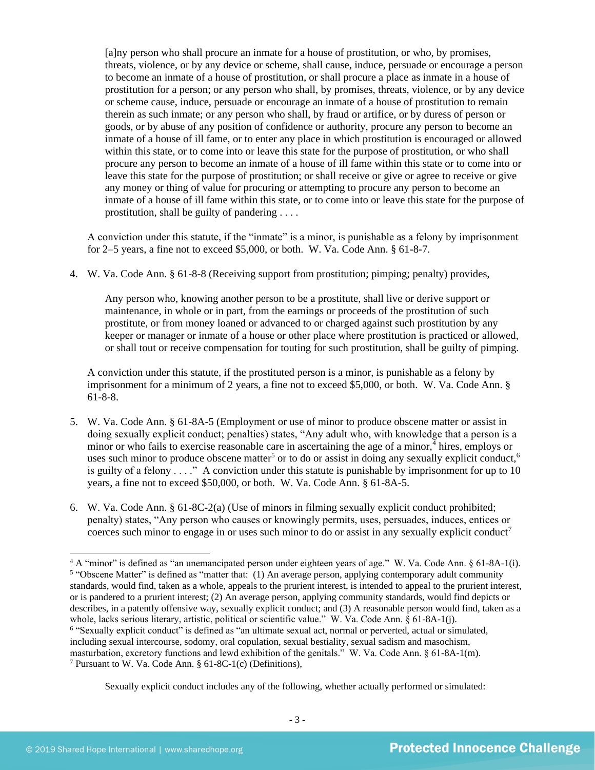[a]ny person who shall procure an inmate for a house of prostitution, or who, by promises, threats, violence, or by any device or scheme, shall cause, induce, persuade or encourage a person to become an inmate of a house of prostitution, or shall procure a place as inmate in a house of prostitution for a person; or any person who shall, by promises, threats, violence, or by any device or scheme cause, induce, persuade or encourage an inmate of a house of prostitution to remain therein as such inmate; or any person who shall, by fraud or artifice, or by duress of person or goods, or by abuse of any position of confidence or authority, procure any person to become an inmate of a house of ill fame, or to enter any place in which prostitution is encouraged or allowed within this state, or to come into or leave this state for the purpose of prostitution, or who shall procure any person to become an inmate of a house of ill fame within this state or to come into or leave this state for the purpose of prostitution; or shall receive or give or agree to receive or give any money or thing of value for procuring or attempting to procure any person to become an inmate of a house of ill fame within this state, or to come into or leave this state for the purpose of prostitution, shall be guilty of pandering . . . .

A conviction under this statute, if the "inmate" is a minor, is punishable as a felony by imprisonment for 2–5 years, a fine not to exceed \$5,000, or both. W. Va. Code Ann. § 61-8-7.

4. W. Va. Code Ann. § 61-8-8 (Receiving support from prostitution; pimping; penalty) provides,

Any person who, knowing another person to be a prostitute, shall live or derive support or maintenance, in whole or in part, from the earnings or proceeds of the prostitution of such prostitute, or from money loaned or advanced to or charged against such prostitution by any keeper or manager or inmate of a house or other place where prostitution is practiced or allowed, or shall tout or receive compensation for touting for such prostitution, shall be guilty of pimping.

<span id="page-2-1"></span><span id="page-2-0"></span>A conviction under this statute, if the prostituted person is a minor, is punishable as a felony by imprisonment for a minimum of 2 years, a fine not to exceed \$5,000, or both. W. Va. Code Ann. § 61-8-8.

- 5. W. Va. Code Ann. § 61-8A-5 (Employment or use of minor to produce obscene matter or assist in doing sexually explicit conduct; penalties) states, "Any adult who, with knowledge that a person is a minor or who fails to exercise reasonable care in ascertaining the age of a minor, $\frac{1}{4}$  hires, employs or uses such minor to produce obscene matter<sup>5</sup> or to do or assist in doing any sexually explicit conduct,<sup>6</sup> is guilty of a felony  $\dots$ ." A conviction under this statute is punishable by imprisonment for up to 10 years, a fine not to exceed \$50,000, or both. W. Va. Code Ann. § 61-8A-5.
- 6. W. Va. Code Ann. § 61-8C-2(a) (Use of minors in filming sexually explicit conduct prohibited; penalty) states, "Any person who causes or knowingly permits, uses, persuades, induces, entices or coerces such minor to engage in or uses such minor to do or assist in any sexually explicit conduct<sup>7</sup>

<span id="page-2-2"></span>Sexually explicit conduct includes any of the following, whether actually performed or simulated:

<sup>4</sup> A "minor" is defined as "an unemancipated person under eighteen years of age." W. Va. Code Ann. § 61-8A-1(i). <sup>5</sup> "Obscene Matter" is defined as "matter that: (1) An average person, applying contemporary adult community standards, would find, taken as a whole, appeals to the prurient interest, is intended to appeal to the prurient interest, or is pandered to a prurient interest; (2) An average person, applying community standards, would find depicts or describes, in a patently offensive way, sexually explicit conduct; and (3) A reasonable person would find, taken as a whole, lacks serious literary, artistic, political or scientific value." W. Va. Code Ann. § 61-8A-1(j). 6 "Sexually explicit conduct" is defined as "an ultimate sexual act, normal or perverted, actual or simulated, including sexual intercourse, sodomy, oral copulation, sexual bestiality, sexual sadism and masochism, masturbation, excretory functions and lewd exhibition of the genitals." W. Va. Code Ann. § 61-8A-1(m). <sup>7</sup> Pursuant to W. Va. Code Ann. § 61-8C-1(c) (Definitions),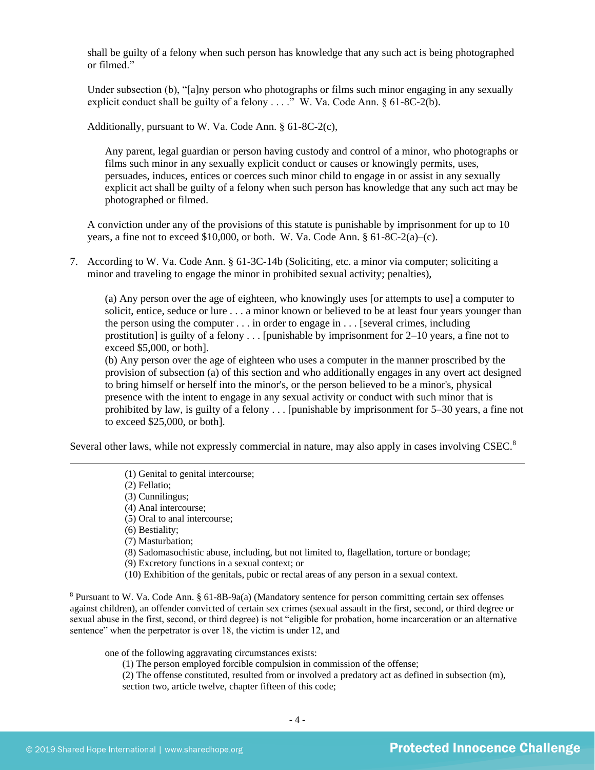shall be guilty of a felony when such person has knowledge that any such act is being photographed or filmed."

Under subsection (b), "[a]ny person who photographs or films such minor engaging in any sexually explicit conduct shall be guilty of a felony  $\dots$ ." W. Va. Code Ann. § 61-8C-2(b).

Additionally, pursuant to W. Va. Code Ann. § 61-8C-2(c),

Any parent, legal guardian or person having custody and control of a minor, who photographs or films such minor in any sexually explicit conduct or causes or knowingly permits, uses, persuades, induces, entices or coerces such minor child to engage in or assist in any sexually explicit act shall be guilty of a felony when such person has knowledge that any such act may be photographed or filmed.

A conviction under any of the provisions of this statute is punishable by imprisonment for up to 10 years, a fine not to exceed \$10,000, or both. W. Va. Code Ann.  $§ 61-8C-2(a)-(c)$ .

7. According to W. Va. Code Ann. § 61-3C-14b (Soliciting, etc. a minor via computer; soliciting a minor and traveling to engage the minor in prohibited sexual activity; penalties),

(a) Any person over the age of eighteen, who knowingly uses [or attempts to use] a computer to solicit, entice, seduce or lure . . . a minor known or believed to be at least four years younger than the person using the computer . . . in order to engage in . . . [several crimes, including prostitution] is guilty of a felony  $\dots$  [punishable by imprisonment for 2–10 years, a fine not to exceed \$5,000, or both].

(b) Any person over the age of eighteen who uses a computer in the manner proscribed by the provision of subsection (a) of this section and who additionally engages in any overt act designed to bring himself or herself into the minor's, or the person believed to be a minor's, physical presence with the intent to engage in any sexual activity or conduct with such minor that is prohibited by law, is guilty of a felony . . . [punishable by imprisonment for 5–30 years, a fine not to exceed \$25,000, or both].

Several other laws, while not expressly commercial in nature, may also apply in cases involving CSEC.<sup>8</sup>

- (1) Genital to genital intercourse;
- (2) Fellatio;
- (3) Cunnilingus;
- (4) Anal intercourse;
- (5) Oral to anal intercourse;
- (6) Bestiality;
- (7) Masturbation;
- (8) Sadomasochistic abuse, including, but not limited to, flagellation, torture or bondage;
- (9) Excretory functions in a sexual context; or
- (10) Exhibition of the genitals, pubic or rectal areas of any person in a sexual context.

<sup>8</sup> Pursuant to W. Va. Code Ann. § 61-8B-9a(a) (Mandatory sentence for person committing certain sex offenses against children), an offender convicted of certain sex crimes (sexual assault in the first, second, or third degree or sexual abuse in the first, second, or third degree) is not "eligible for probation, home incarceration or an alternative sentence" when the perpetrator is over 18, the victim is under 12, and

one of the following aggravating circumstances exists:

- (1) The person employed forcible compulsion in commission of the offense;
- (2) The offense constituted, resulted from or involved a predatory act as defined in subsection (m), section two, article twelve, chapter fifteen of this code;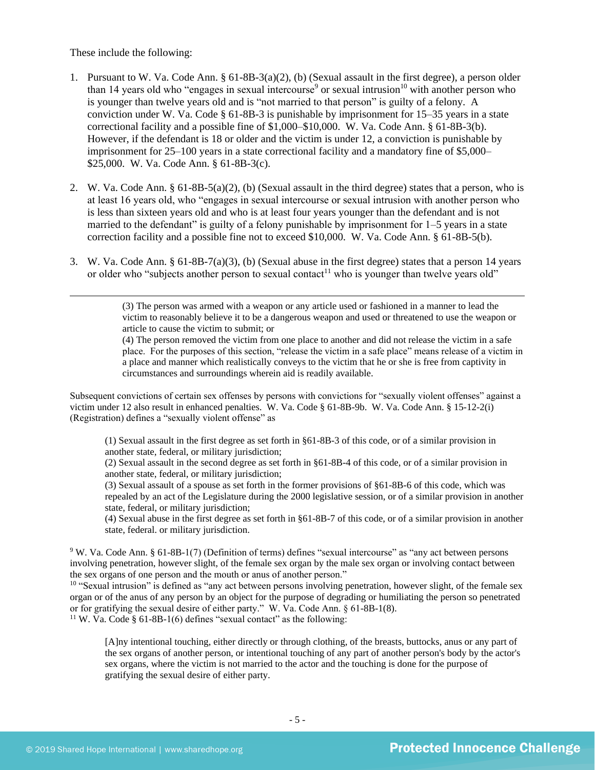These include the following:

- 1. Pursuant to W. Va. Code Ann. § 61-8B-3(a)(2), (b) (Sexual assault in the first degree), a person older than 14 years old who "engages in sexual intercourse<sup>9</sup> or sexual intrusion<sup>10</sup> with another person who is younger than twelve years old and is "not married to that person" is guilty of a felony. A conviction under W. Va. Code § 61-8B-3 is punishable by imprisonment for 15–35 years in a state correctional facility and a possible fine of \$1,000–\$10,000. W. Va. Code Ann. § 61-8B-3(b). However, if the defendant is 18 or older and the victim is under 12, a conviction is punishable by imprisonment for 25–100 years in a state correctional facility and a mandatory fine of \$5,000– \$25,000. W. Va. Code Ann. § 61-8B-3(c).
- 2. W. Va. Code Ann. § 61-8B-5(a)(2), (b) (Sexual assault in the third degree) states that a person, who is at least 16 years old, who "engages in sexual intercourse or sexual intrusion with another person who is less than sixteen years old and who is at least four years younger than the defendant and is not married to the defendant" is guilty of a felony punishable by imprisonment for 1–5 years in a state correction facility and a possible fine not to exceed \$10,000. W. Va. Code Ann. § 61-8B-5(b).
- 3. W. Va. Code Ann. § 61-8B-7(a)(3), (b) (Sexual abuse in the first degree) states that a person 14 years or older who "subjects another person to sexual contact<sup>11</sup> who is younger than twelve years old"

(3) The person was armed with a weapon or any article used or fashioned in a manner to lead the victim to reasonably believe it to be a dangerous weapon and used or threatened to use the weapon or article to cause the victim to submit; or

(4) The person removed the victim from one place to another and did not release the victim in a safe place. For the purposes of this section, "release the victim in a safe place" means release of a victim in a place and manner which realistically conveys to the victim that he or she is free from captivity in circumstances and surroundings wherein aid is readily available.

Subsequent convictions of certain sex offenses by persons with convictions for "sexually violent offenses" against a victim under 12 also result in enhanced penalties. W. Va. Code § 61-8B-9b. W. Va. Code Ann. § 15-12-2(i) (Registration) defines a "sexually violent offense" as

(1) Sexual assault in the first degree as set forth in §61-8B-3 of this code, or of a similar provision in another state, federal, or military jurisdiction;

(2) Sexual assault in the second degree as set forth in §61-8B-4 of this code, or of a similar provision in another state, federal, or military jurisdiction;

(3) Sexual assault of a spouse as set forth in the former provisions of §61-8B-6 of this code, which was repealed by an act of the Legislature during the 2000 legislative session, or of a similar provision in another state, federal, or military jurisdiction;

(4) Sexual abuse in the first degree as set forth in §61-8B-7 of this code, or of a similar provision in another state, federal. or military jurisdiction.

<sup>9</sup> W. Va. Code Ann. § 61-8B-1(7) (Definition of terms) defines "sexual intercourse" as "any act between persons involving penetration, however slight, of the female sex organ by the male sex organ or involving contact between the sex organs of one person and the mouth or anus of another person."

<sup>10</sup> "Sexual intrusion" is defined as "any act between persons involving penetration, however slight, of the female sex organ or of the anus of any person by an object for the purpose of degrading or humiliating the person so penetrated or for gratifying the sexual desire of either party." W. Va. Code Ann. § 61-8B-1(8). <sup>11</sup> W. Va. Code § 61-8B-1(6) defines "sexual contact" as the following:

[A]ny intentional touching, either directly or through clothing, of the breasts, buttocks, anus or any part of the sex organs of another person, or intentional touching of any part of another person's body by the actor's sex organs, where the victim is not married to the actor and the touching is done for the purpose of gratifying the sexual desire of either party.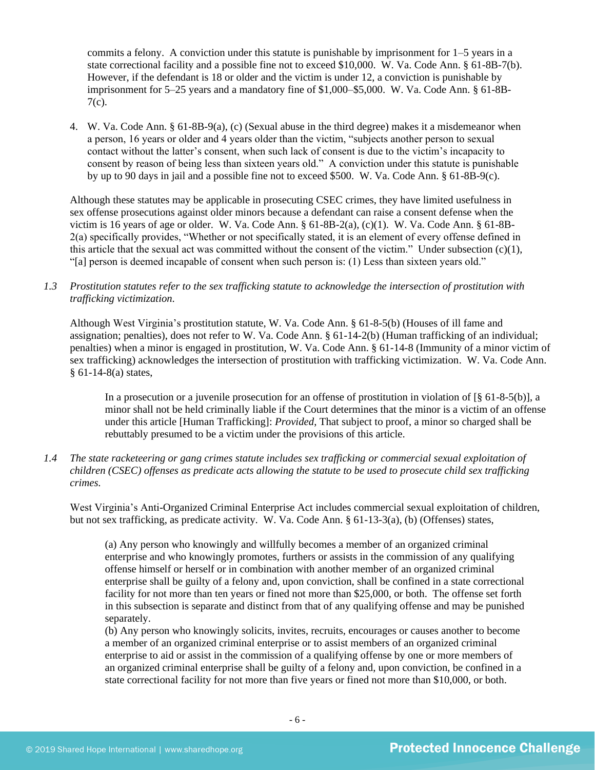commits a felony. A conviction under this statute is punishable by imprisonment for 1–5 years in a state correctional facility and a possible fine not to exceed \$10,000. W. Va. Code Ann. § 61-8B-7(b). However, if the defendant is 18 or older and the victim is under 12, a conviction is punishable by imprisonment for 5–25 years and a mandatory fine of \$1,000–\$5,000. W. Va. Code Ann. § 61-8B-7(c).

4. W. Va. Code Ann. § 61-8B-9(a), (c) (Sexual abuse in the third degree) makes it a misdemeanor when a person, 16 years or older and 4 years older than the victim, "subjects another person to sexual contact without the latter's consent, when such lack of consent is due to the victim's incapacity to consent by reason of being less than sixteen years old." A conviction under this statute is punishable by up to 90 days in jail and a possible fine not to exceed \$500. W. Va. Code Ann. § 61-8B-9(c).

Although these statutes may be applicable in prosecuting CSEC crimes, they have limited usefulness in sex offense prosecutions against older minors because a defendant can raise a consent defense when the victim is 16 years of age or older. W. Va. Code Ann. § 61-8B-2(a), (c)(1). W. Va. Code Ann. § 61-8B-2(a) specifically provides, "Whether or not specifically stated, it is an element of every offense defined in this article that the sexual act was committed without the consent of the victim." Under subsection (c)(1), "[a] person is deemed incapable of consent when such person is: (1) Less than sixteen years old."

## *1.3 Prostitution statutes refer to the sex trafficking statute to acknowledge the intersection of prostitution with trafficking victimization.*

Although West Virginia's prostitution statute, W. Va. Code Ann. § 61-8-5(b) (Houses of ill fame and assignation; penalties), does not refer to W. Va. Code Ann. § 61-14-2(b) (Human trafficking of an individual; penalties) when a minor is engaged in prostitution, W. Va. Code Ann. § 61-14-8 (Immunity of a minor victim of sex trafficking) acknowledges the intersection of prostitution with trafficking victimization. W. Va. Code Ann. § 61-14-8(a) states,

In a prosecution or a juvenile prosecution for an offense of prostitution in violation of  $\lbrack 8\ 61-8-5(b)\rbrack$ , a minor shall not be held criminally liable if the Court determines that the minor is a victim of an offense under this article [Human Trafficking]: *Provided*, That subject to proof, a minor so charged shall be rebuttably presumed to be a victim under the provisions of this article.

*1.4 The state racketeering or gang crimes statute includes sex trafficking or commercial sexual exploitation of children (CSEC) offenses as predicate acts allowing the statute to be used to prosecute child sex trafficking crimes.* 

West Virginia's Anti-Organized Criminal Enterprise Act includes commercial sexual exploitation of children, but not sex trafficking, as predicate activity. W. Va. Code Ann. § 61-13-3(a), (b) (Offenses) states,

(a) Any person who knowingly and willfully becomes a member of an organized criminal enterprise and who knowingly promotes, furthers or assists in the commission of any qualifying offense himself or herself or in combination with another member of an organized criminal enterprise shall be guilty of a felony and, upon conviction, shall be confined in a state correctional facility for not more than ten years or fined not more than \$25,000, or both. The offense set forth in this subsection is separate and distinct from that of any qualifying offense and may be punished separately.

(b) Any person who knowingly solicits, invites, recruits, encourages or causes another to become a member of an organized criminal enterprise or to assist members of an organized criminal enterprise to aid or assist in the commission of a qualifying offense by one or more members of an organized criminal enterprise shall be guilty of a felony and, upon conviction, be confined in a state correctional facility for not more than five years or fined not more than \$10,000, or both.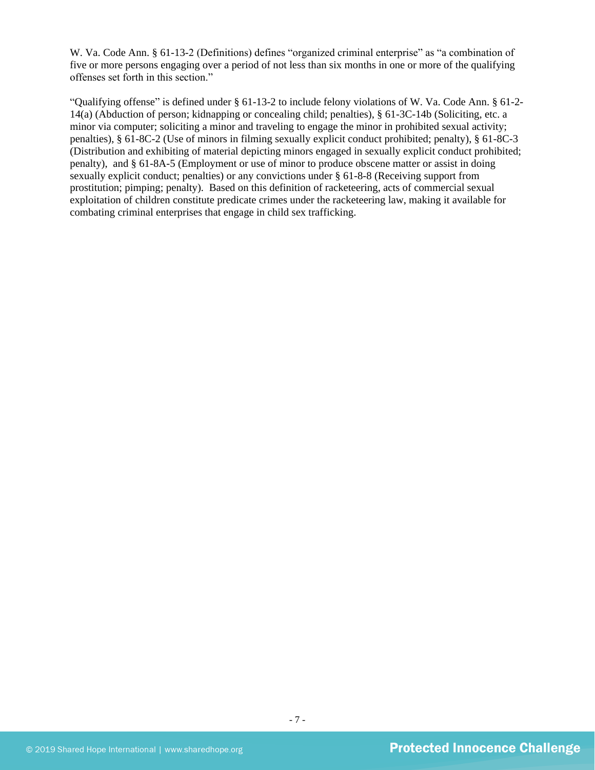W. Va. Code Ann. § 61-13-2 (Definitions) defines "organized criminal enterprise" as "a combination of five or more persons engaging over a period of not less than six months in one or more of the qualifying offenses set forth in this section."

"Qualifying offense" is defined under § 61-13-2 to include felony violations of W. Va. Code Ann. § 61-2- 14(a) (Abduction of person; kidnapping or concealing child; penalties), § 61-3C-14b (Soliciting, etc. a minor via computer; soliciting a minor and traveling to engage the minor in prohibited sexual activity; penalties), § 61-8C-2 (Use of minors in filming sexually explicit conduct prohibited; penalty), § 61-8C-3 (Distribution and exhibiting of material depicting minors engaged in sexually explicit conduct prohibited; penalty), and § 61-8A-5 (Employment or use of minor to produce obscene matter or assist in doing sexually explicit conduct; penalties) or any convictions under § 61-8-8 (Receiving support from prostitution; pimping; penalty). Based on this definition of racketeering, acts of commercial sexual exploitation of children constitute predicate crimes under the racketeering law, making it available for combating criminal enterprises that engage in child sex trafficking.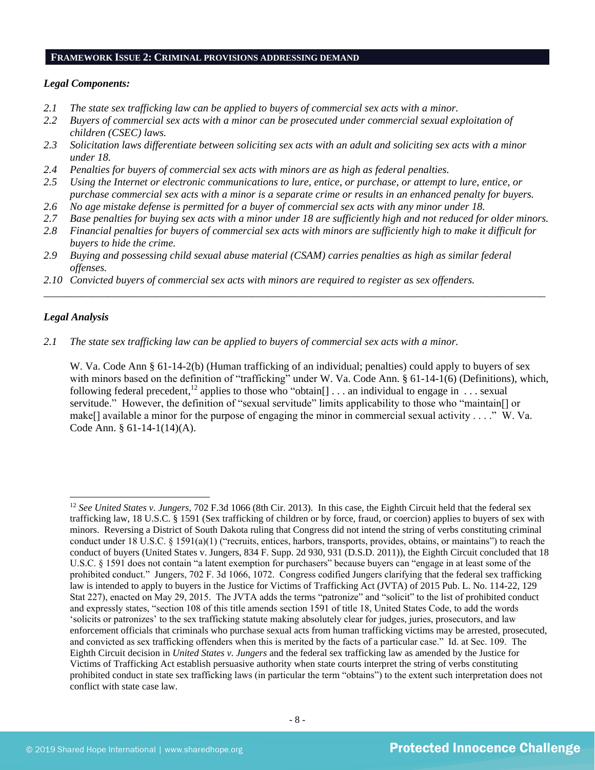#### **FRAMEWORK ISSUE 2: CRIMINAL PROVISIONS ADDRESSING DEMAND**

#### *Legal Components:*

- *2.1 The state sex trafficking law can be applied to buyers of commercial sex acts with a minor.*
- *2.2 Buyers of commercial sex acts with a minor can be prosecuted under commercial sexual exploitation of children (CSEC) laws.*
- *2.3 Solicitation laws differentiate between soliciting sex acts with an adult and soliciting sex acts with a minor under 18.*
- *2.4 Penalties for buyers of commercial sex acts with minors are as high as federal penalties.*
- *2.5 Using the Internet or electronic communications to lure, entice, or purchase, or attempt to lure, entice, or purchase commercial sex acts with a minor is a separate crime or results in an enhanced penalty for buyers.*
- *2.6 No age mistake defense is permitted for a buyer of commercial sex acts with any minor under 18.*
- *2.7 Base penalties for buying sex acts with a minor under 18 are sufficiently high and not reduced for older minors.*
- *2.8 Financial penalties for buyers of commercial sex acts with minors are sufficiently high to make it difficult for buyers to hide the crime.*

\_\_\_\_\_\_\_\_\_\_\_\_\_\_\_\_\_\_\_\_\_\_\_\_\_\_\_\_\_\_\_\_\_\_\_\_\_\_\_\_\_\_\_\_\_\_\_\_\_\_\_\_\_\_\_\_\_\_\_\_\_\_\_\_\_\_\_\_\_\_\_\_\_\_\_\_\_\_\_\_\_\_\_\_\_\_\_\_\_\_\_\_\_\_

- *2.9 Buying and possessing child sexual abuse material (CSAM) carries penalties as high as similar federal offenses.*
- *2.10 Convicted buyers of commercial sex acts with minors are required to register as sex offenders.*

## *Legal Analysis*

*2.1 The state sex trafficking law can be applied to buyers of commercial sex acts with a minor.*

W. Va. Code Ann § 61-14-2(b) (Human trafficking of an individual; penalties) could apply to buyers of sex with minors based on the definition of "trafficking" under W. Va. Code Ann. § 61-14-1(6) (Definitions), which, following federal precedent,<sup>12</sup> applies to those who "obtain[] . . . an individual to engage in . . . sexual servitude." However, the definition of "sexual servitude" limits applicability to those who "maintain[] or make[] available a minor for the purpose of engaging the minor in commercial sexual activity . . . ." W. Va. Code Ann. § 61-14-1(14)(A).

<sup>12</sup> *See United States v. Jungers*, 702 F.3d 1066 (8th Cir. 2013). In this case, the Eighth Circuit held that the federal sex trafficking law, 18 U.S.C. § 1591 (Sex trafficking of children or by force, fraud, or coercion) applies to buyers of sex with minors. Reversing a District of South Dakota ruling that Congress did not intend the string of verbs constituting criminal conduct under 18 U.S.C. § 1591(a)(1) ("recruits, entices, harbors, transports, provides, obtains, or maintains") to reach the conduct of buyers (United States v. Jungers, 834 F. Supp. 2d 930, 931 (D.S.D. 2011)), the Eighth Circuit concluded that 18 U.S.C. § 1591 does not contain "a latent exemption for purchasers" because buyers can "engage in at least some of the prohibited conduct." Jungers, 702 F. 3d 1066, 1072. Congress codified Jungers clarifying that the federal sex trafficking law is intended to apply to buyers in the Justice for Victims of Trafficking Act (JVTA) of 2015 Pub. L. No. 114-22, 129 Stat 227), enacted on May 29, 2015. The JVTA adds the terms "patronize" and "solicit" to the list of prohibited conduct and expressly states, "section 108 of this title amends section 1591 of title 18, United States Code, to add the words 'solicits or patronizes' to the sex trafficking statute making absolutely clear for judges, juries, prosecutors, and law enforcement officials that criminals who purchase sexual acts from human trafficking victims may be arrested, prosecuted, and convicted as sex trafficking offenders when this is merited by the facts of a particular case." Id. at Sec. 109. The Eighth Circuit decision in *United States v. Jungers* and the federal sex trafficking law as amended by the Justice for Victims of Trafficking Act establish persuasive authority when state courts interpret the string of verbs constituting prohibited conduct in state sex trafficking laws (in particular the term "obtains") to the extent such interpretation does not conflict with state case law.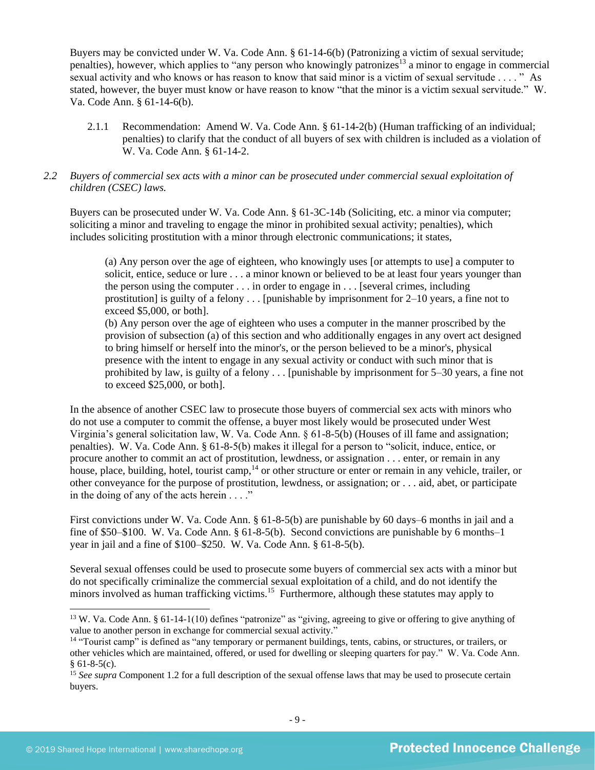Buyers may be convicted under W. Va. Code Ann. § 61-14-6(b) (Patronizing a victim of sexual servitude; penalties), however, which applies to "any person who knowingly patronizes<sup>13</sup> a minor to engage in commercial sexual activity and who knows or has reason to know that said minor is a victim of sexual servitude . . . . " As stated, however, the buyer must know or have reason to know "that the minor is a victim sexual servitude." W. Va. Code Ann. § 61-14-6(b).

2.1.1 Recommendation: Amend W. Va. Code Ann. § 61-14-2(b) (Human trafficking of an individual; penalties) to clarify that the conduct of all buyers of sex with children is included as a violation of W. Va. Code Ann. § 61-14-2.

## *2.2 Buyers of commercial sex acts with a minor can be prosecuted under commercial sexual exploitation of children (CSEC) laws.*

Buyers can be prosecuted under W. Va. Code Ann. § 61-3C-14b (Soliciting, etc. a minor via computer; soliciting a minor and traveling to engage the minor in prohibited sexual activity; penalties), which includes soliciting prostitution with a minor through electronic communications; it states,

(a) Any person over the age of eighteen, who knowingly uses [or attempts to use] a computer to solicit, entice, seduce or lure . . . a minor known or believed to be at least four years younger than the person using the computer . . . in order to engage in . . . [several crimes, including prostitution] is guilty of a felony  $\dots$  [punishable by imprisonment for 2–10 years, a fine not to exceed \$5,000, or both].

(b) Any person over the age of eighteen who uses a computer in the manner proscribed by the provision of subsection (a) of this section and who additionally engages in any overt act designed to bring himself or herself into the minor's, or the person believed to be a minor's, physical presence with the intent to engage in any sexual activity or conduct with such minor that is prohibited by law, is guilty of a felony . . . [punishable by imprisonment for 5–30 years, a fine not to exceed \$25,000, or both].

In the absence of another CSEC law to prosecute those buyers of commercial sex acts with minors who do not use a computer to commit the offense, a buyer most likely would be prosecuted under West Virginia's general solicitation law, W. Va. Code Ann. § 61-8-5(b) (Houses of ill fame and assignation; penalties). W. Va. Code Ann. § 61-8-5(b) makes it illegal for a person to "solicit, induce, entice, or procure another to commit an act of prostitution, lewdness, or assignation . . . enter, or remain in any house, place, building, hotel, tourist camp,<sup>14</sup> or other structure or enter or remain in any vehicle, trailer, or other conveyance for the purpose of prostitution, lewdness, or assignation; or . . . aid, abet, or participate in the doing of any of the acts herein  $\dots$ ."

First convictions under W. Va. Code Ann. § 61-8-5(b) are punishable by 60 days–6 months in jail and a fine of \$50–\$100. W. Va. Code Ann. § 61-8-5(b). Second convictions are punishable by 6 months–1 year in jail and a fine of \$100–\$250. W. Va. Code Ann. § 61-8-5(b).

Several sexual offenses could be used to prosecute some buyers of commercial sex acts with a minor but do not specifically criminalize the commercial sexual exploitation of a child, and do not identify the minors involved as human trafficking victims.<sup>15</sup> Furthermore, although these statutes may apply to

<sup>&</sup>lt;sup>13</sup> W. Va. Code Ann. § 61-14-1(10) defines "patronize" as "giving, agreeing to give or offering to give anything of value to another person in exchange for commercial sexual activity."

<sup>&</sup>lt;sup>14</sup> "Tourist camp" is defined as "any temporary or permanent buildings, tents, cabins, or structures, or trailers, or other vehicles which are maintained, offered, or used for dwelling or sleeping quarters for pay." W. Va. Code Ann.  $§ 61-8-5(c).$ 

<sup>&</sup>lt;sup>15</sup> *See supra* Component 1.2 for a full description of the sexual offense laws that may be used to prosecute certain buyers.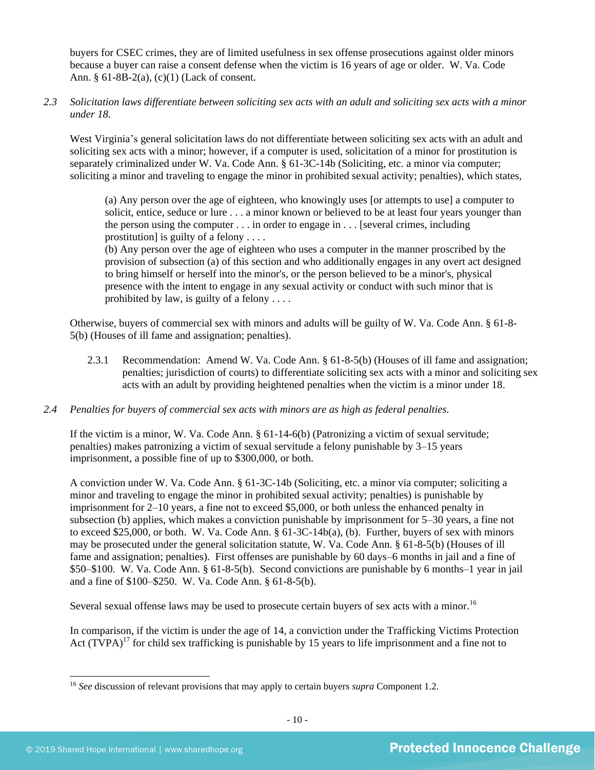buyers for CSEC crimes, they are of limited usefulness in sex offense prosecutions against older minors because a buyer can raise a consent defense when the victim is 16 years of age or older. W. Va. Code Ann. § 61-8B-2(a), (c)(1) (Lack of consent.

*2.3 Solicitation laws differentiate between soliciting sex acts with an adult and soliciting sex acts with a minor under 18.*

West Virginia's general solicitation laws do not differentiate between soliciting sex acts with an adult and soliciting sex acts with a minor; however, if a computer is used, solicitation of a minor for prostitution is separately criminalized under W. Va. Code Ann. § 61-3C-14b (Soliciting, etc. a minor via computer; soliciting a minor and traveling to engage the minor in prohibited sexual activity; penalties), which states,

(a) Any person over the age of eighteen, who knowingly uses [or attempts to use] a computer to solicit, entice, seduce or lure . . . a minor known or believed to be at least four years younger than the person using the computer . . . in order to engage in . . . [several crimes, including prostitution] is guilty of a felony  $\dots$ 

(b) Any person over the age of eighteen who uses a computer in the manner proscribed by the provision of subsection (a) of this section and who additionally engages in any overt act designed to bring himself or herself into the minor's, or the person believed to be a minor's, physical presence with the intent to engage in any sexual activity or conduct with such minor that is prohibited by law, is guilty of a felony . . . .

Otherwise, buyers of commercial sex with minors and adults will be guilty of W. Va. Code Ann. § 61-8- 5(b) (Houses of ill fame and assignation; penalties).

2.3.1 Recommendation: Amend W. Va. Code Ann. § 61-8-5(b) (Houses of ill fame and assignation; penalties; jurisdiction of courts) to differentiate soliciting sex acts with a minor and soliciting sex acts with an adult by providing heightened penalties when the victim is a minor under 18.

## *2.4 Penalties for buyers of commercial sex acts with minors are as high as federal penalties.*

If the victim is a minor, W. Va. Code Ann. § 61-14-6(b) (Patronizing a victim of sexual servitude; penalties) makes patronizing a victim of sexual servitude a felony punishable by 3–15 years imprisonment, a possible fine of up to \$300,000, or both.

A conviction under W. Va. Code Ann. § 61-3C-14b (Soliciting, etc. a minor via computer; soliciting a minor and traveling to engage the minor in prohibited sexual activity; penalties) is punishable by imprisonment for 2–10 years, a fine not to exceed \$5,000, or both unless the enhanced penalty in subsection (b) applies, which makes a conviction punishable by imprisonment for 5–30 years, a fine not to exceed \$25,000, or both. W. Va. Code Ann. § 61-3C-14b(a), (b). Further, buyers of sex with minors may be prosecuted under the general solicitation statute, W. Va. Code Ann. § 61-8-5(b) (Houses of ill fame and assignation; penalties). First offenses are punishable by 60 days–6 months in jail and a fine of \$50–\$100. W. Va. Code Ann. § 61-8-5(b). Second convictions are punishable by 6 months–1 year in jail and a fine of \$100–\$250. W. Va. Code Ann. § 61-8-5(b).

Several sexual offense laws may be used to prosecute certain buyers of sex acts with a minor.<sup>16</sup>

<span id="page-9-0"></span>In comparison, if the victim is under the age of 14, a conviction under the Trafficking Victims Protection Act  $(TVPA)^{17}$  for child sex trafficking is punishable by 15 years to life imprisonment and a fine not to

<sup>16</sup> *See* discussion of relevant provisions that may apply to certain buyers *supra* Component [1.2.](#page-1-0)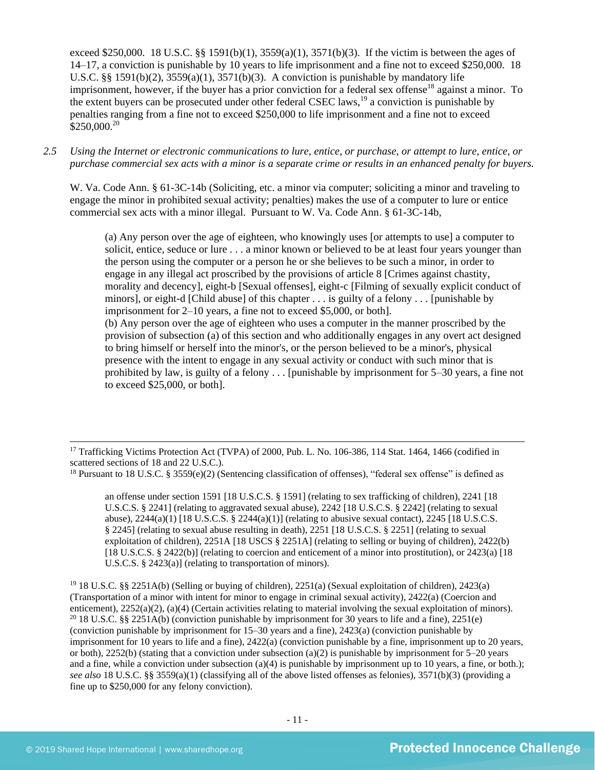exceed \$250,000. 18 U.S.C. §§ 1591(b)(1),  $3559(a)(1)$ ,  $3571(b)(3)$ . If the victim is between the ages of 14–17, a conviction is punishable by 10 years to life imprisonment and a fine not to exceed \$250,000. 18 U.S.C. §§ 1591(b)(2),  $3559(a)(1)$ ,  $3571(b)(3)$ . A conviction is punishable by mandatory life imprisonment, however, if the buyer has a prior conviction for a federal sex offense<sup>18</sup> against a minor. To the extent buyers can be prosecuted under other federal CSEC laws,  $^{19}$  a conviction is punishable by penalties ranging from a fine not to exceed \$250,000 to life imprisonment and a fine not to exceed  $$250,000.<sup>20</sup>$ 

*2.5 Using the Internet or electronic communications to lure, entice, or purchase, or attempt to lure, entice, or purchase commercial sex acts with a minor is a separate crime or results in an enhanced penalty for buyers.*

W. Va. Code Ann. § 61-3C-14b (Soliciting, etc. a minor via computer; soliciting a minor and traveling to engage the minor in prohibited sexual activity; penalties) makes the use of a computer to lure or entice commercial sex acts with a minor illegal. Pursuant to W. Va. Code Ann. § 61-3C-14b,

<span id="page-10-0"></span>(a) Any person over the age of eighteen, who knowingly uses [or attempts to use] a computer to solicit, entice, seduce or lure . . . a minor known or believed to be at least four years younger than the person using the computer or a person he or she believes to be such a minor, in order to engage in any illegal act proscribed by the provisions of article 8 [Crimes against chastity, morality and decency], eight-b [Sexual offenses], eight-c [Filming of sexually explicit conduct of minors], or eight-d [Child abuse] of this chapter . . . is guilty of a felony . . . [punishable by imprisonment for 2–10 years, a fine not to exceed \$5,000, or both]. (b) Any person over the age of eighteen who uses a computer in the manner proscribed by the provision of subsection (a) of this section and who additionally engages in any overt act designed to bring himself or herself into the minor's, or the person believed to be a minor's, physical

presence with the intent to engage in any sexual activity or conduct with such minor that is prohibited by law, is guilty of a felony . . . [punishable by imprisonment for 5–30 years, a fine not to exceed \$25,000, or both].

an offense under section 1591 [18 U.S.C.S. § 1591] (relating to sex trafficking of children), 2241 [18 U.S.C.S. § 2241] (relating to aggravated sexual abuse), 2242 [18 U.S.C.S. § 2242] (relating to sexual abuse),  $2244(a)(1)$  [18 U.S.C.S. §  $2244(a)(1)$ ] (relating to abusive sexual contact),  $2245$  [18 U.S.C.S. § 2245] (relating to sexual abuse resulting in death), 2251 [18 U.S.C.S. § 2251] (relating to sexual exploitation of children), 2251A [18 USCS § 2251A] (relating to selling or buying of children), 2422(b) [18 U.S.C.S. § 2422(b)] (relating to coercion and enticement of a minor into prostitution), or 2423(a) [18 U.S.C.S. § 2423(a)] (relating to transportation of minors).

<sup>19</sup> 18 U.S.C. §§ 2251A(b) (Selling or buying of children), 2251(a) (Sexual exploitation of children), 2423(a) (Transportation of a minor with intent for minor to engage in criminal sexual activity), 2422(a) (Coercion and enticement), 2252(a)(2), (a)(4) (Certain activities relating to material involving the sexual exploitation of minors). <sup>20</sup> 18 U.S.C. §§ 2251A(b) (conviction punishable by imprisonment for 30 years to life and a fine), 2251(e) (conviction punishable by imprisonment for 15–30 years and a fine), 2423(a) (conviction punishable by imprisonment for 10 years to life and a fine), 2422(a) (conviction punishable by a fine, imprisonment up to 20 years, or both), 2252(b) (stating that a conviction under subsection (a)(2) is punishable by imprisonment for  $5-20$  years and a fine, while a conviction under subsection (a)(4) is punishable by imprisonment up to 10 years, a fine, or both.); *see also* 18 U.S.C. §§ 3559(a)(1) (classifying all of the above listed offenses as felonies), 3571(b)(3) (providing a fine up to \$250,000 for any felony conviction).

<sup>&</sup>lt;sup>17</sup> Trafficking Victims Protection Act (TVPA) of 2000, Pub. L. No. 106-386, 114 Stat. 1464, 1466 (codified in scattered sections of 18 and 22 U.S.C.).

<sup>&</sup>lt;sup>18</sup> Pursuant to 18 U.S.C. § 3559(e)(2) (Sentencing classification of offenses), "federal sex offense" is defined as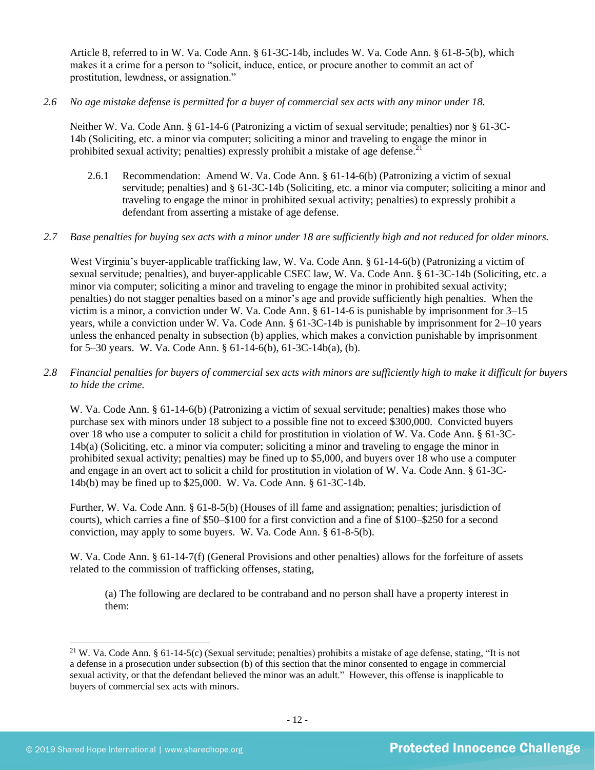Article 8, referred to in W. Va. Code Ann. § 61-3C-14b, includes W. Va. Code Ann. § 61-8-5(b), which makes it a crime for a person to "solicit, induce, entice, or procure another to commit an act of prostitution, lewdness, or assignation."

## *2.6 No age mistake defense is permitted for a buyer of commercial sex acts with any minor under 18.*

Neither W. Va. Code Ann. § 61-14-6 (Patronizing a victim of sexual servitude; penalties) nor § 61-3C-14b (Soliciting, etc. a minor via computer; soliciting a minor and traveling to engage the minor in prohibited sexual activity; penalties) expressly prohibit a mistake of age defense.<sup>21</sup>

2.6.1 Recommendation: Amend W. Va. Code Ann. § 61-14-6(b) (Patronizing a victim of sexual servitude; penalties) and § 61-3C-14b (Soliciting, etc. a minor via computer; soliciting a minor and traveling to engage the minor in prohibited sexual activity; penalties) to expressly prohibit a defendant from asserting a mistake of age defense.

## *2.7 Base penalties for buying sex acts with a minor under 18 are sufficiently high and not reduced for older minors.*

West Virginia's buyer-applicable trafficking law, W. Va. Code Ann. § 61-14-6(b) (Patronizing a victim of sexual servitude; penalties), and buyer-applicable CSEC law, W. Va. Code Ann. § 61-3C-14b (Soliciting, etc. a minor via computer; soliciting a minor and traveling to engage the minor in prohibited sexual activity; penalties) do not stagger penalties based on a minor's age and provide sufficiently high penalties. When the victim is a minor, a conviction under W. Va. Code Ann. § 61-14-6 is punishable by imprisonment for 3–15 years, while a conviction under W. Va. Code Ann. § 61-3C-14b is punishable by imprisonment for 2–10 years unless the enhanced penalty in subsection (b) applies, which makes a conviction punishable by imprisonment for 5–30 years. W. Va. Code Ann. § 61-14-6(b), 61-3C-14b(a), (b).

#### *2.8 Financial penalties for buyers of commercial sex acts with minors are sufficiently high to make it difficult for buyers to hide the crime.*

W. Va. Code Ann. § 61-14-6(b) (Patronizing a victim of sexual servitude; penalties) makes those who purchase sex with minors under 18 subject to a possible fine not to exceed \$300,000. Convicted buyers over 18 who use a computer to solicit a child for prostitution in violation of W. Va. Code Ann. § 61-3C-14b(a) (Soliciting, etc. a minor via computer; soliciting a minor and traveling to engage the minor in prohibited sexual activity; penalties) may be fined up to \$5,000, and buyers over 18 who use a computer and engage in an overt act to solicit a child for prostitution in violation of W. Va. Code Ann. § 61-3C-14b(b) may be fined up to \$25,000. W. Va. Code Ann. § 61-3C-14b.

Further, W. Va. Code Ann. § 61-8-5(b) (Houses of ill fame and assignation; penalties; jurisdiction of courts), which carries a fine of \$50–\$100 for a first conviction and a fine of \$100–\$250 for a second conviction, may apply to some buyers. W. Va. Code Ann. § 61-8-5(b).

W. Va. Code Ann. § 61-14-7(f) (General Provisions and other penalties) allows for the forfeiture of assets related to the commission of trafficking offenses, stating,

(a) The following are declared to be contraband and no person shall have a property interest in them:

<sup>&</sup>lt;sup>21</sup> W. Va. Code Ann. § 61-14-5(c) (Sexual servitude; penalties) prohibits a mistake of age defense, stating, "It is not a defense in a prosecution under subsection (b) of this section that the minor consented to engage in commercial sexual activity, or that the defendant believed the minor was an adult." However, this offense is inapplicable to buyers of commercial sex acts with minors.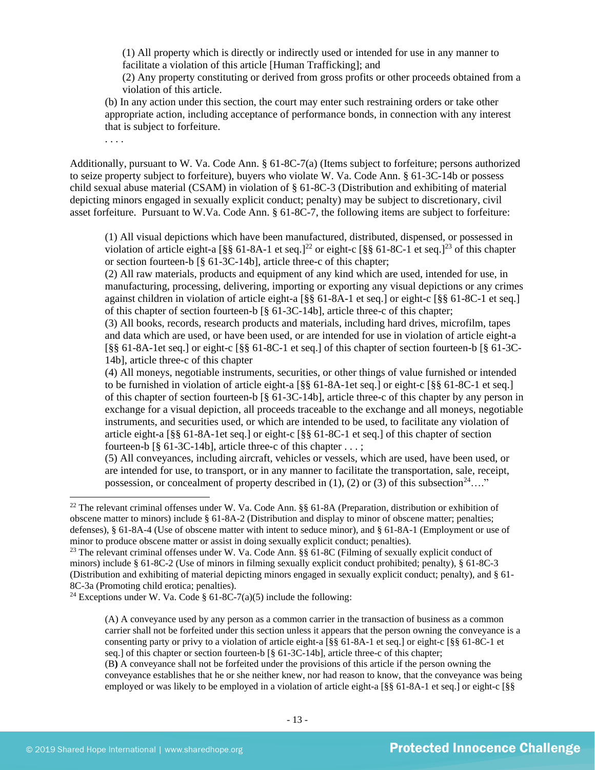(1) All property which is directly or indirectly used or intended for use in any manner to facilitate a violation of this article [Human Trafficking]; and

(2) Any property constituting or derived from gross profits or other proceeds obtained from a violation of this article.

(b) In any action under this section, the court may enter such restraining orders or take other appropriate action, including acceptance of performance bonds, in connection with any interest that is subject to forfeiture.

. . . .

Additionally, pursuant to W. Va. Code Ann. § 61-8C-7(a) (Items subject to forfeiture; persons authorized to seize property subject to forfeiture), buyers who violate W. Va. Code Ann. § 61-3C-14b or possess child sexual abuse material (CSAM) in violation of § 61-8C-3 (Distribution and exhibiting of material depicting minors engaged in sexually explicit conduct; penalty) may be subject to discretionary, civil asset forfeiture. Pursuant to W.Va. Code Ann. § 61-8C-7, the following items are subject to forfeiture:

<span id="page-12-1"></span><span id="page-12-0"></span>(1) All visual depictions which have been manufactured, distributed, dispensed, or possessed in violation of article eight-a  $\lceil \frac{8}{5} \rceil$  61-8A-1 et seq.]<sup>22</sup> or eight-c  $\lceil \frac{8}{5} \rceil$  61-8C-1 et seq.]<sup>23</sup> of this chapter or section fourteen-b [§ 61-3C-14b], article three-c of this chapter;

(2) All raw materials, products and equipment of any kind which are used, intended for use, in manufacturing, processing, delivering, importing or exporting any visual depictions or any crimes against children in violation of article eight-a [§§ 61-8A-1 et seq.] or eight-c [§§ 61-8C-1 et seq.] of this chapter of section fourteen-b [§ 61-3C-14b], article three-c of this chapter;

(3) All books, records, research products and materials, including hard drives, microfilm, tapes and data which are used, or have been used, or are intended for use in violation of article eight-a [§§ 61-8A-1et seq.] or eight-c [§§ 61-8C-1 et seq.] of this chapter of section fourteen-b [§ 61-3C-14b], article three-c of this chapter

(4) All moneys, negotiable instruments, securities, or other things of value furnished or intended to be furnished in violation of article eight-a [§§ 61-8A-1et seq.] or eight-c [§§ 61-8C-1 et seq.] of this chapter of section fourteen-b [§ 61-3C-14b], article three-c of this chapter by any person in exchange for a visual depiction, all proceeds traceable to the exchange and all moneys, negotiable instruments, and securities used, or which are intended to be used, to facilitate any violation of article eight-a [§§ 61-8A-1et seq.] or eight-c [§§ 61-8C-1 et seq.] of this chapter of section fourteen-b [§ 61-3C-14b], article three-c of this chapter . . . ;

<span id="page-12-2"></span>(5) All conveyances, including aircraft, vehicles or vessels, which are used, have been used, or are intended for use, to transport, or in any manner to facilitate the transportation, sale, receipt, possession, or concealment of property described in (1), (2) or (3) of this subsection<sup>24</sup>…."

(A) A conveyance used by any person as a common carrier in the transaction of business as a common carrier shall not be forfeited under this section unless it appears that the person owning the conveyance is a consenting party or privy to a violation of article eight-a [§§ 61-8A-1 et seq.] or eight-c [§§ 61-8C-1 et seq.] of this chapter or section fourteen-b [§ 61-3C-14b], article three-c of this chapter;

(B**)** A conveyance shall not be forfeited under the provisions of this article if the person owning the conveyance establishes that he or she neither knew, nor had reason to know, that the conveyance was being employed or was likely to be employed in a violation of article eight-a [§§ 61-8A-1 et seq.] or eight-c [§§

<sup>22</sup> The relevant criminal offenses under W. Va. Code Ann. §§ 61-8A (Preparation, distribution or exhibition of obscene matter to minors) include § 61-8A-2 (Distribution and display to minor of obscene matter; penalties; defenses), § 61-8A-4 (Use of obscene matter with intent to seduce minor), and § 61-8A-1 (Employment or use of minor to produce obscene matter or assist in doing sexually explicit conduct; penalties).

<sup>&</sup>lt;sup>23</sup> The relevant criminal offenses under W. Va. Code Ann. §§ 61-8C (Filming of sexually explicit conduct of minors) include § 61-8C-2 (Use of minors in filming sexually explicit conduct prohibited; penalty), § 61-8C-3 (Distribution and exhibiting of material depicting minors engaged in sexually explicit conduct; penalty), and § 61- 8C-3a (Promoting child erotica; penalties).

<sup>&</sup>lt;sup>24</sup> Exceptions under W. Va. Code § 61-8C-7(a)(5) include the following: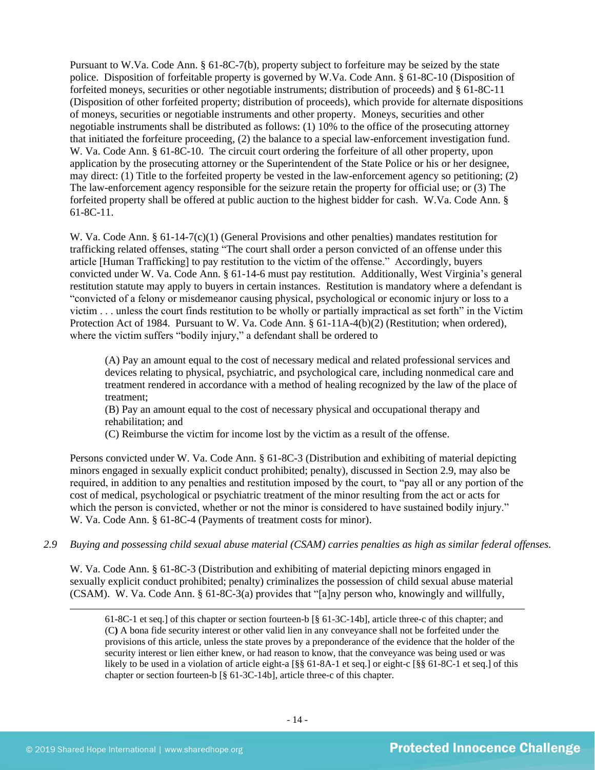Pursuant to W.Va. Code Ann. § 61-8C-7(b), property subject to forfeiture may be seized by the state police. Disposition of forfeitable property is governed by W.Va. Code Ann. § 61-8C-10 (Disposition of forfeited moneys, securities or other negotiable instruments; distribution of proceeds) and § 61-8C-11 (Disposition of other forfeited property; distribution of proceeds), which provide for alternate dispositions of moneys, securities or negotiable instruments and other property. Moneys, securities and other negotiable instruments shall be distributed as follows: (1) 10% to the office of the prosecuting attorney that initiated the forfeiture proceeding, (2) the balance to a special law-enforcement investigation fund. W. Va. Code Ann. § 61-8C-10. The circuit court ordering the forfeiture of all other property, upon application by the prosecuting attorney or the Superintendent of the State Police or his or her designee, may direct: (1) Title to the forfeited property be vested in the law-enforcement agency so petitioning; (2) The law-enforcement agency responsible for the seizure retain the property for official use; or (3) The forfeited property shall be offered at public auction to the highest bidder for cash. W.Va. Code Ann. § 61-8C-11.

W. Va. Code Ann. § 61-14-7(c)(1) (General Provisions and other penalties) mandates restitution for trafficking related offenses, stating "The court shall order a person convicted of an offense under this article [Human Trafficking] to pay restitution to the victim of the offense." Accordingly, buyers convicted under W. Va. Code Ann. § 61-14-6 must pay restitution. Additionally, West Virginia's general restitution statute may apply to buyers in certain instances. Restitution is mandatory where a defendant is "convicted of a felony or misdemeanor causing physical, psychological or economic injury or loss to a victim . . . unless the court finds restitution to be wholly or partially impractical as set forth" in the Victim Protection Act of 1984. Pursuant to W. Va. Code Ann. § 61-11A-4(b)(2) (Restitution; when ordered), where the victim suffers "bodily injury," a defendant shall be ordered to

(A) Pay an amount equal to the cost of necessary medical and related professional services and devices relating to physical, psychiatric, and psychological care, including nonmedical care and treatment rendered in accordance with a method of healing recognized by the law of the place of treatment;

(B) Pay an amount equal to the cost of necessary physical and occupational therapy and rehabilitation; and

(C) Reimburse the victim for income lost by the victim as a result of the offense.

Persons convicted under W. Va. Code Ann. § 61-8C-3 (Distribution and exhibiting of material depicting minors engaged in sexually explicit conduct prohibited; penalty), discussed in Section 2.9, may also be required, in addition to any penalties and restitution imposed by the court, to "pay all or any portion of the cost of medical, psychological or psychiatric treatment of the minor resulting from the act or acts for which the person is convicted, whether or not the minor is considered to have sustained bodily injury." W. Va. Code Ann. § 61-8C-4 (Payments of treatment costs for minor).

*2.9 Buying and possessing child sexual abuse material (CSAM) carries penalties as high as similar federal offenses.*

W. Va. Code Ann. § 61-8C-3 (Distribution and exhibiting of material depicting minors engaged in sexually explicit conduct prohibited; penalty) criminalizes the possession of child sexual abuse material (CSAM). W. Va. Code Ann. § 61-8C-3(a) provides that "[a]ny person who, knowingly and willfully,

61-8C-1 et seq.] of this chapter or section fourteen-b [§ 61-3C-14b], article three-c of this chapter; and (C**)** A bona fide security interest or other valid lien in any conveyance shall not be forfeited under the provisions of this article, unless the state proves by a preponderance of the evidence that the holder of the security interest or lien either knew, or had reason to know, that the conveyance was being used or was likely to be used in a violation of article eight-a [§§ 61-8A-1 et seq.] or eight-c [§§ 61-8C-1 et seq.] of this chapter or section fourteen-b [§ 61-3C-14b], article three-c of this chapter.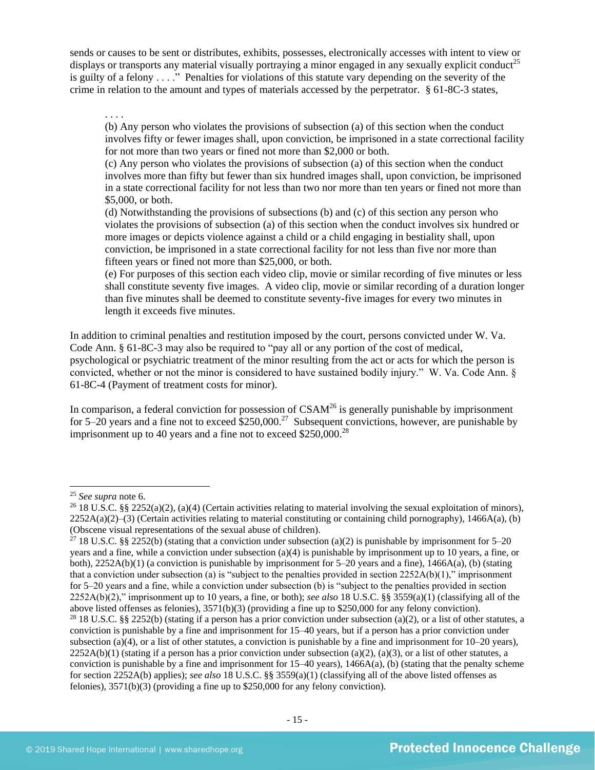sends or causes to be sent or distributes, exhibits, possesses, electronically accesses with intent to view or displays or transports any material visually portraying a minor engaged in any sexually explicit conduct<sup>25</sup> is guilty of a felony . . . ." Penalties for violations of this statute vary depending on the severity of the crime in relation to the amount and types of materials accessed by the perpetrator. § 61-8C-3 states,

. . . .

(b) Any person who violates the provisions of subsection (a) of this section when the conduct involves fifty or fewer images shall, upon conviction, be imprisoned in a state correctional facility for not more than two years or fined not more than \$2,000 or both.

(c) Any person who violates the provisions of subsection (a) of this section when the conduct involves more than fifty but fewer than six hundred images shall, upon conviction, be imprisoned in a state correctional facility for not less than two nor more than ten years or fined not more than \$5,000, or both.

(d) Notwithstanding the provisions of subsections (b) and (c) of this section any person who violates the provisions of subsection (a) of this section when the conduct involves six hundred or more images or depicts violence against a child or a child engaging in bestiality shall, upon conviction, be imprisoned in a state correctional facility for not less than five nor more than fifteen years or fined not more than \$25,000, or both.

(e) For purposes of this section each video clip, movie or similar recording of five minutes or less shall constitute seventy five images. A video clip, movie or similar recording of a duration longer than five minutes shall be deemed to constitute seventy-five images for every two minutes in length it exceeds five minutes.

In addition to criminal penalties and restitution imposed by the court, persons convicted under W. Va. Code Ann. § 61-8C-3 may also be required to "pay all or any portion of the cost of medical, psychological or psychiatric treatment of the minor resulting from the act or acts for which the person is convicted, whether or not the minor is considered to have sustained bodily injury." W. Va. Code Ann. § 61-8C-4 (Payment of treatment costs for minor).

In comparison, a federal conviction for possession of  $CSAM<sup>26</sup>$  is generally punishable by imprisonment for 5–20 years and a fine not to exceed  $$250,000.<sup>27</sup>$  Subsequent convictions, however, are punishable by imprisonment up to 40 years and a fine not to exceed  $$250,000.<sup>28</sup>$ 

<sup>25</sup> *See supra* note [6.](#page-2-0)

<sup>&</sup>lt;sup>26</sup> 18 U.S.C. §§ 2252(a)(2), (a)(4) (Certain activities relating to material involving the sexual exploitation of minors),  $2252A(a)(2)$ –(3) (Certain activities relating to material constituting or containing child pornography), 1466A(a), (b) (Obscene visual representations of the sexual abuse of children).

<sup>&</sup>lt;sup>27</sup> 18 U.S.C. §§ 2252(b) (stating that a conviction under subsection (a)(2) is punishable by imprisonment for 5–20 years and a fine, while a conviction under subsection (a)(4) is punishable by imprisonment up to 10 years, a fine, or both), 2252A(b)(1) (a conviction is punishable by imprisonment for 5–20 years and a fine), 1466A(a), (b) (stating that a conviction under subsection (a) is "subject to the penalties provided in section  $2252A(b)(1)$ ," imprisonment for 5–20 years and a fine, while a conviction under subsection (b) is "subject to the penalties provided in section 2252A(b)(2)," imprisonment up to 10 years, a fine, or both); *see also* 18 U.S.C. §§ 3559(a)(1) (classifying all of the above listed offenses as felonies), 3571(b)(3) (providing a fine up to \$250,000 for any felony conviction). <sup>28</sup> 18 U.S.C. §§ 2252(b) (stating if a person has a prior conviction under subsection (a)(2), or a list of other statutes, a conviction is punishable by a fine and imprisonment for 15–40 years, but if a person has a prior conviction under subsection (a)(4), or a list of other statutes, a conviction is punishable by a fine and imprisonment for  $10-20$  years),  $2252A(b)(1)$  (stating if a person has a prior conviction under subsection (a)(2), (a)(3), or a list of other statutes, a conviction is punishable by a fine and imprisonment for  $15-40$  years),  $1466A(a)$ , (b) (stating that the penalty scheme for section 2252A(b) applies); *see also* 18 U.S.C. §§ 3559(a)(1) (classifying all of the above listed offenses as felonies), 3571(b)(3) (providing a fine up to \$250,000 for any felony conviction).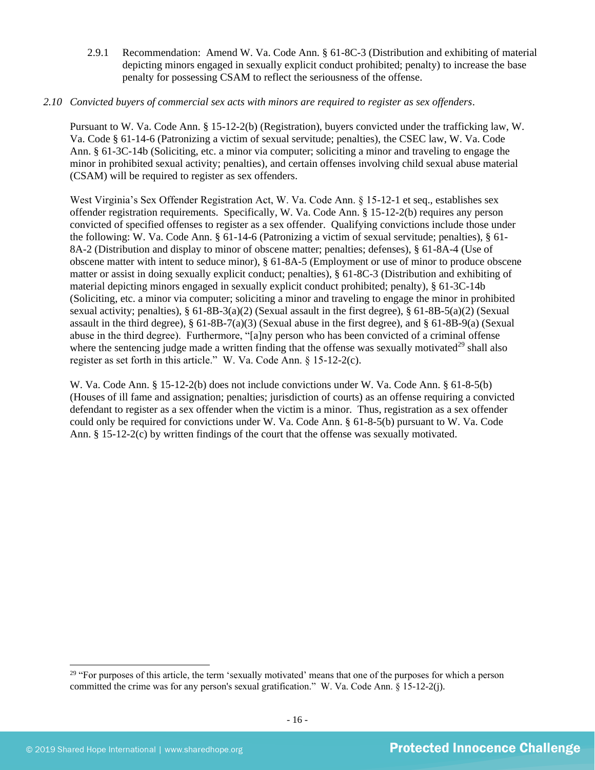- 2.9.1 Recommendation: Amend W. Va. Code Ann. § 61-8C-3 (Distribution and exhibiting of material depicting minors engaged in sexually explicit conduct prohibited; penalty) to increase the base penalty for possessing CSAM to reflect the seriousness of the offense.
- *2.10 Convicted buyers of commercial sex acts with minors are required to register as sex offenders*.

Pursuant to W. Va. Code Ann. § 15-12-2(b) (Registration), buyers convicted under the trafficking law, W. Va. Code § 61-14-6 (Patronizing a victim of sexual servitude; penalties), the CSEC law, W. Va. Code Ann. § 61-3C-14b (Soliciting, etc. a minor via computer; soliciting a minor and traveling to engage the minor in prohibited sexual activity; penalties), and certain offenses involving child sexual abuse material (CSAM) will be required to register as sex offenders.

West Virginia's Sex Offender Registration Act, W. Va. Code Ann. § 15-12-1 et seq., establishes sex offender registration requirements. Specifically, W. Va. Code Ann. § 15-12-2(b) requires any person convicted of specified offenses to register as a sex offender. Qualifying convictions include those under the following: W. Va. Code Ann. § 61-14-6 (Patronizing a victim of sexual servitude; penalties), § 61- 8A-2 (Distribution and display to minor of obscene matter; penalties; defenses), § 61-8A-4 (Use of obscene matter with intent to seduce minor), § 61-8A-5 (Employment or use of minor to produce obscene matter or assist in doing sexually explicit conduct; penalties), § 61-8C-3 (Distribution and exhibiting of material depicting minors engaged in sexually explicit conduct prohibited; penalty), § 61-3C-14b (Soliciting, etc. a minor via computer; soliciting a minor and traveling to engage the minor in prohibited sexual activity; penalties), § 61-8B-3(a)(2) (Sexual assault in the first degree), § 61-8B-5(a)(2) (Sexual assault in the third degree),  $\S 61-8B-7(a)(3)$  (Sexual abuse in the first degree), and  $\S 61-8B-9(a)$  (Sexual abuse in the third degree). Furthermore, "[a]ny person who has been convicted of a criminal offense where the sentencing judge made a written finding that the offense was sexually motivated<sup>29</sup> shall also register as set forth in this article." W. Va. Code Ann. § 15-12-2(c).

W. Va. Code Ann. § 15-12-2(b) does not include convictions under W. Va. Code Ann. § 61-8-5(b) (Houses of ill fame and assignation; penalties; jurisdiction of courts) as an offense requiring a convicted defendant to register as a sex offender when the victim is a minor. Thus, registration as a sex offender could only be required for convictions under W. Va. Code Ann. § 61-8-5(b) pursuant to W. Va. Code Ann. § 15-12-2(c) by written findings of the court that the offense was sexually motivated.

<sup>&</sup>lt;sup>29</sup> "For purposes of this article, the term 'sexually motivated' means that one of the purposes for which a person committed the crime was for any person's sexual gratification." W. Va. Code Ann. § 15-12-2(j).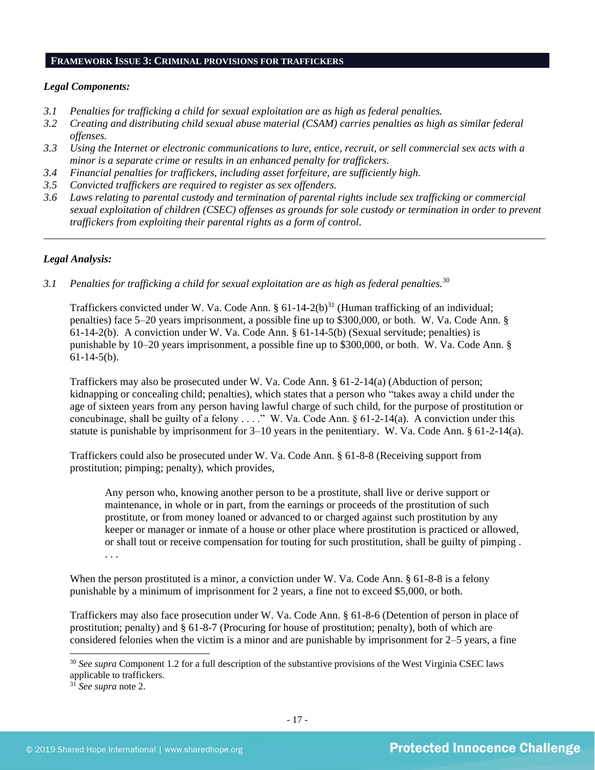#### **FRAMEWORK ISSUE 3: CRIMINAL PROVISIONS FOR TRAFFICKERS**

#### *Legal Components:*

- *3.1 Penalties for trafficking a child for sexual exploitation are as high as federal penalties.*
- *3.2 Creating and distributing child sexual abuse material (CSAM) carries penalties as high as similar federal offenses.*
- *3.3 Using the Internet or electronic communications to lure, entice, recruit, or sell commercial sex acts with a minor is a separate crime or results in an enhanced penalty for traffickers.*
- *3.4 Financial penalties for traffickers, including asset forfeiture, are sufficiently high.*
- *3.5 Convicted traffickers are required to register as sex offenders.*
- *3.6 Laws relating to parental custody and termination of parental rights include sex trafficking or commercial sexual exploitation of children (CSEC) offenses as grounds for sole custody or termination in order to prevent traffickers from exploiting their parental rights as a form of control.*

*\_\_\_\_\_\_\_\_\_\_\_\_\_\_\_\_\_\_\_\_\_\_\_\_\_\_\_\_\_\_\_\_\_\_\_\_\_\_\_\_\_\_\_\_\_\_\_\_\_\_\_\_\_\_\_\_\_\_\_\_\_\_\_\_\_\_\_\_\_\_\_\_\_\_\_\_\_\_\_\_\_\_\_\_\_\_\_\_\_\_\_\_\_\_*

## *Legal Analysis:*

*3.1 Penalties for trafficking a child for sexual exploitation are as high as federal penalties.*<sup>30</sup>

Traffickers convicted under W. Va. Code Ann.  $\S 61-14-2(b)^{31}$  (Human trafficking of an individual; penalties) face 5–20 years imprisonment, a possible fine up to \$300,000, or both. W. Va. Code Ann. § 61-14-2(b). A conviction under W. Va. Code Ann. § 61-14-5(b) (Sexual servitude; penalties) is punishable by 10–20 years imprisonment, a possible fine up to \$300,000, or both. W. Va. Code Ann. § 61-14-5(b).

Traffickers may also be prosecuted under W. Va. Code Ann. § 61-2-14(a) (Abduction of person; kidnapping or concealing child; penalties), which states that a person who "takes away a child under the age of sixteen years from any person having lawful charge of such child, for the purpose of prostitution or concubinage, shall be guilty of a felony . . . ." W. Va. Code Ann. § 61-2-14(a). A conviction under this statute is punishable by imprisonment for  $3-10$  years in the penitentiary. W. Va. Code Ann. § 61-2-14(a).

Traffickers could also be prosecuted under W. Va. Code Ann. § 61-8-8 (Receiving support from prostitution; pimping; penalty), which provides,

Any person who, knowing another person to be a prostitute, shall live or derive support or maintenance, in whole or in part, from the earnings or proceeds of the prostitution of such prostitute, or from money loaned or advanced to or charged against such prostitution by any keeper or manager or inmate of a house or other place where prostitution is practiced or allowed, or shall tout or receive compensation for touting for such prostitution, shall be guilty of pimping . . . .

When the person prostituted is a minor, a conviction under W. Va. Code Ann. § 61-8-8 is a felony punishable by a minimum of imprisonment for 2 years, a fine not to exceed \$5,000, or both.

Traffickers may also face prosecution under W. Va. Code Ann. § 61-8-6 (Detention of person in place of prostitution; penalty) and § 61-8-7 (Procuring for house of prostitution; penalty), both of which are considered felonies when the victim is a minor and are punishable by imprisonment for 2–5 years, a fine

<sup>30</sup> *See supra* Component [1.2](#page-1-0) for a full description of the substantive provisions of the West Virginia CSEC laws applicable to traffickers.

<sup>31</sup> *See supra* note 2.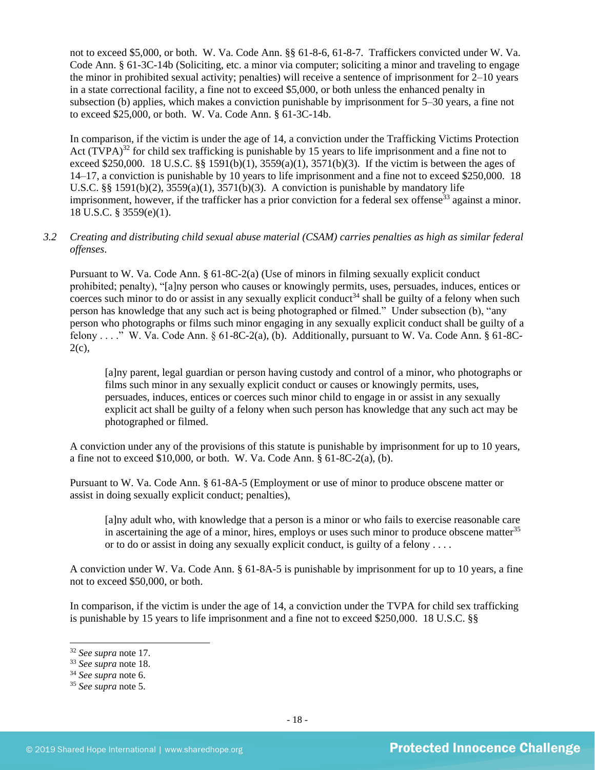not to exceed \$5,000, or both. W. Va. Code Ann. §§ 61-8-6, 61-8-7. Traffickers convicted under W. Va. Code Ann. § 61-3C-14b (Soliciting, etc. a minor via computer; soliciting a minor and traveling to engage the minor in prohibited sexual activity; penalties) will receive a sentence of imprisonment for 2–10 years in a state correctional facility, a fine not to exceed \$5,000, or both unless the enhanced penalty in subsection (b) applies, which makes a conviction punishable by imprisonment for 5–30 years, a fine not to exceed \$25,000, or both. W. Va. Code Ann. § 61-3C-14b.

In comparison, if the victim is under the age of 14, a conviction under the Trafficking Victims Protection Act  $(TVPA)^{32}$  for child sex trafficking is punishable by 15 years to life imprisonment and a fine not to exceed \$250,000. 18 U.S.C. §§ 1591(b)(1),  $3559(a)(1)$ ,  $3571(b)(3)$ . If the victim is between the ages of 14–17, a conviction is punishable by 10 years to life imprisonment and a fine not to exceed \$250,000. 18 U.S.C. §§ 1591(b)(2),  $3559(a)(1)$ ,  $3571(b)(3)$ . A conviction is punishable by mandatory life imprisonment, however, if the trafficker has a prior conviction for a federal sex offense<sup>33</sup> against a minor. 18 U.S.C. § 3559(e)(1).

## *3.2 Creating and distributing child sexual abuse material (CSAM) carries penalties as high as similar federal offenses*.

Pursuant to W. Va. Code Ann. § 61-8C-2(a) (Use of minors in filming sexually explicit conduct prohibited; penalty), "[a]ny person who causes or knowingly permits, uses, persuades, induces, entices or coerces such minor to do or assist in any sexually explicit conduct<sup>34</sup> shall be guilty of a felony when such person has knowledge that any such act is being photographed or filmed." Under subsection (b), "any person who photographs or films such minor engaging in any sexually explicit conduct shall be guilty of a felony . . . . " W. Va. Code Ann.  $\S 61-8C-2(a)$ , (b). Additionally, pursuant to W. Va. Code Ann.  $\S 61-8C 2(c)$ ,

[a]ny parent, legal guardian or person having custody and control of a minor, who photographs or films such minor in any sexually explicit conduct or causes or knowingly permits, uses, persuades, induces, entices or coerces such minor child to engage in or assist in any sexually explicit act shall be guilty of a felony when such person has knowledge that any such act may be photographed or filmed.

A conviction under any of the provisions of this statute is punishable by imprisonment for up to 10 years, a fine not to exceed  $$10,000$ , or both. W. Va. Code Ann.  $§ 61-8C-2(a)$ , (b).

Pursuant to W. Va. Code Ann. § 61-8A-5 (Employment or use of minor to produce obscene matter or assist in doing sexually explicit conduct; penalties),

[a]ny adult who, with knowledge that a person is a minor or who fails to exercise reasonable care in ascertaining the age of a minor, hires, employs or uses such minor to produce obscene matter<sup>35</sup> or to do or assist in doing any sexually explicit conduct, is guilty of a felony . . . .

A conviction under W. Va. Code Ann. § 61-8A-5 is punishable by imprisonment for up to 10 years, a fine not to exceed \$50,000, or both.

In comparison, if the victim is under the age of 14, a conviction under the TVPA for child sex trafficking is punishable by 15 years to life imprisonment and a fine not to exceed \$250,000. 18 U.S.C. §§

<sup>32</sup> *See supra* note [17.](#page-9-0) 

<sup>33</sup> *See supra* note [18.](#page-10-0) 

<sup>34</sup> *See supra* note [6.](#page-2-0)

<sup>35</sup> *See supra* note [5.](#page-2-1)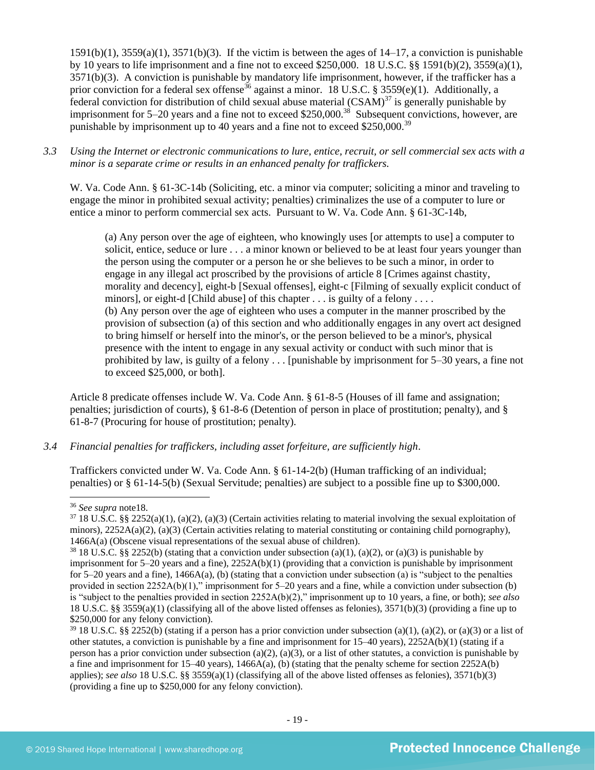$1591(b)(1)$ ,  $3559(a)(1)$ ,  $3571(b)(3)$ . If the victim is between the ages of  $14-17$ , a conviction is punishable by 10 years to life imprisonment and a fine not to exceed \$250,000. 18 U.S.C. §§ 1591(b)(2), 3559(a)(1), 3571(b)(3). A conviction is punishable by mandatory life imprisonment, however, if the trafficker has a prior conviction for a federal sex offense<sup>36</sup> against a minor. 18 U.S.C. § 3559(e)(1). Additionally, a federal conviction for distribution of child sexual abuse material  $(CSAM)^{37}$  is generally punishable by imprisonment for  $5-20$  years and a fine not to exceed \$250,000.<sup>38</sup> Subsequent convictions, however, are punishable by imprisonment up to 40 years and a fine not to exceed \$250,000.<sup>39</sup>

*3.3 Using the Internet or electronic communications to lure, entice, recruit, or sell commercial sex acts with a minor is a separate crime or results in an enhanced penalty for traffickers.*

W. Va. Code Ann. § 61-3C-14b (Soliciting, etc. a minor via computer; soliciting a minor and traveling to engage the minor in prohibited sexual activity; penalties) criminalizes the use of a computer to lure or entice a minor to perform commercial sex acts. Pursuant to W. Va. Code Ann. § 61-3C-14b,

(a) Any person over the age of eighteen, who knowingly uses [or attempts to use] a computer to solicit, entice, seduce or lure . . . a minor known or believed to be at least four years younger than the person using the computer or a person he or she believes to be such a minor, in order to engage in any illegal act proscribed by the provisions of article 8 [Crimes against chastity, morality and decency], eight-b [Sexual offenses], eight-c [Filming of sexually explicit conduct of minors], or eight-d [Child abuse] of this chapter . . . is guilty of a felony . . . . (b) Any person over the age of eighteen who uses a computer in the manner proscribed by the provision of subsection (a) of this section and who additionally engages in any overt act designed to bring himself or herself into the minor's, or the person believed to be a minor's, physical presence with the intent to engage in any sexual activity or conduct with such minor that is prohibited by law, is guilty of a felony . . . [punishable by imprisonment for 5–30 years, a fine not to exceed \$25,000, or both].

Article 8 predicate offenses include W. Va. Code Ann. § 61-8-5 (Houses of ill fame and assignation; penalties; jurisdiction of courts), § 61-8-6 (Detention of person in place of prostitution; penalty), and § 61-8-7 (Procuring for house of prostitution; penalty).

## *3.4 Financial penalties for traffickers, including asset forfeiture, are sufficiently high*.

Traffickers convicted under W. Va. Code Ann. § 61-14-2(b) (Human trafficking of an individual; penalties) or § 61-14-5(b) (Sexual Servitude; penalties) are subject to a possible fine up to \$300,000.

<sup>36</sup> *See supra* not[e18.](#page-10-0)

 $37\,18$  U.S.C. §§ 2252(a)(1), (a)(2), (a)(3) (Certain activities relating to material involving the sexual exploitation of minors),  $2252A(a)(2)$ , (a)(3) (Certain activities relating to material constituting or containing child pornography), 1466A(a) (Obscene visual representations of the sexual abuse of children).

<sup>&</sup>lt;sup>38</sup> 18 U.S.C. §§ 2252(b) (stating that a conviction under subsection (a)(1), (a)(2), or (a)(3) is punishable by imprisonment for 5–20 years and a fine), 2252A(b)(1) (providing that a conviction is punishable by imprisonment for 5–20 years and a fine),  $1466A(a)$ , (b) (stating that a conviction under subsection (a) is "subject to the penalties provided in section 2252A(b)(1)," imprisonment for 5–20 years and a fine, while a conviction under subsection (b) is "subject to the penalties provided in section 2252A(b)(2)," imprisonment up to 10 years, a fine, or both); *see also*  18 U.S.C. §§ 3559(a)(1) (classifying all of the above listed offenses as felonies), 3571(b)(3) (providing a fine up to \$250,000 for any felony conviction).

 $39\,18$  U.S.C. §§ 2252(b) (stating if a person has a prior conviction under subsection (a)(1), (a)(2), or (a)(3) or a list of other statutes, a conviction is punishable by a fine and imprisonment for 15–40 years), 2252A(b)(1) (stating if a person has a prior conviction under subsection (a)(2), (a)(3), or a list of other statutes, a conviction is punishable by a fine and imprisonment for 15–40 years),  $1466A(a)$ , (b) (stating that the penalty scheme for section 2252A(b) applies); *see also* 18 U.S.C. §§ 3559(a)(1) (classifying all of the above listed offenses as felonies), 3571(b)(3) (providing a fine up to \$250,000 for any felony conviction).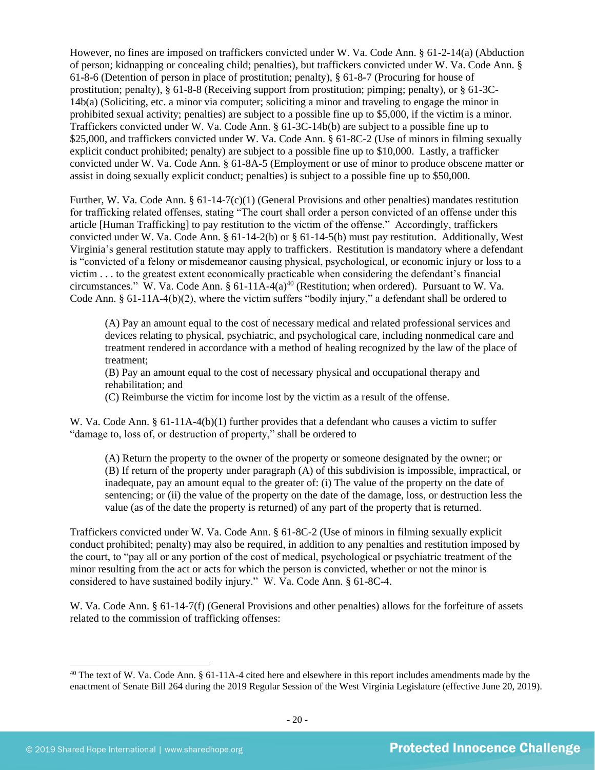However, no fines are imposed on traffickers convicted under W. Va. Code Ann. § 61-2-14(a) (Abduction of person; kidnapping or concealing child; penalties), but traffickers convicted under W. Va. Code Ann. § 61-8-6 (Detention of person in place of prostitution; penalty), § 61-8-7 (Procuring for house of prostitution; penalty), § 61-8-8 (Receiving support from prostitution; pimping; penalty), or § 61-3C-14b(a) (Soliciting, etc. a minor via computer; soliciting a minor and traveling to engage the minor in prohibited sexual activity; penalties) are subject to a possible fine up to \$5,000, if the victim is a minor. Traffickers convicted under W. Va. Code Ann. § 61-3C-14b(b) are subject to a possible fine up to \$25,000, and traffickers convicted under W. Va. Code Ann. § 61-8C-2 (Use of minors in filming sexually explicit conduct prohibited; penalty) are subject to a possible fine up to \$10,000. Lastly, a trafficker convicted under W. Va. Code Ann. § 61-8A-5 (Employment or use of minor to produce obscene matter or assist in doing sexually explicit conduct; penalties) is subject to a possible fine up to \$50,000.

Further, W. Va. Code Ann. § 61-14-7(c)(1) (General Provisions and other penalties) mandates restitution for trafficking related offenses, stating "The court shall order a person convicted of an offense under this article [Human Trafficking] to pay restitution to the victim of the offense." Accordingly, traffickers convicted under W. Va. Code Ann. § 61-14-2(b) or § 61-14-5(b) must pay restitution. Additionally, West Virginia's general restitution statute may apply to traffickers. Restitution is mandatory where a defendant is "convicted of a felony or misdemeanor causing physical, psychological, or economic injury or loss to a victim . . . to the greatest extent economically practicable when considering the defendant's financial circumstances." W. Va. Code Ann. § 61-11A-4(a)<sup>40</sup> (Restitution; when ordered). Pursuant to W. Va. Code Ann. § 61-11A-4(b)(2), where the victim suffers "bodily injury," a defendant shall be ordered to

<span id="page-19-0"></span>(A) Pay an amount equal to the cost of necessary medical and related professional services and devices relating to physical, psychiatric, and psychological care, including nonmedical care and treatment rendered in accordance with a method of healing recognized by the law of the place of treatment;

(B) Pay an amount equal to the cost of necessary physical and occupational therapy and rehabilitation; and

(C) Reimburse the victim for income lost by the victim as a result of the offense.

W. Va. Code Ann. § 61-11A-4(b)(1) further provides that a defendant who causes a victim to suffer "damage to, loss of, or destruction of property," shall be ordered to

(A) Return the property to the owner of the property or someone designated by the owner; or (B) If return of the property under paragraph (A) of this subdivision is impossible, impractical, or inadequate, pay an amount equal to the greater of: (i) The value of the property on the date of sentencing; or (ii) the value of the property on the date of the damage, loss, or destruction less the value (as of the date the property is returned) of any part of the property that is returned.

Traffickers convicted under W. Va. Code Ann. § 61-8C-2 (Use of minors in filming sexually explicit conduct prohibited; penalty) may also be required, in addition to any penalties and restitution imposed by the court, to "pay all or any portion of the cost of medical, psychological or psychiatric treatment of the minor resulting from the act or acts for which the person is convicted, whether or not the minor is considered to have sustained bodily injury." W. Va. Code Ann. § 61-8C-4.

W. Va. Code Ann. § 61-14-7(f) (General Provisions and other penalties) allows for the forfeiture of assets related to the commission of trafficking offenses:

<sup>&</sup>lt;sup>40</sup> The text of W. Va. Code Ann.  $\S 61-11A-4$  cited here and elsewhere in this report includes amendments made by the enactment of Senate Bill 264 during the 2019 Regular Session of the West Virginia Legislature (effective June 20, 2019).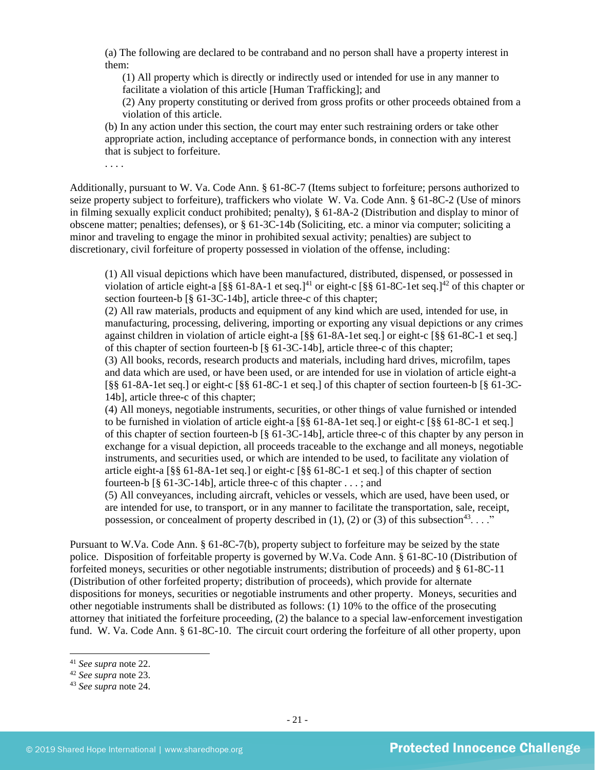(a) The following are declared to be contraband and no person shall have a property interest in them:

(1) All property which is directly or indirectly used or intended for use in any manner to facilitate a violation of this article [Human Trafficking]; and

(2) Any property constituting or derived from gross profits or other proceeds obtained from a violation of this article.

(b) In any action under this section, the court may enter such restraining orders or take other appropriate action, including acceptance of performance bonds, in connection with any interest that is subject to forfeiture.

. . . .

Additionally, pursuant to W. Va. Code Ann. § 61-8C-7 (Items subject to forfeiture; persons authorized to seize property subject to forfeiture), traffickers who violate W. Va. Code Ann. § 61-8C-2 (Use of minors in filming sexually explicit conduct prohibited; penalty), § 61-8A-2 (Distribution and display to minor of obscene matter; penalties; defenses), or § 61-3C-14b (Soliciting, etc. a minor via computer; soliciting a minor and traveling to engage the minor in prohibited sexual activity; penalties) are subject to discretionary, civil forfeiture of property possessed in violation of the offense, including:

(1) All visual depictions which have been manufactured, distributed, dispensed, or possessed in violation of article eight-a  $\lceil \frac{8}{5} \rceil$  61-8A-1 et seq.]<sup>41</sup> or eight-c  $\lceil \frac{8}{5} \rceil$  61-8C-1et seq.]<sup>42</sup> of this chapter or section fourteen-b [§ 61-3C-14b], article three-c of this chapter;

(2) All raw materials, products and equipment of any kind which are used, intended for use, in manufacturing, processing, delivering, importing or exporting any visual depictions or any crimes against children in violation of article eight-a [§§ 61-8A-1et seq.] or eight-c [§§ 61-8C-1 et seq.] of this chapter of section fourteen-b [§ 61-3C-14b], article three-c of this chapter;

(3) All books, records, research products and materials, including hard drives, microfilm, tapes and data which are used, or have been used, or are intended for use in violation of article eight-a [§§ 61-8A-1et seq.] or eight-c [§§ 61-8C-1 et seq.] of this chapter of section fourteen-b [§ 61-3C-14b], article three-c of this chapter;

(4) All moneys, negotiable instruments, securities, or other things of value furnished or intended to be furnished in violation of article eight-a [§§ 61-8A-1et seq.] or eight-c [§§ 61-8C-1 et seq.] of this chapter of section fourteen-b [§ 61-3C-14b], article three-c of this chapter by any person in exchange for a visual depiction, all proceeds traceable to the exchange and all moneys, negotiable instruments, and securities used, or which are intended to be used, to facilitate any violation of article eight-a [§§ 61-8A-1et seq.] or eight-c [§§ 61-8C-1 et seq.] of this chapter of section fourteen-b [§ 61-3C-14b], article three-c of this chapter . . . ; and

(5) All conveyances, including aircraft, vehicles or vessels, which are used, have been used, or are intended for use, to transport, or in any manner to facilitate the transportation, sale, receipt, possession, or concealment of property described in (1), (2) or (3) of this subsection<sup>43</sup>...."

Pursuant to W.Va. Code Ann. § 61-8C-7(b), property subject to forfeiture may be seized by the state police. Disposition of forfeitable property is governed by W.Va. Code Ann. § 61-8C-10 (Distribution of forfeited moneys, securities or other negotiable instruments; distribution of proceeds) and § 61-8C-11 (Distribution of other forfeited property; distribution of proceeds), which provide for alternate dispositions for moneys, securities or negotiable instruments and other property. Moneys, securities and other negotiable instruments shall be distributed as follows: (1) 10% to the office of the prosecuting attorney that initiated the forfeiture proceeding, (2) the balance to a special law-enforcement investigation fund. W. Va. Code Ann. § 61-8C-10. The circuit court ordering the forfeiture of all other property, upon

<sup>41</sup> *See supra* note [22.](#page-12-0) 

<sup>42</sup> *See supra* note [23.](#page-12-1)

<sup>43</sup> *See supra* note [24.](#page-12-2)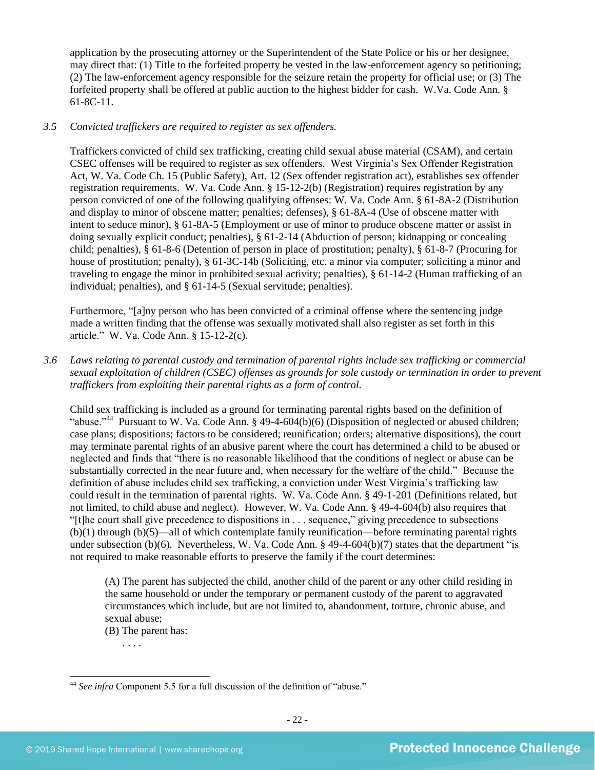application by the prosecuting attorney or the Superintendent of the State Police or his or her designee, may direct that: (1) Title to the forfeited property be vested in the law-enforcement agency so petitioning; (2) The law-enforcement agency responsible for the seizure retain the property for official use; or (3) The forfeited property shall be offered at public auction to the highest bidder for cash. W.Va. Code Ann. § 61-8C-11.

#### *3.5 Convicted traffickers are required to register as sex offenders.*

Traffickers convicted of child sex trafficking, creating child sexual abuse material (CSAM), and certain CSEC offenses will be required to register as sex offenders. West Virginia's Sex Offender Registration Act, W. Va. Code Ch. 15 (Public Safety), Art. 12 (Sex offender registration act), establishes sex offender registration requirements. W. Va. Code Ann. § 15-12-2(b) (Registration) requires registration by any person convicted of one of the following qualifying offenses: W. Va. Code Ann. § 61-8A-2 (Distribution and display to minor of obscene matter; penalties; defenses), § 61-8A-4 (Use of obscene matter with intent to seduce minor), § 61-8A-5 (Employment or use of minor to produce obscene matter or assist in doing sexually explicit conduct; penalties), § 61-2-14 (Abduction of person; kidnapping or concealing child; penalties), § 61-8-6 (Detention of person in place of prostitution; penalty), § 61-8-7 (Procuring for house of prostitution; penalty), § 61-3C-14b (Soliciting, etc. a minor via computer; soliciting a minor and traveling to engage the minor in prohibited sexual activity; penalties), § 61-14-2 (Human trafficking of an individual; penalties), and § 61-14-5 (Sexual servitude; penalties).

Furthermore, "[a]ny person who has been convicted of a criminal offense where the sentencing judge made a written finding that the offense was sexually motivated shall also register as set forth in this article." W. Va. Code Ann. § 15-12-2(c).

*3.6 Laws relating to parental custody and termination of parental rights include sex trafficking or commercial sexual exploitation of children (CSEC) offenses as grounds for sole custody or termination in order to prevent traffickers from exploiting their parental rights as a form of control.* 

Child sex trafficking is included as a ground for terminating parental rights based on the definition of "abuse."<sup>44</sup> Pursuant to W. Va. Code Ann. § 49-4-604(b)(6) (Disposition of neglected or abused children; case plans; dispositions; factors to be considered; reunification; orders; alternative dispositions), the court may terminate parental rights of an abusive parent where the court has determined a child to be abused or neglected and finds that "there is no reasonable likelihood that the conditions of neglect or abuse can be substantially corrected in the near future and, when necessary for the welfare of the child." Because the definition of abuse includes child sex trafficking, a conviction under West Virginia's trafficking law could result in the termination of parental rights. W. Va. Code Ann. § 49-1-201 (Definitions related, but not limited, to child abuse and neglect). However, W. Va. Code Ann. § 49-4-604(b) also requires that "[t]he court shall give precedence to dispositions in . . . sequence," giving precedence to subsections (b)(1) through (b)(5)—all of which contemplate family reunification—before terminating parental rights under subsection (b)(6). Nevertheless, W. Va. Code Ann. § 49-4-604(b)(7) states that the department "is not required to make reasonable efforts to preserve the family if the court determines:

(A) The parent has subjected the child, another child of the parent or any other child residing in the same household or under the temporary or permanent custody of the parent to aggravated circumstances which include, but are not limited to, abandonment, torture, chronic abuse, and sexual abuse;

(B) The parent has:

. . . .

<sup>&</sup>lt;sup>44</sup> See infra Component 5.5 for a full discussion of the definition of "abuse."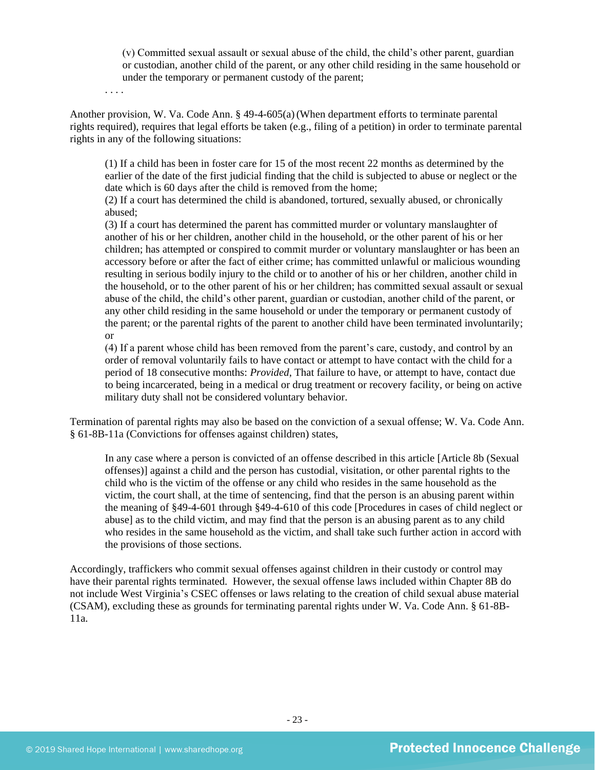(v) Committed sexual assault or sexual abuse of the child, the child's other parent, guardian or custodian, another child of the parent, or any other child residing in the same household or under the temporary or permanent custody of the parent;

. . . .

Another provision, W. Va. Code Ann. § 49-4-605(a)(When department efforts to terminate parental rights required), requires that legal efforts be taken (e.g., filing of a petition) in order to terminate parental rights in any of the following situations:

(1) If a child has been in foster care for 15 of the most recent 22 months as determined by the earlier of the date of the first judicial finding that the child is subjected to abuse or neglect or the date which is 60 days after the child is removed from the home;

(2) If a court has determined the child is abandoned, tortured, sexually abused, or chronically abused;

(3) If a court has determined the parent has committed murder or voluntary manslaughter of another of his or her children, another child in the household, or the other parent of his or her children; has attempted or conspired to commit murder or voluntary manslaughter or has been an accessory before or after the fact of either crime; has committed unlawful or malicious wounding resulting in serious bodily injury to the child or to another of his or her children, another child in the household, or to the other parent of his or her children; has committed sexual assault or sexual abuse of the child, the child's other parent, guardian or custodian, another child of the parent, or any other child residing in the same household or under the temporary or permanent custody of the parent; or the parental rights of the parent to another child have been terminated involuntarily; or

(4) If a parent whose child has been removed from the parent's care, custody, and control by an order of removal voluntarily fails to have contact or attempt to have contact with the child for a period of 18 consecutive months: *Provided*, That failure to have, or attempt to have, contact due to being incarcerated, being in a medical or drug treatment or recovery facility, or being on active military duty shall not be considered voluntary behavior.

Termination of parental rights may also be based on the conviction of a sexual offense; W. Va. Code Ann. § 61-8B-11a (Convictions for offenses against children) states,

In any case where a person is convicted of an offense described in this article [Article 8b (Sexual offenses)] against a child and the person has custodial, visitation, or other parental rights to the child who is the victim of the offense or any child who resides in the same household as the victim, the court shall, at the time of sentencing, find that the person is an abusing parent within the meaning of §49-4-601 through §49-4-610 of this code [Procedures in cases of child neglect or abuse] as to the child victim, and may find that the person is an abusing parent as to any child who resides in the same household as the victim, and shall take such further action in accord with the provisions of those sections.

Accordingly, traffickers who commit sexual offenses against children in their custody or control may have their parental rights terminated. However, the sexual offense laws included within Chapter 8B do not include West Virginia's CSEC offenses or laws relating to the creation of child sexual abuse material (CSAM), excluding these as grounds for terminating parental rights under W. Va. Code Ann. § 61-8B-11a.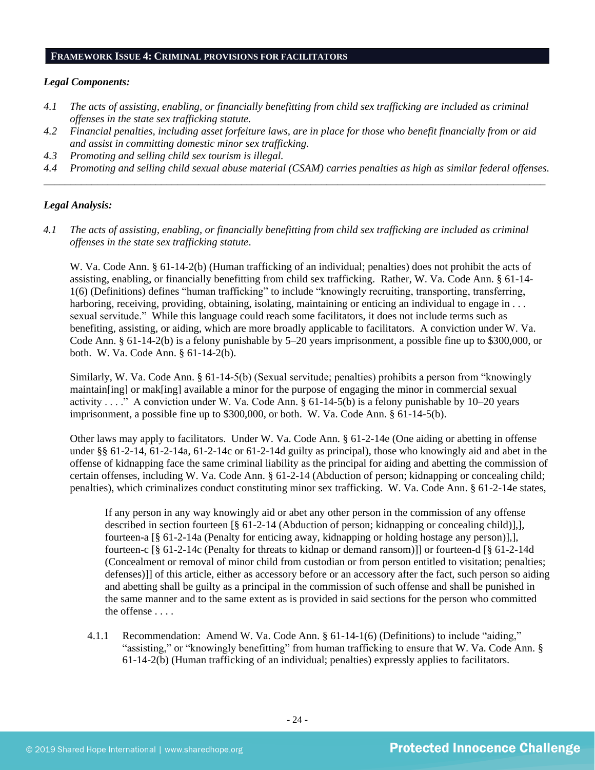#### **FRAMEWORK ISSUE 4: CRIMINAL PROVISIONS FOR FACILITATORS**

#### *Legal Components:*

- *4.1 The acts of assisting, enabling, or financially benefitting from child sex trafficking are included as criminal offenses in the state sex trafficking statute.*
- *4.2 Financial penalties, including asset forfeiture laws, are in place for those who benefit financially from or aid and assist in committing domestic minor sex trafficking.*
- *4.3 Promoting and selling child sex tourism is illegal.*
- *4.4 Promoting and selling child sexual abuse material (CSAM) carries penalties as high as similar federal offenses. \_\_\_\_\_\_\_\_\_\_\_\_\_\_\_\_\_\_\_\_\_\_\_\_\_\_\_\_\_\_\_\_\_\_\_\_\_\_\_\_\_\_\_\_\_\_\_\_\_\_\_\_\_\_\_\_\_\_\_\_\_\_\_\_\_\_\_\_\_\_\_\_\_\_\_\_\_\_\_\_\_\_\_\_\_\_\_\_\_\_\_\_\_\_*

#### *Legal Analysis:*

*4.1 The acts of assisting, enabling, or financially benefitting from child sex trafficking are included as criminal offenses in the state sex trafficking statute*.

W. Va. Code Ann. § 61-14-2(b) (Human trafficking of an individual; penalties) does not prohibit the acts of assisting, enabling, or financially benefitting from child sex trafficking. Rather, W. Va. Code Ann. § 61-14- 1(6) (Definitions) defines "human trafficking" to include "knowingly recruiting, transporting, transferring, harboring, receiving, providing, obtaining, isolating, maintaining or enticing an individual to engage in . . . sexual servitude." While this language could reach some facilitators, it does not include terms such as benefiting, assisting, or aiding, which are more broadly applicable to facilitators. A conviction under W. Va. Code Ann. § 61-14-2(b) is a felony punishable by 5–20 years imprisonment, a possible fine up to \$300,000, or both. W. Va. Code Ann. § 61-14-2(b).

Similarly, W. Va. Code Ann. § 61-14-5(b) (Sexual servitude; penalties) prohibits a person from "knowingly maintain[ing] or mak[ing] available a minor for the purpose of engaging the minor in commercial sexual activity . . . ." A conviction under W. Va. Code Ann.  $\S$  61-14-5(b) is a felony punishable by 10–20 years imprisonment, a possible fine up to \$300,000, or both. W. Va. Code Ann. § 61-14-5(b).

Other laws may apply to facilitators. Under W. Va. Code Ann. § 61-2-14e (One aiding or abetting in offense under §§ 61-2-14, 61-2-14a, 61-2-14c or 61-2-14d guilty as principal), those who knowingly aid and abet in the offense of kidnapping face the same criminal liability as the principal for aiding and abetting the commission of certain offenses, including W. Va. Code Ann. § 61-2-14 (Abduction of person; kidnapping or concealing child; penalties), which criminalizes conduct constituting minor sex trafficking. W. Va. Code Ann. § 61-2-14e states,

If any person in any way knowingly aid or abet any other person in the commission of any offense described in section fourteen [§ 61-2-14 (Abduction of person; kidnapping or concealing child)],], fourteen-a [§ 61-2-14a (Penalty for enticing away, kidnapping or holding hostage any person)],], fourteen-c [§ 61-2-14c (Penalty for threats to kidnap or demand ransom)]] or fourteen-d [§ 61-2-14d (Concealment or removal of minor child from custodian or from person entitled to visitation; penalties; defenses)]] of this article, either as accessory before or an accessory after the fact, such person so aiding and abetting shall be guilty as a principal in the commission of such offense and shall be punished in the same manner and to the same extent as is provided in said sections for the person who committed the offense . . . .

4.1.1 Recommendation: Amend W. Va. Code Ann. § 61-14-1(6) (Definitions) to include "aiding," "assisting," or "knowingly benefitting" from human trafficking to ensure that W. Va. Code Ann. § 61-14-2(b) (Human trafficking of an individual; penalties) expressly applies to facilitators.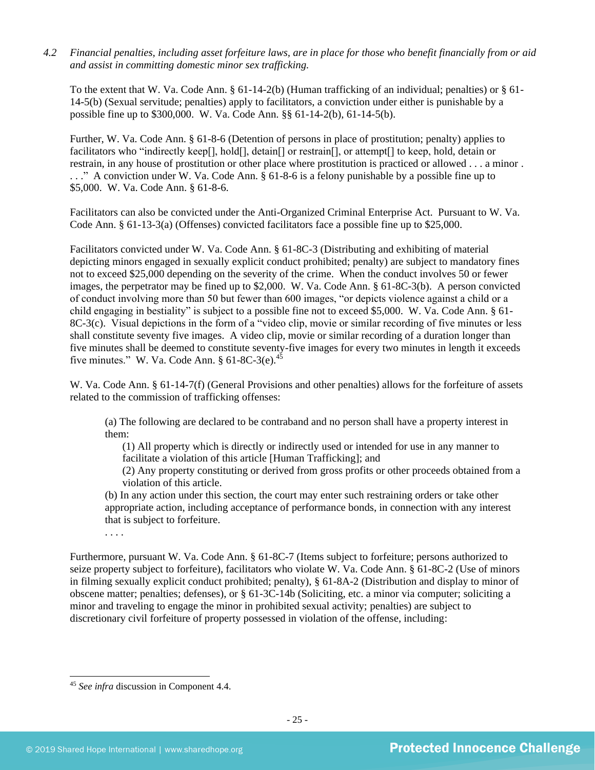*4.2 Financial penalties, including asset forfeiture laws, are in place for those who benefit financially from or aid and assist in committing domestic minor sex trafficking.*

To the extent that W. Va. Code Ann.  $\S 61-14-2(b)$  (Human trafficking of an individual; penalties) or  $\S 61-$ 14-5(b) (Sexual servitude; penalties) apply to facilitators, a conviction under either is punishable by a possible fine up to \$300,000. W. Va. Code Ann. §§ 61-14-2(b), 61-14-5(b).

Further, W. Va. Code Ann. § 61-8-6 (Detention of persons in place of prostitution; penalty) applies to facilitators who "indirectly keep[], hold[], detain[] or restrain[], or attempt[] to keep, hold, detain or restrain, in any house of prostitution or other place where prostitution is practiced or allowed . . . a minor . . . ." A conviction under W. Va. Code Ann. § 61-8-6 is a felony punishable by a possible fine up to \$5,000. W. Va. Code Ann. § 61-8-6.

Facilitators can also be convicted under the Anti-Organized Criminal Enterprise Act. Pursuant to W. Va. Code Ann. § 61-13-3(a) (Offenses) convicted facilitators face a possible fine up to \$25,000.

Facilitators convicted under W. Va. Code Ann. § 61-8C-3 (Distributing and exhibiting of material depicting minors engaged in sexually explicit conduct prohibited; penalty) are subject to mandatory fines not to exceed \$25,000 depending on the severity of the crime. When the conduct involves 50 or fewer images, the perpetrator may be fined up to \$2,000. W. Va. Code Ann. § 61-8C-3(b). A person convicted of conduct involving more than 50 but fewer than 600 images, "or depicts violence against a child or a child engaging in bestiality" is subject to a possible fine not to exceed \$5,000. W. Va. Code Ann. § 61- 8C-3(c). Visual depictions in the form of a "video clip, movie or similar recording of five minutes or less shall constitute seventy five images. A video clip, movie or similar recording of a duration longer than five minutes shall be deemed to constitute seventy-five images for every two minutes in length it exceeds five minutes." W. Va. Code Ann.  $\S 61-8C-3(e).$ <sup>45</sup>

W. Va. Code Ann. § 61-14-7(f) (General Provisions and other penalties) allows for the forfeiture of assets related to the commission of trafficking offenses:

(a) The following are declared to be contraband and no person shall have a property interest in them:

(1) All property which is directly or indirectly used or intended for use in any manner to facilitate a violation of this article [Human Trafficking]; and

(2) Any property constituting or derived from gross profits or other proceeds obtained from a violation of this article.

(b) In any action under this section, the court may enter such restraining orders or take other appropriate action, including acceptance of performance bonds, in connection with any interest that is subject to forfeiture.

. . . .

Furthermore, pursuant W. Va. Code Ann. § 61-8C-7 (Items subject to forfeiture; persons authorized to seize property subject to forfeiture), facilitators who violate W. Va. Code Ann. § 61-8C-2 (Use of minors in filming sexually explicit conduct prohibited; penalty), § 61-8A-2 (Distribution and display to minor of obscene matter; penalties; defenses), or § 61-3C-14b (Soliciting, etc. a minor via computer; soliciting a minor and traveling to engage the minor in prohibited sexual activity; penalties) are subject to discretionary civil forfeiture of property possessed in violation of the offense, including:

<sup>45</sup> *See infra* discussion in Component 4.4.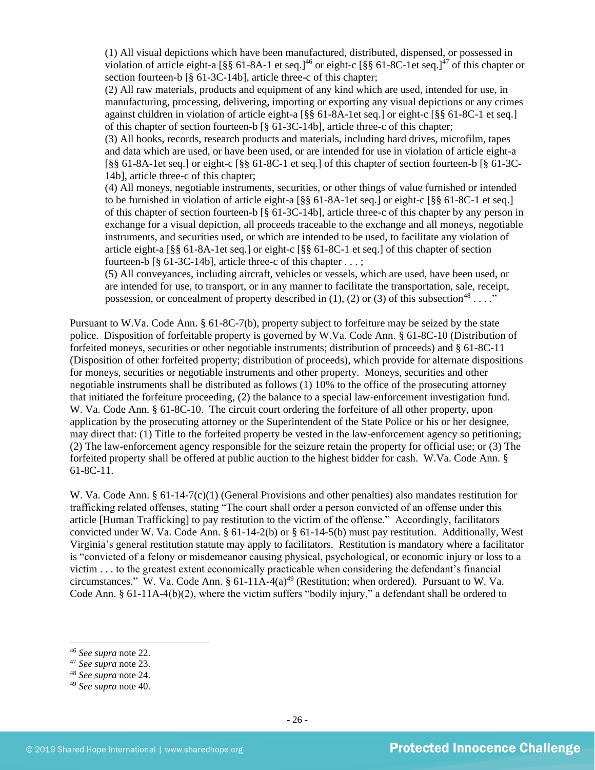(1) All visual depictions which have been manufactured, distributed, dispensed, or possessed in violation of article eight-a  $\lceil \frac{8}{5} \rceil$  61-8A-1 et seq.]<sup>46</sup> or eight-c  $\lceil \frac{8}{5} \rceil$  61-8C-1et seq.]<sup>47</sup> of this chapter or section fourteen-b [§ 61-3C-14b], article three-c of this chapter;

(2) All raw materials, products and equipment of any kind which are used, intended for use, in manufacturing, processing, delivering, importing or exporting any visual depictions or any crimes against children in violation of article eight-a [§§ 61-8A-1et seq.] or eight-c [§§ 61-8C-1 et seq.] of this chapter of section fourteen-b [§ 61-3C-14b], article three-c of this chapter;

(3) All books, records, research products and materials, including hard drives, microfilm, tapes and data which are used, or have been used, or are intended for use in violation of article eight-a [§§ 61-8A-1et seq.] or eight-c [§§ 61-8C-1 et seq.] of this chapter of section fourteen-b [§ 61-3C-14b], article three-c of this chapter;

(4) All moneys, negotiable instruments, securities, or other things of value furnished or intended to be furnished in violation of article eight-a [§§ 61-8A-1et seq.] or eight-c [§§ 61-8C-1 et seq.] of this chapter of section fourteen-b [§ 61-3C-14b], article three-c of this chapter by any person in exchange for a visual depiction, all proceeds traceable to the exchange and all moneys, negotiable instruments, and securities used, or which are intended to be used, to facilitate any violation of article eight-a [§§ 61-8A-1et seq.] or eight-c [§§ 61-8C-1 et seq.] of this chapter of section fourteen-b  $\lceil \S 61-3C-14b \rceil$ , article three-c of this chapter ...;

(5) All conveyances, including aircraft, vehicles or vessels, which are used, have been used, or are intended for use, to transport, or in any manner to facilitate the transportation, sale, receipt, possession, or concealment of property described in (1), (2) or (3) of this subsection<sup>48</sup>...."

Pursuant to W.Va. Code Ann. § 61-8C-7(b), property subject to forfeiture may be seized by the state police. Disposition of forfeitable property is governed by W.Va. Code Ann. § 61-8C-10 (Distribution of forfeited moneys, securities or other negotiable instruments; distribution of proceeds) and § 61-8C-11 (Disposition of other forfeited property; distribution of proceeds), which provide for alternate dispositions for moneys, securities or negotiable instruments and other property. Moneys, securities and other negotiable instruments shall be distributed as follows (1) 10% to the office of the prosecuting attorney that initiated the forfeiture proceeding, (2) the balance to a special law-enforcement investigation fund. W. Va. Code Ann. § 61-8C-10. The circuit court ordering the forfeiture of all other property, upon application by the prosecuting attorney or the Superintendent of the State Police or his or her designee, may direct that: (1) Title to the forfeited property be vested in the law-enforcement agency so petitioning; (2) The law-enforcement agency responsible for the seizure retain the property for official use; or (3) The forfeited property shall be offered at public auction to the highest bidder for cash. W.Va. Code Ann. § 61-8C-11.

W. Va. Code Ann. § 61-14-7(c)(1) (General Provisions and other penalties) also mandates restitution for trafficking related offenses, stating "The court shall order a person convicted of an offense under this article [Human Trafficking] to pay restitution to the victim of the offense." Accordingly, facilitators convicted under W. Va. Code Ann. § 61-14-2(b) or § 61-14-5(b) must pay restitution. Additionally, West Virginia's general restitution statute may apply to facilitators. Restitution is mandatory where a facilitator is "convicted of a felony or misdemeanor causing physical, psychological, or economic injury or loss to a victim . . . to the greatest extent economically practicable when considering the defendant's financial circumstances." W. Va. Code Ann. §  $61-11A-4(a)^{49}$  (Restitution; when ordered). Pursuant to W. Va. Code Ann. § 61-11A-4(b)(2), where the victim suffers "bodily injury," a defendant shall be ordered to

<sup>46</sup> *See supra* note [22.](#page-12-0) 

<sup>47</sup> *See supra* note [23.](#page-12-1)

<sup>48</sup> *See supra* note [24.](#page-12-2) 

<sup>49</sup> *See supra* note [40.](#page-19-0)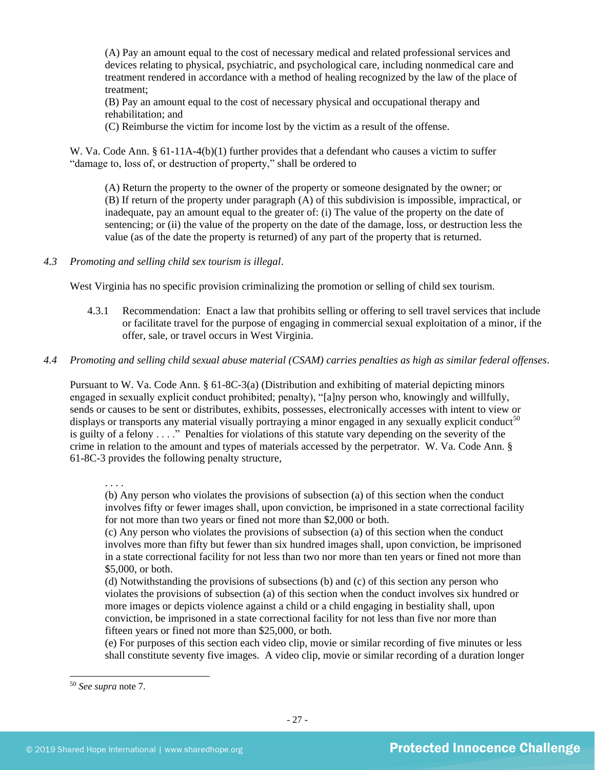(A) Pay an amount equal to the cost of necessary medical and related professional services and devices relating to physical, psychiatric, and psychological care, including nonmedical care and treatment rendered in accordance with a method of healing recognized by the law of the place of treatment;

(B) Pay an amount equal to the cost of necessary physical and occupational therapy and rehabilitation; and

(C) Reimburse the victim for income lost by the victim as a result of the offense.

W. Va. Code Ann. § 61-11A-4(b)(1) further provides that a defendant who causes a victim to suffer "damage to, loss of, or destruction of property," shall be ordered to

(A) Return the property to the owner of the property or someone designated by the owner; or (B) If return of the property under paragraph (A) of this subdivision is impossible, impractical, or inadequate, pay an amount equal to the greater of: (i) The value of the property on the date of sentencing; or (ii) the value of the property on the date of the damage, loss, or destruction less the value (as of the date the property is returned) of any part of the property that is returned.

## *4.3 Promoting and selling child sex tourism is illegal*.

West Virginia has no specific provision criminalizing the promotion or selling of child sex tourism.

- 4.3.1 Recommendation: Enact a law that prohibits selling or offering to sell travel services that include or facilitate travel for the purpose of engaging in commercial sexual exploitation of a minor, if the offer, sale, or travel occurs in West Virginia.
- *4.4 Promoting and selling child sexual abuse material (CSAM) carries penalties as high as similar federal offenses*.

Pursuant to W. Va. Code Ann. § 61-8C-3(a) (Distribution and exhibiting of material depicting minors engaged in sexually explicit conduct prohibited; penalty), "[a]ny person who, knowingly and willfully, sends or causes to be sent or distributes, exhibits, possesses, electronically accesses with intent to view or displays or transports any material visually portraying a minor engaged in any sexually explicit conduct<sup>50</sup> is guilty of a felony . . . ." Penalties for violations of this statute vary depending on the severity of the crime in relation to the amount and types of materials accessed by the perpetrator. W. Va. Code Ann. § 61-8C-3 provides the following penalty structure,

. . . .

(b) Any person who violates the provisions of subsection (a) of this section when the conduct involves fifty or fewer images shall, upon conviction, be imprisoned in a state correctional facility for not more than two years or fined not more than \$2,000 or both.

(c) Any person who violates the provisions of subsection (a) of this section when the conduct involves more than fifty but fewer than six hundred images shall, upon conviction, be imprisoned in a state correctional facility for not less than two nor more than ten years or fined not more than \$5,000, or both.

(d) Notwithstanding the provisions of subsections (b) and (c) of this section any person who violates the provisions of subsection (a) of this section when the conduct involves six hundred or more images or depicts violence against a child or a child engaging in bestiality shall, upon conviction, be imprisoned in a state correctional facility for not less than five nor more than fifteen years or fined not more than \$25,000, or both.

(e) For purposes of this section each video clip, movie or similar recording of five minutes or less shall constitute seventy five images. A video clip, movie or similar recording of a duration longer

<sup>50</sup> *See supra* note [7.](#page-2-2)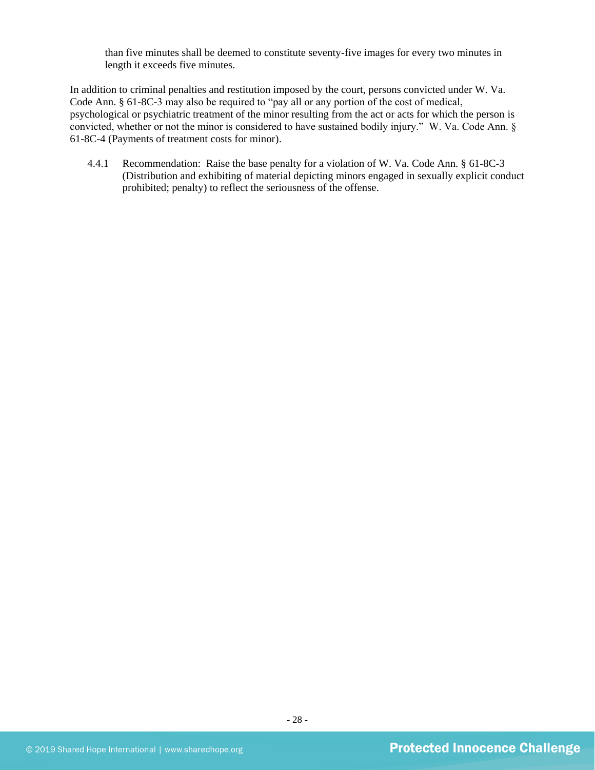than five minutes shall be deemed to constitute seventy-five images for every two minutes in length it exceeds five minutes.

In addition to criminal penalties and restitution imposed by the court, persons convicted under W. Va. Code Ann. § 61-8C-3 may also be required to "pay all or any portion of the cost of medical, psychological or psychiatric treatment of the minor resulting from the act or acts for which the person is convicted, whether or not the minor is considered to have sustained bodily injury." W. Va. Code Ann. § 61-8C-4 (Payments of treatment costs for minor).

4.4.1 Recommendation: Raise the base penalty for a violation of W. Va. Code Ann. § 61-8C-3 (Distribution and exhibiting of material depicting minors engaged in sexually explicit conduct prohibited; penalty) to reflect the seriousness of the offense.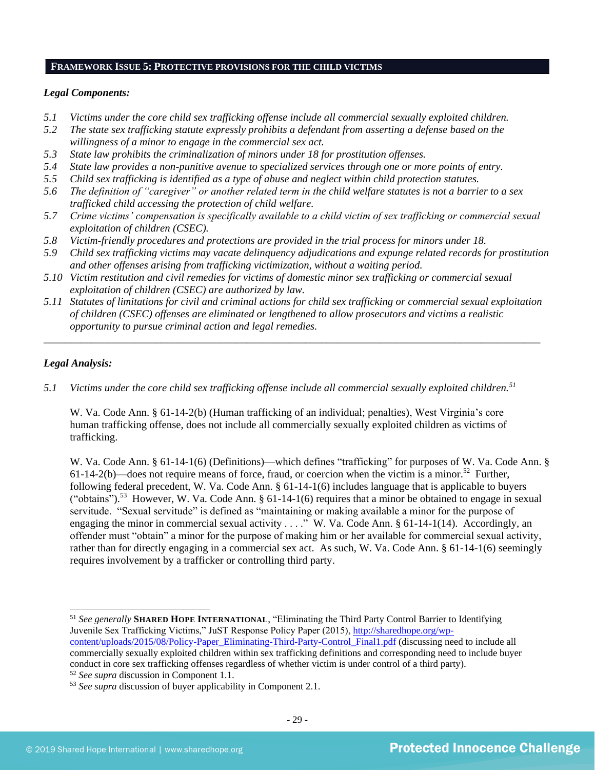#### **FRAMEWORK ISSUE 5: PROTECTIVE PROVISIONS FOR THE CHILD VICTIMS**

#### *Legal Components:*

- *5.1 Victims under the core child sex trafficking offense include all commercial sexually exploited children.*
- *5.2 The state sex trafficking statute expressly prohibits a defendant from asserting a defense based on the willingness of a minor to engage in the commercial sex act.*
- *5.3 State law prohibits the criminalization of minors under 18 for prostitution offenses.*
- *5.4 State law provides a non-punitive avenue to specialized services through one or more points of entry.*
- *5.5 Child sex trafficking is identified as a type of abuse and neglect within child protection statutes.*
- *5.6 The definition of "caregiver" or another related term in the child welfare statutes is not a barrier to a sex trafficked child accessing the protection of child welfare.*
- *5.7 Crime victims' compensation is specifically available to a child victim of sex trafficking or commercial sexual exploitation of children (CSEC).*
- *5.8 Victim-friendly procedures and protections are provided in the trial process for minors under 18.*
- *5.9 Child sex trafficking victims may vacate delinquency adjudications and expunge related records for prostitution and other offenses arising from trafficking victimization, without a waiting period.*
- *5.10 Victim restitution and civil remedies for victims of domestic minor sex trafficking or commercial sexual exploitation of children (CSEC) are authorized by law.*
- *5.11 Statutes of limitations for civil and criminal actions for child sex trafficking or commercial sexual exploitation of children (CSEC) offenses are eliminated or lengthened to allow prosecutors and victims a realistic opportunity to pursue criminal action and legal remedies.*

*\_\_\_\_\_\_\_\_\_\_\_\_\_\_\_\_\_\_\_\_\_\_\_\_\_\_\_\_\_\_\_\_\_\_\_\_\_\_\_\_\_\_\_\_\_\_\_\_\_\_\_\_\_\_\_\_\_\_\_\_\_\_\_\_\_\_\_\_\_\_\_\_\_\_\_\_\_\_\_\_\_\_\_\_\_\_\_\_\_\_\_\_\_*

#### *Legal Analysis:*

*5.1 Victims under the core child sex trafficking offense include all commercial sexually exploited children.<sup>51</sup>* 

W. Va. Code Ann. § 61-14-2(b) (Human trafficking of an individual; penalties), West Virginia's core human trafficking offense, does not include all commercially sexually exploited children as victims of trafficking.

W. Va. Code Ann. § 61-14-1(6) (Definitions)—which defines "trafficking" for purposes of W. Va. Code Ann. §  $61-14-2(b)$ —does not require means of force, fraud, or coercion when the victim is a minor.<sup>52</sup> Further, following federal precedent, W. Va. Code Ann. § 61-14-1(6) includes language that is applicable to buyers ("obtains").<sup>53</sup> However, W. Va. Code Ann. § 61-14-1(6) requires that a minor be obtained to engage in sexual servitude. "Sexual servitude" is defined as "maintaining or making available a minor for the purpose of engaging the minor in commercial sexual activity . . . ." W. Va. Code Ann. § 61-14-1(14). Accordingly, an offender must "obtain" a minor for the purpose of making him or her available for commercial sexual activity, rather than for directly engaging in a commercial sex act. As such, W. Va. Code Ann. § 61-14-1(6) seemingly requires involvement by a trafficker or controlling third party.

<sup>51</sup> *See generally* **SHARED HOPE INTERNATIONAL**, "Eliminating the Third Party Control Barrier to Identifying Juvenile Sex Trafficking Victims," JuST Response Policy Paper (2015), [http://sharedhope.org/wp](http://sharedhope.org/wp-content/uploads/2015/08/Policy-Paper_Eliminating-Third-Party-Control_Final1.pdf)[content/uploads/2015/08/Policy-Paper\\_Eliminating-Third-Party-Control\\_Final1.pdf](http://sharedhope.org/wp-content/uploads/2015/08/Policy-Paper_Eliminating-Third-Party-Control_Final1.pdf) (discussing need to include all commercially sexually exploited children within sex trafficking definitions and corresponding need to include buyer conduct in core sex trafficking offenses regardless of whether victim is under control of a third party).

<sup>52</sup> *See supra* discussion in Component 1.1.

<sup>53</sup> *See supra* discussion of buyer applicability in Component 2.1.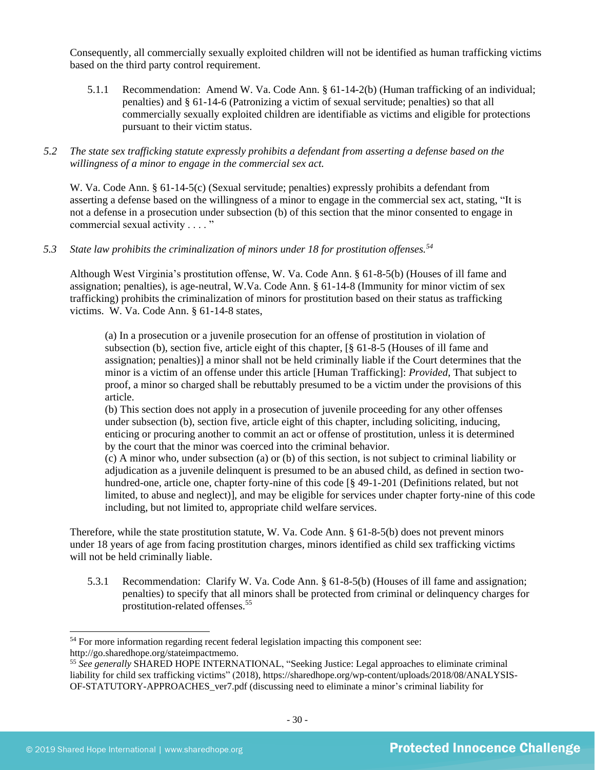Consequently, all commercially sexually exploited children will not be identified as human trafficking victims based on the third party control requirement.

- 5.1.1 Recommendation: Amend W. Va. Code Ann. § 61-14-2(b) (Human trafficking of an individual; penalties) and § 61-14-6 (Patronizing a victim of sexual servitude; penalties) so that all commercially sexually exploited children are identifiable as victims and eligible for protections pursuant to their victim status.
- *5.2 The state sex trafficking statute expressly prohibits a defendant from asserting a defense based on the willingness of a minor to engage in the commercial sex act.*

W. Va. Code Ann. § 61-14-5(c) (Sexual servitude; penalties) expressly prohibits a defendant from asserting a defense based on the willingness of a minor to engage in the commercial sex act, stating, "It is not a defense in a prosecution under subsection (b) of this section that the minor consented to engage in commercial sexual activity . . . . "

*5.3 State law prohibits the criminalization of minors under 18 for prostitution offenses.<sup>54</sup>*

Although West Virginia's prostitution offense, W. Va. Code Ann. § 61-8-5(b) (Houses of ill fame and assignation; penalties), is age-neutral, W.Va. Code Ann. § 61-14-8 (Immunity for minor victim of sex trafficking) prohibits the criminalization of minors for prostitution based on their status as trafficking victims. W. Va. Code Ann. § 61-14-8 states,

(a) In a prosecution or a juvenile prosecution for an offense of prostitution in violation of subsection (b), section five, article eight of this chapter, [§ 61-8-5 (Houses of ill fame and assignation; penalties)] a minor shall not be held criminally liable if the Court determines that the minor is a victim of an offense under this article [Human Trafficking]: *Provided*, That subject to proof, a minor so charged shall be rebuttably presumed to be a victim under the provisions of this article.

(b) This section does not apply in a prosecution of juvenile proceeding for any other offenses under subsection (b), section five, article eight of this chapter, including soliciting, inducing, enticing or procuring another to commit an act or offense of prostitution, unless it is determined by the court that the minor was coerced into the criminal behavior.

(c) A minor who, under subsection (a) or (b) of this section, is not subject to criminal liability or adjudication as a juvenile delinquent is presumed to be an abused child, as defined in section twohundred-one, article one, chapter forty-nine of this code [§ 49-1-201 (Definitions related, but not limited, to abuse and neglect)], and may be eligible for services under chapter forty-nine of this code including, but not limited to, appropriate child welfare services.

Therefore, while the state prostitution statute, W. Va. Code Ann. § 61-8-5(b) does not prevent minors under 18 years of age from facing prostitution charges, minors identified as child sex trafficking victims will not be held criminally liable.

5.3.1 Recommendation: Clarify W. Va. Code Ann. § 61-8-5(b) (Houses of ill fame and assignation; penalties) to specify that all minors shall be protected from criminal or delinquency charges for prostitution-related offenses.<sup>55</sup>

<sup>&</sup>lt;sup>54</sup> For more information regarding recent federal legislation impacting this component see: http://go.sharedhope.org/stateimpactmemo.

<sup>55</sup> *See generally* SHARED HOPE INTERNATIONAL, "Seeking Justice: Legal approaches to eliminate criminal liability for child sex trafficking victims" (2018), https://sharedhope.org/wp-content/uploads/2018/08/ANALYSIS-OF-STATUTORY-APPROACHES\_ver7.pdf (discussing need to eliminate a minor's criminal liability for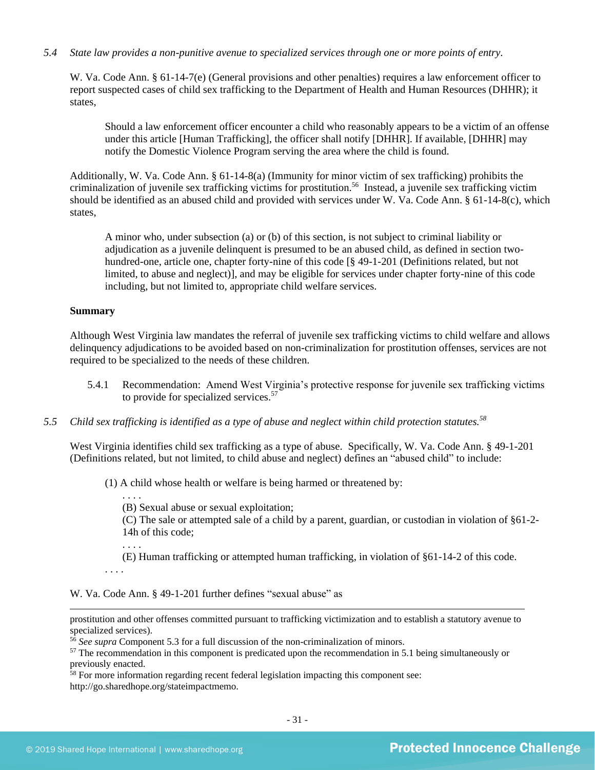#### *5.4 State law provides a non-punitive avenue to specialized services through one or more points of entry.*

W. Va. Code Ann. § 61-14-7(e) (General provisions and other penalties) requires a law enforcement officer to report suspected cases of child sex trafficking to the Department of Health and Human Resources (DHHR); it states,

Should a law enforcement officer encounter a child who reasonably appears to be a victim of an offense under this article [Human Trafficking], the officer shall notify [DHHR]. If available, [DHHR] may notify the Domestic Violence Program serving the area where the child is found.

Additionally, W. Va. Code Ann. § 61-14-8(a) (Immunity for minor victim of sex trafficking) prohibits the criminalization of juvenile sex trafficking victims for prostitution.<sup>56</sup> Instead, a juvenile sex trafficking victim should be identified as an abused child and provided with services under W. Va. Code Ann. § 61-14-8(c), which states,

A minor who, under subsection (a) or (b) of this section, is not subject to criminal liability or adjudication as a juvenile delinquent is presumed to be an abused child, as defined in section twohundred-one, article one, chapter forty-nine of this code [§ 49-1-201 (Definitions related, but not limited, to abuse and neglect)], and may be eligible for services under chapter forty-nine of this code including, but not limited to, appropriate child welfare services.

#### **Summary**

Although West Virginia law mandates the referral of juvenile sex trafficking victims to child welfare and allows delinquency adjudications to be avoided based on non-criminalization for prostitution offenses, services are not required to be specialized to the needs of these children.

- 5.4.1 Recommendation: Amend West Virginia's protective response for juvenile sex trafficking victims to provide for specialized services. 57
- *5.5 Child sex trafficking is identified as a type of abuse and neglect within child protection statutes.<sup>58</sup>*

West Virginia identifies child sex trafficking as a type of abuse. Specifically, W. Va. Code Ann. § 49-1-201 (Definitions related, but not limited, to child abuse and neglect) defines an "abused child" to include:

(1) A child whose health or welfare is being harmed or threatened by:

(B) Sexual abuse or sexual exploitation;

(C) The sale or attempted sale of a child by a parent, guardian, or custodian in violation of §61-2- 14h of this code;

(E) Human trafficking or attempted human trafficking, in violation of §61-14-2 of this code.

. . . .

. . . .

. . . .

W. Va. Code Ann. § 49-1-201 further defines "sexual abuse" as

prostitution and other offenses committed pursuant to trafficking victimization and to establish a statutory avenue to specialized services).

<sup>56</sup> *See supra* Component 5.3 for a full discussion of the non-criminalization of minors.

<sup>57</sup> The recommendation in this component is predicated upon the recommendation in 5.1 being simultaneously or previously enacted.

 $58$  For more information regarding recent federal legislation impacting this component see: http://go.sharedhope.org/stateimpactmemo.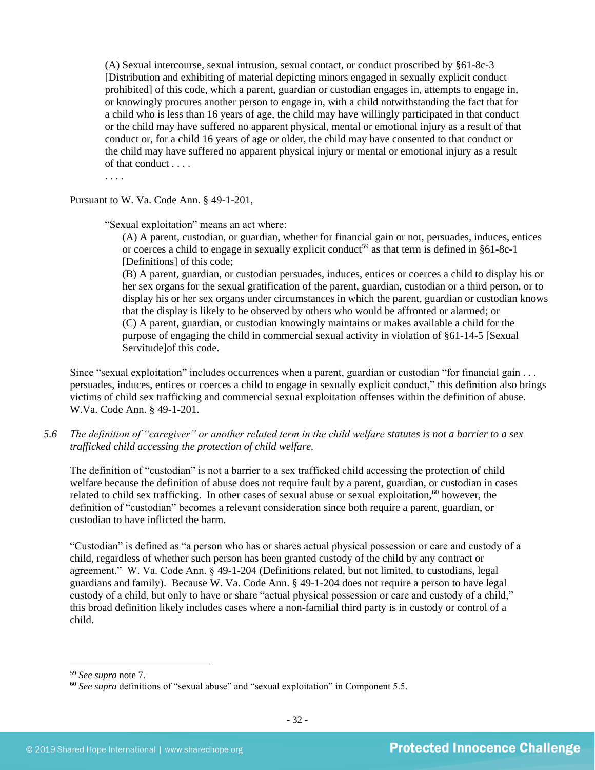(A) Sexual intercourse, sexual intrusion, sexual contact, or conduct proscribed by §61-8c-3 [Distribution and exhibiting of material depicting minors engaged in sexually explicit conduct prohibited] of this code, which a parent, guardian or custodian engages in, attempts to engage in, or knowingly procures another person to engage in, with a child notwithstanding the fact that for a child who is less than 16 years of age, the child may have willingly participated in that conduct or the child may have suffered no apparent physical, mental or emotional injury as a result of that conduct or, for a child 16 years of age or older, the child may have consented to that conduct or the child may have suffered no apparent physical injury or mental or emotional injury as a result of that conduct . . . .

. . . .

Pursuant to W. Va. Code Ann. § 49-1-201,

"Sexual exploitation" means an act where:

(A) A parent, custodian, or guardian, whether for financial gain or not, persuades, induces, entices or coerces a child to engage in sexually explicit conduct<sup>59</sup> as that term is defined in  $§61-8c-1$ [Definitions] of this code;

(B) A parent, guardian, or custodian persuades, induces, entices or coerces a child to display his or her sex organs for the sexual gratification of the parent, guardian, custodian or a third person, or to display his or her sex organs under circumstances in which the parent, guardian or custodian knows that the display is likely to be observed by others who would be affronted or alarmed; or (C) A parent, guardian, or custodian knowingly maintains or makes available a child for the purpose of engaging the child in commercial sexual activity in violation of §61-14-5 [Sexual Servitude]of this code.

Since "sexual exploitation" includes occurrences when a parent, guardian or custodian "for financial gain . . . persuades, induces, entices or coerces a child to engage in sexually explicit conduct," this definition also brings victims of child sex trafficking and commercial sexual exploitation offenses within the definition of abuse. W.Va. Code Ann. § 49-1-201.

*5.6 The definition of "caregiver" or another related term in the child welfare statutes is not a barrier to a sex trafficked child accessing the protection of child welfare.*

The definition of "custodian" is not a barrier to a sex trafficked child accessing the protection of child welfare because the definition of abuse does not require fault by a parent, guardian, or custodian in cases related to child sex trafficking. In other cases of sexual abuse or sexual exploitation,<sup>60</sup> however, the definition of "custodian" becomes a relevant consideration since both require a parent, guardian, or custodian to have inflicted the harm.

"Custodian" is defined as "a person who has or shares actual physical possession or care and custody of a child, regardless of whether such person has been granted custody of the child by any contract or agreement." W. Va. Code Ann. § 49-1-204 (Definitions related, but not limited, to custodians, legal guardians and family). Because W. Va. Code Ann. § 49-1-204 does not require a person to have legal custody of a child, but only to have or share "actual physical possession or care and custody of a child," this broad definition likely includes cases where a non-familial third party is in custody or control of a child.

<sup>59</sup> *See supra* note [7.](#page-2-2) 

<sup>60</sup> *See supra* definitions of "sexual abuse" and "sexual exploitation" in Component 5.5.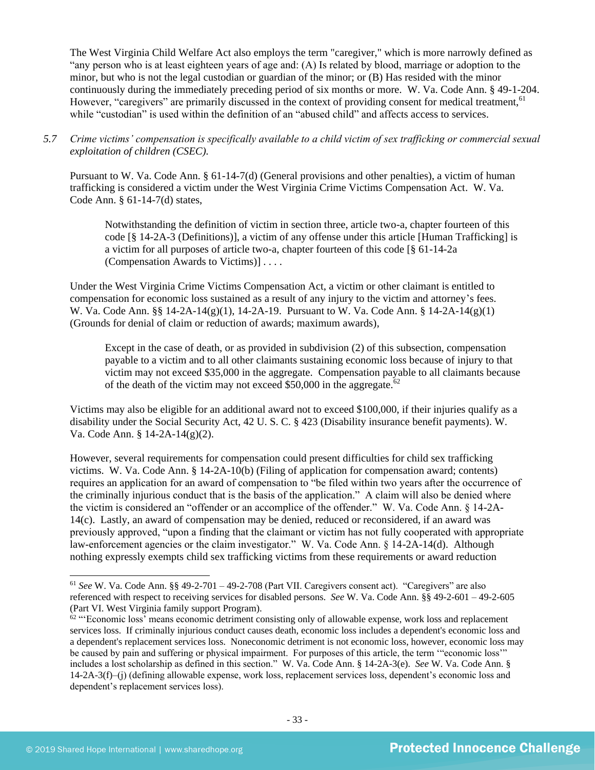The West Virginia Child Welfare Act also employs the term "caregiver," which is more narrowly defined as "any person who is at least eighteen years of age and: (A) Is related by blood, marriage or adoption to the minor, but who is not the legal custodian or guardian of the minor; or (B) Has resided with the minor continuously during the immediately preceding period of six months or more. W. Va. Code Ann. § 49-1-204. However, "caregivers" are primarily discussed in the context of providing consent for medical treatment,<sup>61</sup> while "custodian" is used within the definition of an "abused child" and affects access to services.

*5.7 Crime victims' compensation is specifically available to a child victim of sex trafficking or commercial sexual exploitation of children (CSEC).*

Pursuant to W. Va. Code Ann. § 61-14-7(d) (General provisions and other penalties), a victim of human trafficking is considered a victim under the West Virginia Crime Victims Compensation Act. W. Va. Code Ann. § 61-14-7(d) states,

Notwithstanding the definition of victim in section three, article two-a, chapter fourteen of this code [§ 14-2A-3 (Definitions)], a victim of any offense under this article [Human Trafficking] is a victim for all purposes of article two-a, chapter fourteen of this code [§ 61-14-2a (Compensation Awards to Victims)] . . . .

Under the West Virginia Crime Victims Compensation Act, a victim or other claimant is entitled to compensation for economic loss sustained as a result of any injury to the victim and attorney's fees. W. Va. Code Ann. §§ 14-2A-14(g)(1), 14-2A-19. Pursuant to W. Va. Code Ann. § 14-2A-14(g)(1) (Grounds for denial of claim or reduction of awards; maximum awards),

Except in the case of death, or as provided in subdivision (2) of this subsection, compensation payable to a victim and to all other claimants sustaining economic loss because of injury to that victim may not exceed \$35,000 in the aggregate. Compensation payable to all claimants because of the death of the victim may not exceed \$50,000 in the aggregate.<sup>62</sup>

Victims may also be eligible for an additional award not to exceed \$100,000, if their injuries qualify as a disability under the Social Security Act, 42 U. S. C. § 423 (Disability insurance benefit payments). W. Va. Code Ann. § 14-2A-14(g)(2).

However, several requirements for compensation could present difficulties for child sex trafficking victims. W. Va. Code Ann. § 14-2A-10(b) (Filing of application for compensation award; contents) requires an application for an award of compensation to "be filed within two years after the occurrence of the criminally injurious conduct that is the basis of the application." A claim will also be denied where the victim is considered an "offender or an accomplice of the offender." W. Va. Code Ann. § 14-2A-14(c). Lastly, an award of compensation may be denied, reduced or reconsidered, if an award was previously approved, "upon a finding that the claimant or victim has not fully cooperated with appropriate law-enforcement agencies or the claim investigator." W. Va. Code Ann. § 14-2A-14(d). Although nothing expressly exempts child sex trafficking victims from these requirements or award reduction

<sup>61</sup> *See* W. Va. Code Ann. §§ 49-2-701 – 49-2-708 (Part VII. Caregivers consent act). "Caregivers" are also referenced with respect to receiving services for disabled persons. *See* W. Va. Code Ann. §§ 49-2-601 – 49-2-605 (Part VI. West Virginia family support Program).

 $62$  "Economic loss' means economic detriment consisting only of allowable expense, work loss and replacement services loss. If criminally injurious conduct causes death, economic loss includes a dependent's economic loss and a dependent's replacement services loss. Noneconomic detriment is not economic loss, however, economic loss may be caused by pain and suffering or physical impairment. For purposes of this article, the term '"economic loss'" includes a lost scholarship as defined in this section." W. Va. Code Ann. § 14-2A-3(e). *See* W. Va. Code Ann. § 14-2A-3(f)–(j) (defining allowable expense, work loss, replacement services loss, dependent's economic loss and dependent's replacement services loss).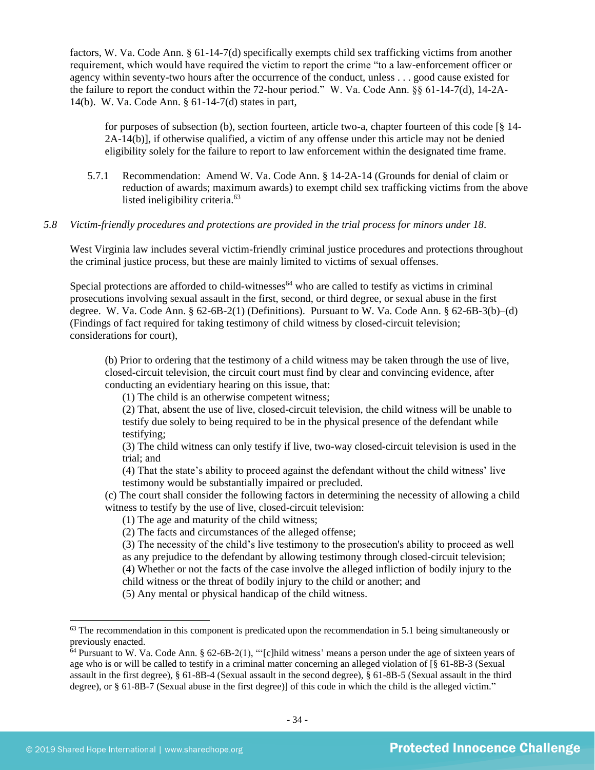factors, W. Va. Code Ann. § 61-14-7(d) specifically exempts child sex trafficking victims from another requirement, which would have required the victim to report the crime "to a law-enforcement officer or agency within seventy-two hours after the occurrence of the conduct, unless . . . good cause existed for the failure to report the conduct within the 72-hour period." W. Va. Code Ann. §§ 61-14-7(d), 14-2A-14(b). W. Va. Code Ann. § 61-14-7(d) states in part,

for purposes of subsection (b), section fourteen, article two-a, chapter fourteen of this code [§ 14- 2A-14(b)], if otherwise qualified, a victim of any offense under this article may not be denied eligibility solely for the failure to report to law enforcement within the designated time frame.

5.7.1 Recommendation: Amend W. Va. Code Ann. § 14-2A-14 (Grounds for denial of claim or reduction of awards; maximum awards) to exempt child sex trafficking victims from the above listed ineligibility criteria.<sup>63</sup>

#### *5.8 Victim-friendly procedures and protections are provided in the trial process for minors under 18.*

West Virginia law includes several victim-friendly criminal justice procedures and protections throughout the criminal justice process, but these are mainly limited to victims of sexual offenses.

Special protections are afforded to child-witnesses<sup> $64$ </sup> who are called to testify as victims in criminal prosecutions involving sexual assault in the first, second, or third degree, or sexual abuse in the first degree. W. Va. Code Ann. § 62-6B-2(1) (Definitions). Pursuant to W. Va. Code Ann. § 62-6B-3(b)–(d) (Findings of fact required for taking testimony of child witness by closed-circuit television; considerations for court),

(b) Prior to ordering that the testimony of a child witness may be taken through the use of live, closed-circuit television, the circuit court must find by clear and convincing evidence, after conducting an evidentiary hearing on this issue, that:

(1) The child is an otherwise competent witness;

(2) That, absent the use of live, closed-circuit television, the child witness will be unable to testify due solely to being required to be in the physical presence of the defendant while testifying;

(3) The child witness can only testify if live, two-way closed-circuit television is used in the trial; and

(4) That the state's ability to proceed against the defendant without the child witness' live testimony would be substantially impaired or precluded.

(c) The court shall consider the following factors in determining the necessity of allowing a child witness to testify by the use of live, closed-circuit television:

(1) The age and maturity of the child witness;

(2) The facts and circumstances of the alleged offense;

(3) The necessity of the child's live testimony to the prosecution's ability to proceed as well as any prejudice to the defendant by allowing testimony through closed-circuit television;

(4) Whether or not the facts of the case involve the alleged infliction of bodily injury to the

child witness or the threat of bodily injury to the child or another; and

(5) Any mental or physical handicap of the child witness.

 $63$  The recommendation in this component is predicated upon the recommendation in 5.1 being simultaneously or previously enacted.

 $64$  Pursuant to W. Va. Code Ann. § 62-6B-2(1), "'[c]hild witness' means a person under the age of sixteen years of age who is or will be called to testify in a criminal matter concerning an alleged violation of [§ 61-8B-3 (Sexual assault in the first degree), § 61-8B-4 (Sexual assault in the second degree), § 61-8B-5 (Sexual assault in the third degree), or § 61-8B-7 (Sexual abuse in the first degree)] of this code in which the child is the alleged victim."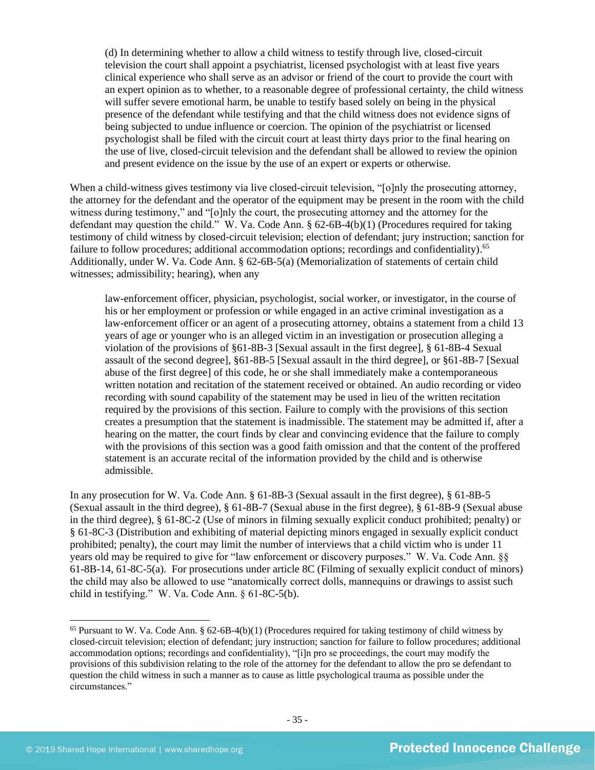(d) In determining whether to allow a child witness to testify through live, closed-circuit television the court shall appoint a psychiatrist, licensed psychologist with at least five years clinical experience who shall serve as an advisor or friend of the court to provide the court with an expert opinion as to whether, to a reasonable degree of professional certainty, the child witness will suffer severe emotional harm, be unable to testify based solely on being in the physical presence of the defendant while testifying and that the child witness does not evidence signs of being subjected to undue influence or coercion. The opinion of the psychiatrist or licensed psychologist shall be filed with the circuit court at least thirty days prior to the final hearing on the use of live, closed-circuit television and the defendant shall be allowed to review the opinion and present evidence on the issue by the use of an expert or experts or otherwise.

When a child-witness gives testimony via live closed-circuit television, "[o]nly the prosecuting attorney, the attorney for the defendant and the operator of the equipment may be present in the room with the child witness during testimony," and "[o]nly the court, the prosecuting attorney and the attorney for the defendant may question the child." W. Va. Code Ann. § 62-6B-4(b)(1) (Procedures required for taking testimony of child witness by closed-circuit television; election of defendant; jury instruction; sanction for failure to follow procedures; additional accommodation options; recordings and confidentiality).<sup>65</sup> Additionally, under W. Va. Code Ann. § 62-6B-5(a) (Memorialization of statements of certain child witnesses; admissibility; hearing), when any

law-enforcement officer, physician, psychologist, social worker, or investigator, in the course of his or her employment or profession or while engaged in an active criminal investigation as a law-enforcement officer or an agent of a prosecuting attorney, obtains a statement from a child 13 years of age or younger who is an alleged victim in an investigation or prosecution alleging a violation of the provisions of §61-8B-3 [Sexual assault in the first degree], § 61-8B-4 Sexual assault of the second degree], §61-8B-5 [Sexual assault in the third degree], or §61-8B-7 [Sexual abuse of the first degree] of this code, he or she shall immediately make a contemporaneous written notation and recitation of the statement received or obtained. An audio recording or video recording with sound capability of the statement may be used in lieu of the written recitation required by the provisions of this section. Failure to comply with the provisions of this section creates a presumption that the statement is inadmissible. The statement may be admitted if, after a hearing on the matter, the court finds by clear and convincing evidence that the failure to comply with the provisions of this section was a good faith omission and that the content of the proffered statement is an accurate recital of the information provided by the child and is otherwise admissible.

In any prosecution for W. Va. Code Ann. § 61-8B-3 (Sexual assault in the first degree), § 61-8B-5 (Sexual assault in the third degree), § 61-8B-7 (Sexual abuse in the first degree), § 61-8B-9 (Sexual abuse in the third degree), § 61-8C-2 (Use of minors in filming sexually explicit conduct prohibited; penalty) or § 61-8C-3 (Distribution and exhibiting of material depicting minors engaged in sexually explicit conduct prohibited; penalty), the court may limit the number of interviews that a child victim who is under 11 years old may be required to give for "law enforcement or discovery purposes." W. Va. Code Ann. §§ 61-8B-14, 61-8C-5(a). For prosecutions under article 8C (Filming of sexually explicit conduct of minors) the child may also be allowed to use "anatomically correct dolls, mannequins or drawings to assist such child in testifying." W. Va. Code Ann. § 61-8C-5(b).

 $65$  Pursuant to W. Va. Code Ann. § 62-6B-4(b)(1) (Procedures required for taking testimony of child witness by closed-circuit television; election of defendant; jury instruction; sanction for failure to follow procedures; additional accommodation options; recordings and confidentiality), "[i]n pro se proceedings, the court may modify the provisions of this subdivision relating to the role of the attorney for the defendant to allow the pro se defendant to question the child witness in such a manner as to cause as little psychological trauma as possible under the circumstances."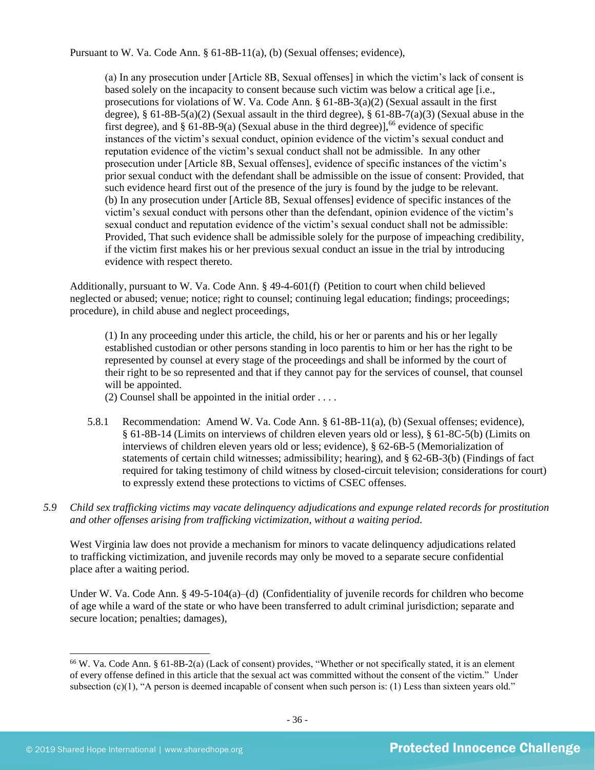Pursuant to W. Va. Code Ann. § 61-8B-11(a), (b) (Sexual offenses; evidence),

(a) In any prosecution under [Article 8B, Sexual offenses] in which the victim's lack of consent is based solely on the incapacity to consent because such victim was below a critical age [i.e., prosecutions for violations of W. Va. Code Ann. § 61-8B-3(a)(2) (Sexual assault in the first degree),  $§ 61-8B-5(a)(2)$  (Sexual assault in the third degree),  $§ 61-8B-7(a)(3)$  (Sexual abuse in the first degree), and  $\S 61-8B-9(a)$  (Sexual abuse in the third degree)], <sup>66</sup> evidence of specific instances of the victim's sexual conduct, opinion evidence of the victim's sexual conduct and reputation evidence of the victim's sexual conduct shall not be admissible. In any other prosecution under [Article 8B, Sexual offenses], evidence of specific instances of the victim's prior sexual conduct with the defendant shall be admissible on the issue of consent: Provided, that such evidence heard first out of the presence of the jury is found by the judge to be relevant. (b) In any prosecution under [Article 8B, Sexual offenses] evidence of specific instances of the victim's sexual conduct with persons other than the defendant, opinion evidence of the victim's sexual conduct and reputation evidence of the victim's sexual conduct shall not be admissible: Provided, That such evidence shall be admissible solely for the purpose of impeaching credibility, if the victim first makes his or her previous sexual conduct an issue in the trial by introducing evidence with respect thereto.

Additionally, pursuant to W. Va. Code Ann. § 49-4-601(f) (Petition to court when child believed neglected or abused; venue; notice; right to counsel; continuing legal education; findings; proceedings; procedure), in child abuse and neglect proceedings,

(1) In any proceeding under this article, the child, his or her or parents and his or her legally established custodian or other persons standing in loco parentis to him or her has the right to be represented by counsel at every stage of the proceedings and shall be informed by the court of their right to be so represented and that if they cannot pay for the services of counsel, that counsel will be appointed.

(2) Counsel shall be appointed in the initial order . . . .

- 5.8.1 Recommendation: Amend W. Va. Code Ann. § 61-8B-11(a), (b) (Sexual offenses; evidence), § 61-8B-14 (Limits on interviews of children eleven years old or less), § 61-8C-5(b) (Limits on interviews of children eleven years old or less; evidence), § 62-6B-5 (Memorialization of statements of certain child witnesses; admissibility; hearing), and § 62-6B-3(b) (Findings of fact required for taking testimony of child witness by closed-circuit television; considerations for court) to expressly extend these protections to victims of CSEC offenses.
- *5.9 Child sex trafficking victims may vacate delinquency adjudications and expunge related records for prostitution and other offenses arising from trafficking victimization, without a waiting period.*

West Virginia law does not provide a mechanism for minors to vacate delinquency adjudications related to trafficking victimization, and juvenile records may only be moved to a separate secure confidential place after a waiting period.

Under W. Va. Code Ann. § 49-5-104(a)–(d) (Confidentiality of juvenile records for children who become of age while a ward of the state or who have been transferred to adult criminal jurisdiction; separate and secure location; penalties; damages),

<sup>66</sup> W. Va. Code Ann. § 61-8B-2(a) (Lack of consent) provides, "Whether or not specifically stated, it is an element of every offense defined in this article that the sexual act was committed without the consent of the victim." Under subsection (c)(1), "A person is deemed incapable of consent when such person is: (1) Less than sixteen years old."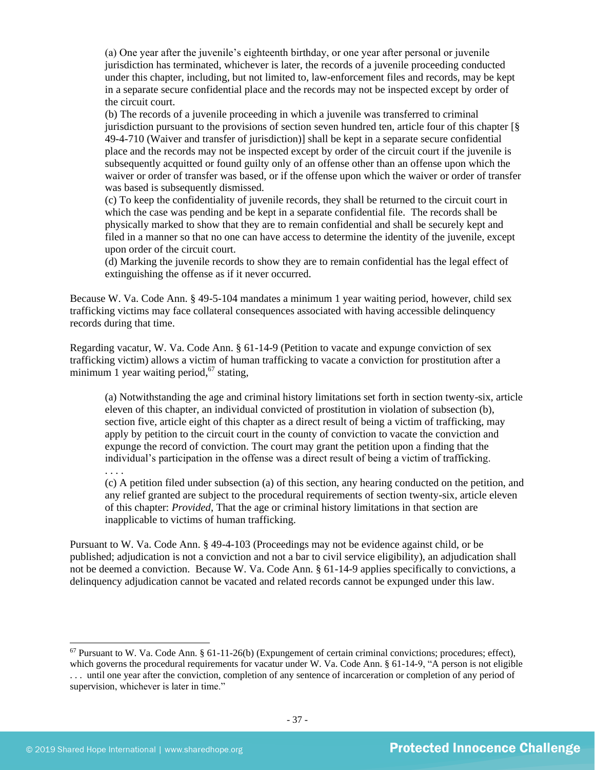(a) One year after the juvenile's eighteenth birthday, or one year after personal or juvenile jurisdiction has terminated, whichever is later, the records of a juvenile proceeding conducted under this chapter, including, but not limited to, law-enforcement files and records, may be kept in a separate secure confidential place and the records may not be inspected except by order of the circuit court.

(b) The records of a juvenile proceeding in which a juvenile was transferred to criminal jurisdiction pursuant to the provisions of section seven hundred ten, article four of this chapter [§ 49-4-710 (Waiver and transfer of jurisdiction)] shall be kept in a separate secure confidential place and the records may not be inspected except by order of the circuit court if the juvenile is subsequently acquitted or found guilty only of an offense other than an offense upon which the waiver or order of transfer was based, or if the offense upon which the waiver or order of transfer was based is subsequently dismissed.

(c) To keep the confidentiality of juvenile records, they shall be returned to the circuit court in which the case was pending and be kept in a separate confidential file. The records shall be physically marked to show that they are to remain confidential and shall be securely kept and filed in a manner so that no one can have access to determine the identity of the juvenile, except upon order of the circuit court.

(d) Marking the juvenile records to show they are to remain confidential has the legal effect of extinguishing the offense as if it never occurred.

Because W. Va. Code Ann. § 49-5-104 mandates a minimum 1 year waiting period, however, child sex trafficking victims may face collateral consequences associated with having accessible delinquency records during that time.

Regarding vacatur, W. Va. Code Ann. § 61-14-9 (Petition to vacate and expunge conviction of sex trafficking victim) allows a victim of human trafficking to vacate a conviction for prostitution after a minimum 1 year waiting period,<sup>67</sup> stating,

(a) Notwithstanding the age and criminal history limitations set forth in section twenty-six, article eleven of this chapter, an individual convicted of prostitution in violation of subsection (b), section five, article eight of this chapter as a direct result of being a victim of trafficking, may apply by petition to the circuit court in the county of conviction to vacate the conviction and expunge the record of conviction. The court may grant the petition upon a finding that the individual's participation in the offense was a direct result of being a victim of trafficking.

. . . .

(c) A petition filed under subsection (a) of this section, any hearing conducted on the petition, and any relief granted are subject to the procedural requirements of section twenty-six, article eleven of this chapter: *Provided*, That the age or criminal history limitations in that section are inapplicable to victims of human trafficking.

Pursuant to W. Va. Code Ann. § 49-4-103 (Proceedings may not be evidence against child, or be published; adjudication is not a conviction and not a bar to civil service eligibility), an adjudication shall not be deemed a conviction. Because W. Va. Code Ann. § 61-14-9 applies specifically to convictions, a delinquency adjudication cannot be vacated and related records cannot be expunged under this law.

 $67$  Pursuant to W. Va. Code Ann. § 61-11-26(b) (Expungement of certain criminal convictions; procedures; effect), which governs the procedural requirements for vacatur under W. Va. Code Ann. § 61-14-9, "A person is not eligible . . . until one year after the conviction, completion of any sentence of incarceration or completion of any period of supervision, whichever is later in time."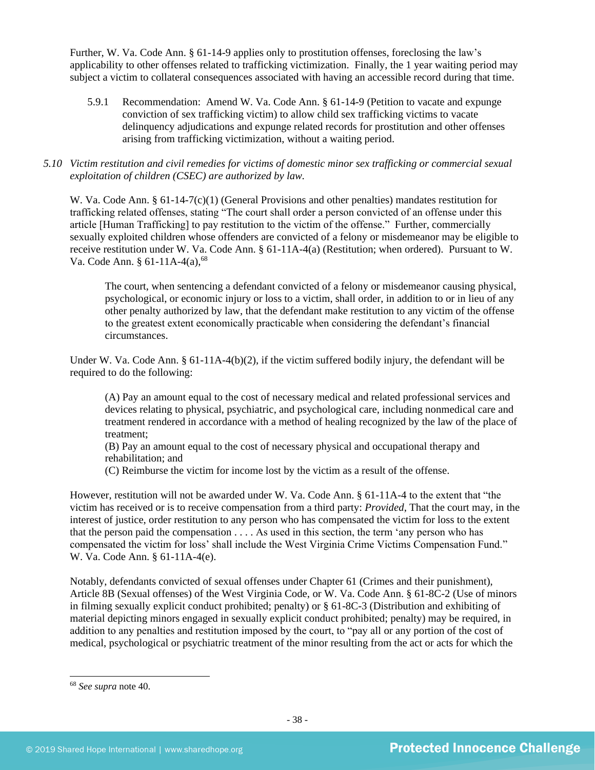Further, W. Va. Code Ann. § 61-14-9 applies only to prostitution offenses, foreclosing the law's applicability to other offenses related to trafficking victimization. Finally, the 1 year waiting period may subject a victim to collateral consequences associated with having an accessible record during that time.

5.9.1 Recommendation: Amend W. Va. Code Ann. § 61-14-9 (Petition to vacate and expunge conviction of sex trafficking victim) to allow child sex trafficking victims to vacate delinquency adjudications and expunge related records for prostitution and other offenses arising from trafficking victimization, without a waiting period.

## *5.10 Victim restitution and civil remedies for victims of domestic minor sex trafficking or commercial sexual exploitation of children (CSEC) are authorized by law.*

W. Va. Code Ann. § 61-14-7(c)(1) (General Provisions and other penalties) mandates restitution for trafficking related offenses, stating "The court shall order a person convicted of an offense under this article [Human Trafficking] to pay restitution to the victim of the offense." Further, commercially sexually exploited children whose offenders are convicted of a felony or misdemeanor may be eligible to receive restitution under W. Va. Code Ann. § 61-11A-4(a) (Restitution; when ordered). Pursuant to W. Va. Code Ann. § 61-11A-4(a),<sup>68</sup>

The court, when sentencing a defendant convicted of a felony or misdemeanor causing physical, psychological, or economic injury or loss to a victim, shall order, in addition to or in lieu of any other penalty authorized by law, that the defendant make restitution to any victim of the offense to the greatest extent economically practicable when considering the defendant's financial circumstances.

Under W. Va. Code Ann. § 61-11A-4(b)(2), if the victim suffered bodily injury, the defendant will be required to do the following:

(A) Pay an amount equal to the cost of necessary medical and related professional services and devices relating to physical, psychiatric, and psychological care, including nonmedical care and treatment rendered in accordance with a method of healing recognized by the law of the place of treatment;

(B) Pay an amount equal to the cost of necessary physical and occupational therapy and rehabilitation; and

(C) Reimburse the victim for income lost by the victim as a result of the offense.

However, restitution will not be awarded under W. Va. Code Ann. § 61-11A-4 to the extent that "the victim has received or is to receive compensation from a third party: *Provided*, That the court may, in the interest of justice, order restitution to any person who has compensated the victim for loss to the extent that the person paid the compensation . . . . As used in this section, the term 'any person who has compensated the victim for loss' shall include the West Virginia Crime Victims Compensation Fund." W. Va. Code Ann. § 61-11A-4(e).

Notably, defendants convicted of sexual offenses under Chapter 61 (Crimes and their punishment), Article 8B (Sexual offenses) of the West Virginia Code, or W. Va. Code Ann. § 61-8C-2 (Use of minors in filming sexually explicit conduct prohibited; penalty) or § 61-8C-3 (Distribution and exhibiting of material depicting minors engaged in sexually explicit conduct prohibited; penalty) may be required, in addition to any penalties and restitution imposed by the court, to "pay all or any portion of the cost of medical, psychological or psychiatric treatment of the minor resulting from the act or acts for which the

<sup>68</sup> *See supra* note [40.](#page-19-0)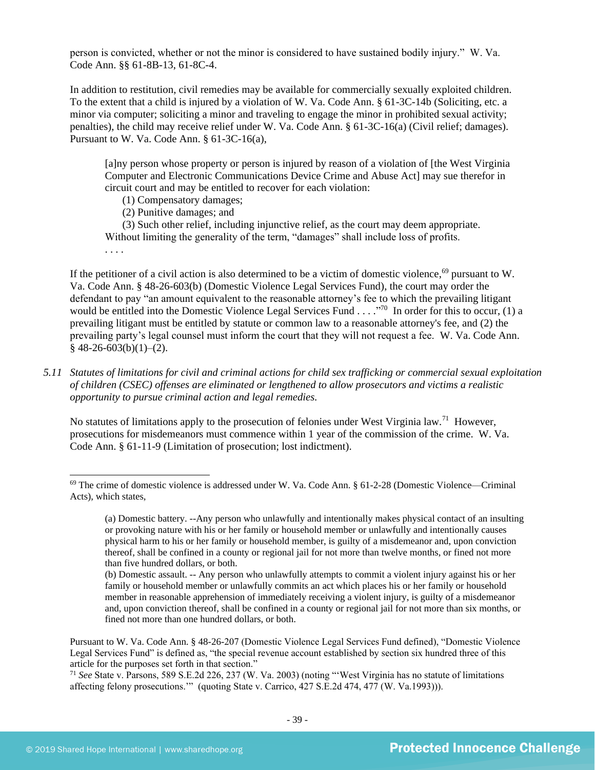person is convicted, whether or not the minor is considered to have sustained bodily injury." W. Va. Code Ann. §§ 61-8B-13, 61-8C-4.

In addition to restitution, civil remedies may be available for commercially sexually exploited children. To the extent that a child is injured by a violation of W. Va. Code Ann. § 61-3C-14b (Soliciting, etc. a minor via computer; soliciting a minor and traveling to engage the minor in prohibited sexual activity; penalties), the child may receive relief under W. Va. Code Ann. § 61-3C-16(a) (Civil relief; damages). Pursuant to W. Va. Code Ann. § 61-3C-16(a),

[a]ny person whose property or person is injured by reason of a violation of [the West Virginia Computer and Electronic Communications Device Crime and Abuse Act] may sue therefor in circuit court and may be entitled to recover for each violation:

- (1) Compensatory damages;
- (2) Punitive damages; and

(3) Such other relief, including injunctive relief, as the court may deem appropriate. Without limiting the generality of the term, "damages" shall include loss of profits.

. . . .

If the petitioner of a civil action is also determined to be a victim of domestic violence,  $69$  pursuant to W. Va. Code Ann. § 48-26-603(b) (Domestic Violence Legal Services Fund), the court may order the defendant to pay "an amount equivalent to the reasonable attorney's fee to which the prevailing litigant would be entitled into the Domestic Violence Legal Services Fund . . . . "<sup>70</sup> In order for this to occur, (1) a prevailing litigant must be entitled by statute or common law to a reasonable attorney's fee, and (2) the prevailing party's legal counsel must inform the court that they will not request a fee. W. Va. Code Ann.  $§$  48-26-603(b)(1)–(2).

*5.11 Statutes of limitations for civil and criminal actions for child sex trafficking or commercial sexual exploitation of children (CSEC) offenses are eliminated or lengthened to allow prosecutors and victims a realistic opportunity to pursue criminal action and legal remedies.*

No statutes of limitations apply to the prosecution of felonies under West Virginia law.<sup>71</sup> However, prosecutions for misdemeanors must commence within 1 year of the commission of the crime. W. Va. Code Ann. § 61-11-9 (Limitation of prosecution; lost indictment).

 $69$  The crime of domestic violence is addressed under W. Va. Code Ann. § 61-2-28 (Domestic Violence—Criminal Acts), which states,

<sup>(</sup>a) Domestic battery. --Any person who unlawfully and intentionally makes physical contact of an insulting or provoking nature with his or her family or household member or unlawfully and intentionally causes physical harm to his or her family or household member, is guilty of a misdemeanor and, upon conviction thereof, shall be confined in a county or regional jail for not more than twelve months, or fined not more than five hundred dollars, or both.

<sup>(</sup>b) Domestic assault. -- Any person who unlawfully attempts to commit a violent injury against his or her family or household member or unlawfully commits an act which places his or her family or household member in reasonable apprehension of immediately receiving a violent injury, is guilty of a misdemeanor and, upon conviction thereof, shall be confined in a county or regional jail for not more than six months, or fined not more than one hundred dollars, or both.

Pursuant to W. Va. Code Ann. § 48-26-207 (Domestic Violence Legal Services Fund defined), "Domestic Violence Legal Services Fund" is defined as, "the special revenue account established by section six hundred three of this article for the purposes set forth in that section."

<sup>71</sup> *See* State v. Parsons, 589 S.E.2d 226, 237 (W. Va. 2003) (noting "'West Virginia has no statute of limitations affecting felony prosecutions.'" (quoting State v. Carrico, 427 S.E.2d 474, 477 (W. Va.1993))).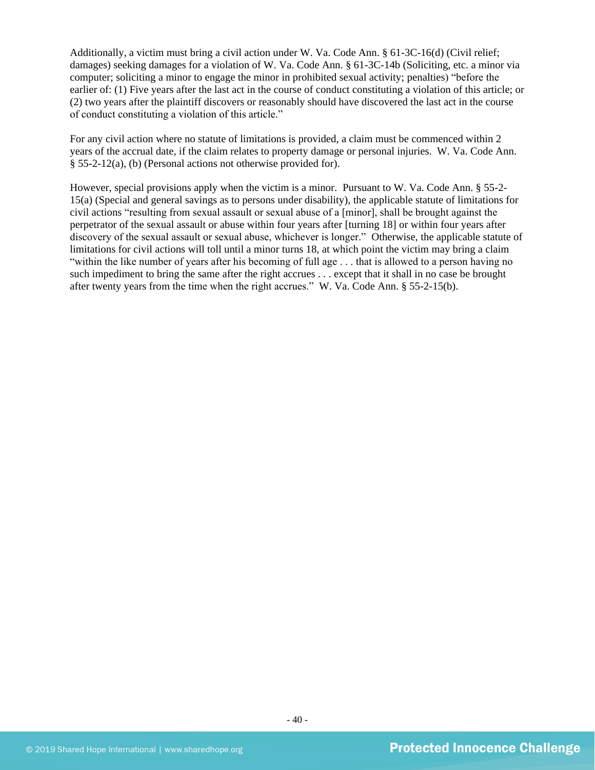Additionally, a victim must bring a civil action under W. Va. Code Ann. § 61-3C-16(d) (Civil relief; damages) seeking damages for a violation of W. Va. Code Ann. § 61-3C-14b (Soliciting, etc. a minor via computer; soliciting a minor to engage the minor in prohibited sexual activity; penalties) "before the earlier of: (1) Five years after the last act in the course of conduct constituting a violation of this article; or (2) two years after the plaintiff discovers or reasonably should have discovered the last act in the course of conduct constituting a violation of this article."

For any civil action where no statute of limitations is provided, a claim must be commenced within 2 years of the accrual date, if the claim relates to property damage or personal injuries. W. Va. Code Ann. § 55-2-12(a), (b) (Personal actions not otherwise provided for).

However, special provisions apply when the victim is a minor. Pursuant to W. Va. Code Ann. § 55-2- 15(a) (Special and general savings as to persons under disability), the applicable statute of limitations for civil actions "resulting from sexual assault or sexual abuse of a [minor], shall be brought against the perpetrator of the sexual assault or abuse within four years after [turning 18] or within four years after discovery of the sexual assault or sexual abuse, whichever is longer." Otherwise, the applicable statute of limitations for civil actions will toll until a minor turns 18, at which point the victim may bring a claim "within the like number of years after his becoming of full age . . . that is allowed to a person having no such impediment to bring the same after the right accrues . . . except that it shall in no case be brought after twenty years from the time when the right accrues." W. Va. Code Ann. § 55-2-15(b).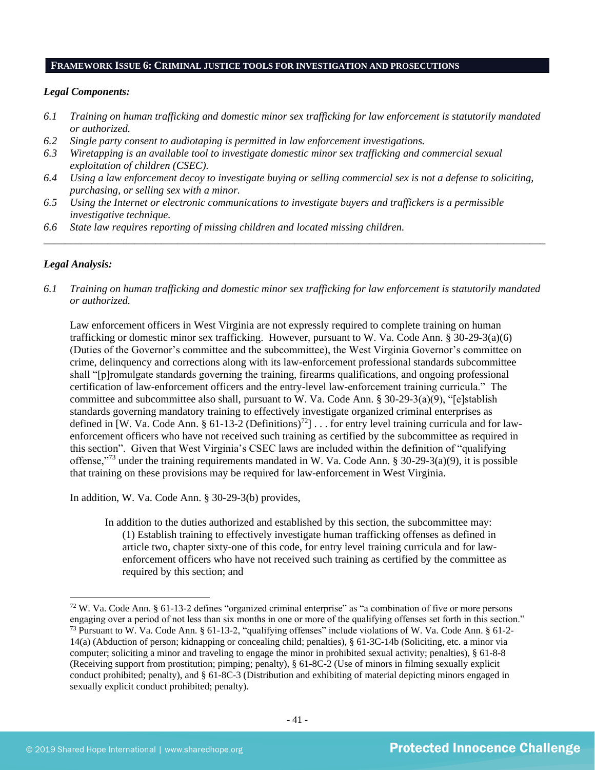#### **FRAMEWORK ISSUE 6: CRIMINAL JUSTICE TOOLS FOR INVESTIGATION AND PROSECUTIONS**

#### *Legal Components:*

- *6.1 Training on human trafficking and domestic minor sex trafficking for law enforcement is statutorily mandated or authorized.*
- *6.2 Single party consent to audiotaping is permitted in law enforcement investigations.*
- *6.3 Wiretapping is an available tool to investigate domestic minor sex trafficking and commercial sexual exploitation of children (CSEC).*
- *6.4 Using a law enforcement decoy to investigate buying or selling commercial sex is not a defense to soliciting, purchasing, or selling sex with a minor.*
- *6.5 Using the Internet or electronic communications to investigate buyers and traffickers is a permissible investigative technique.*
- *6.6 State law requires reporting of missing children and located missing children.*

#### *Legal Analysis:*

*6.1 Training on human trafficking and domestic minor sex trafficking for law enforcement is statutorily mandated or authorized.*

*\_\_\_\_\_\_\_\_\_\_\_\_\_\_\_\_\_\_\_\_\_\_\_\_\_\_\_\_\_\_\_\_\_\_\_\_\_\_\_\_\_\_\_\_\_\_\_\_\_\_\_\_\_\_\_\_\_\_\_\_\_\_\_\_\_\_\_\_\_\_\_\_\_\_\_\_\_\_\_\_\_\_\_\_\_\_\_\_\_\_\_\_\_\_*

Law enforcement officers in West Virginia are not expressly required to complete training on human trafficking or domestic minor sex trafficking. However, pursuant to W. Va. Code Ann. § 30-29-3(a)(6) (Duties of the Governor's committee and the subcommittee), the West Virginia Governor's committee on crime, delinquency and corrections along with its law-enforcement professional standards subcommittee shall "[p]romulgate standards governing the training, firearms qualifications, and ongoing professional certification of law-enforcement officers and the entry-level law-enforcement training curricula." The committee and subcommittee also shall, pursuant to W. Va. Code Ann. § 30-29-3(a)(9), "[e]stablish standards governing mandatory training to effectively investigate organized criminal enterprises as defined in [W. Va. Code Ann.  $\S 61-13-2$  (Definitions)<sup>72</sup>] . . . for entry level training curricula and for lawenforcement officers who have not received such training as certified by the subcommittee as required in this section". Given that West Virginia's CSEC laws are included within the definition of "qualifying offense,"<sup>73</sup> under the training requirements mandated in W. Va. Code Ann. § 30-29-3(a)(9), it is possible that training on these provisions may be required for law-enforcement in West Virginia.

In addition, W. Va. Code Ann. § 30-29-3(b) provides,

In addition to the duties authorized and established by this section, the subcommittee may: (1) Establish training to effectively investigate human trafficking offenses as defined in article two, chapter sixty-one of this code, for entry level training curricula and for lawenforcement officers who have not received such training as certified by the committee as required by this section; and

 $72$  W. Va. Code Ann. § 61-13-2 defines "organized criminal enterprise" as "a combination of five or more persons engaging over a period of not less than six months in one or more of the qualifying offenses set forth in this section." <sup>73</sup> Pursuant to W. Va. Code Ann. § 61-13-2, "qualifying offenses" include violations of W. Va. Code Ann. § 61-2- 14(a) (Abduction of person; kidnapping or concealing child; penalties), § 61-3C-14b (Soliciting, etc. a minor via computer; soliciting a minor and traveling to engage the minor in prohibited sexual activity; penalties), § 61-8-8 (Receiving support from prostitution; pimping; penalty), § 61-8C-2 (Use of minors in filming sexually explicit conduct prohibited; penalty), and § 61-8C-3 (Distribution and exhibiting of material depicting minors engaged in sexually explicit conduct prohibited; penalty).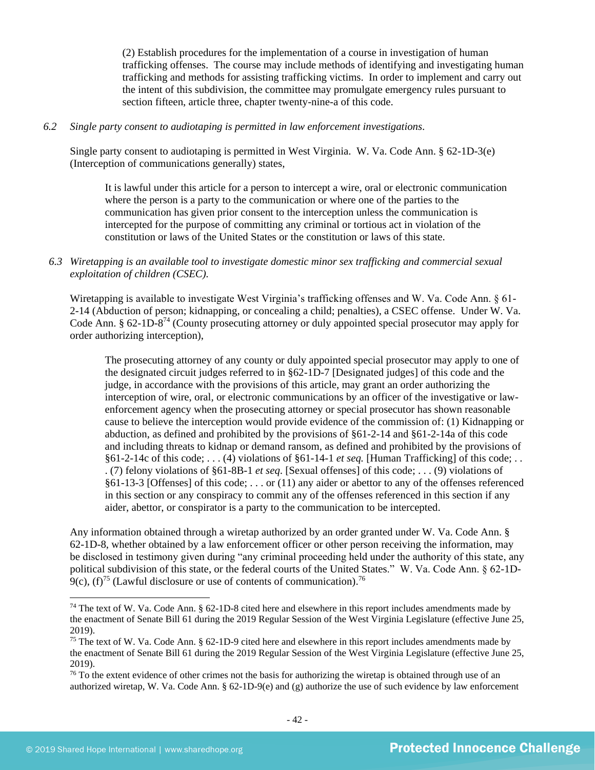(2) Establish procedures for the implementation of a course in investigation of human trafficking offenses. The course may include methods of identifying and investigating human trafficking and methods for assisting trafficking victims. In order to implement and carry out the intent of this subdivision, the committee may promulgate emergency rules pursuant to section fifteen, article three, chapter twenty-nine-a of this code.

#### *6.2 Single party consent to audiotaping is permitted in law enforcement investigations.*

Single party consent to audiotaping is permitted in West Virginia. W. Va. Code Ann. § 62-1D-3(e) (Interception of communications generally) states,

It is lawful under this article for a person to intercept a wire, oral or electronic communication where the person is a party to the communication or where one of the parties to the communication has given prior consent to the interception unless the communication is intercepted for the purpose of committing any criminal or tortious act in violation of the constitution or laws of the United States or the constitution or laws of this state.

## *6.3 Wiretapping is an available tool to investigate domestic minor sex trafficking and commercial sexual exploitation of children (CSEC).*

Wiretapping is available to investigate West Virginia's trafficking offenses and W. Va. Code Ann. § 61- 2-14 (Abduction of person; kidnapping, or concealing a child; penalties), a CSEC offense. Under W. Va. Code Ann. § 62-1D-8<sup>74</sup> (County prosecuting attorney or duly appointed special prosecutor may apply for order authorizing interception),

The prosecuting attorney of any county or duly appointed special prosecutor may apply to one of the designated circuit judges referred to in §62-1D-7 [Designated judges] of this code and the judge, in accordance with the provisions of this article, may grant an order authorizing the interception of wire, oral, or electronic communications by an officer of the investigative or lawenforcement agency when the prosecuting attorney or special prosecutor has shown reasonable cause to believe the interception would provide evidence of the commission of: (1) Kidnapping or abduction, as defined and prohibited by the provisions of §61-2-14 and §61-2-14a of this code and including threats to kidnap or demand ransom, as defined and prohibited by the provisions of §61-2-14c of this code; . . . (4) violations of §61-14-1 *et seq.* [Human Trafficking] of this code; . . . (7) felony violations of §61-8B-1 *et seq*. [Sexual offenses] of this code; . . . (9) violations of §61-13-3 [Offenses] of this code; . . . or (11) any aider or abettor to any of the offenses referenced in this section or any conspiracy to commit any of the offenses referenced in this section if any aider, abettor, or conspirator is a party to the communication to be intercepted.

Any information obtained through a wiretap authorized by an order granted under W. Va. Code Ann. § 62-1D-8, whether obtained by a law enforcement officer or other person receiving the information, may be disclosed in testimony given during "any criminal proceeding held under the authority of this state, any political subdivision of this state, or the federal courts of the United States." W. Va. Code Ann. § 62-1D- $9(c)$ , (f)<sup>75</sup> (Lawful disclosure or use of contents of communication).<sup>76</sup>

<sup>74</sup> The text of W. Va. Code Ann. § 62-1D-8 cited here and elsewhere in this report includes amendments made by the enactment of Senate Bill 61 during the 2019 Regular Session of the West Virginia Legislature (effective June 25, 2019).

<sup>75</sup> The text of W. Va. Code Ann. § 62-1D-9 cited here and elsewhere in this report includes amendments made by the enactment of Senate Bill 61 during the 2019 Regular Session of the West Virginia Legislature (effective June 25, 2019).

 $76$  To the extent evidence of other crimes not the basis for authorizing the wiretap is obtained through use of an authorized wiretap, W. Va. Code Ann. § 62-1D-9(e) and (g) authorize the use of such evidence by law enforcement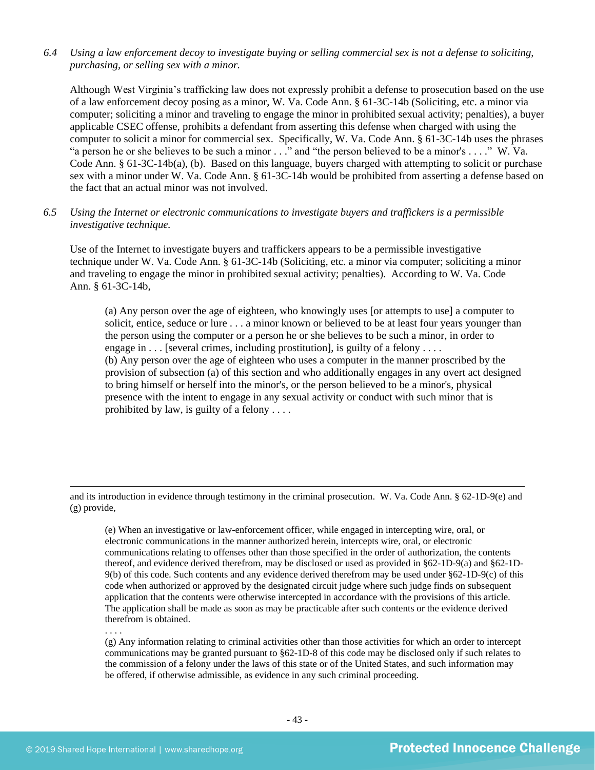## *6.4 Using a law enforcement decoy to investigate buying or selling commercial sex is not a defense to soliciting, purchasing, or selling sex with a minor.*

Although West Virginia's trafficking law does not expressly prohibit a defense to prosecution based on the use of a law enforcement decoy posing as a minor, W. Va. Code Ann. § 61-3C-14b (Soliciting, etc. a minor via computer; soliciting a minor and traveling to engage the minor in prohibited sexual activity; penalties), a buyer applicable CSEC offense, prohibits a defendant from asserting this defense when charged with using the computer to solicit a minor for commercial sex. Specifically, W. Va. Code Ann. § 61-3C-14b uses the phrases "a person he or she believes to be such a minor . . ." and "the person believed to be a minor's . . . ." W. Va. Code Ann. § 61-3C-14b(a), (b). Based on this language, buyers charged with attempting to solicit or purchase sex with a minor under W. Va. Code Ann. § 61-3C-14b would be prohibited from asserting a defense based on the fact that an actual minor was not involved.

#### *6.5 Using the Internet or electronic communications to investigate buyers and traffickers is a permissible investigative technique.*

Use of the Internet to investigate buyers and traffickers appears to be a permissible investigative technique under W. Va. Code Ann. § 61-3C-14b (Soliciting, etc. a minor via computer; soliciting a minor and traveling to engage the minor in prohibited sexual activity; penalties). According to W. Va. Code Ann. § 61-3C-14b,

(a) Any person over the age of eighteen, who knowingly uses [or attempts to use] a computer to solicit, entice, seduce or lure . . . a minor known or believed to be at least four years younger than the person using the computer or a person he or she believes to be such a minor, in order to engage in  $\dots$  [several crimes, including prostitution], is guilty of a felony  $\dots$ (b) Any person over the age of eighteen who uses a computer in the manner proscribed by the provision of subsection (a) of this section and who additionally engages in any overt act designed to bring himself or herself into the minor's, or the person believed to be a minor's, physical presence with the intent to engage in any sexual activity or conduct with such minor that is prohibited by law, is guilty of a felony . . . .

and its introduction in evidence through testimony in the criminal prosecution. W. Va. Code Ann. § 62-1D-9(e) and (g) provide,

(e) When an investigative or law-enforcement officer, while engaged in intercepting wire, oral, or electronic communications in the manner authorized herein, intercepts wire, oral, or electronic communications relating to offenses other than those specified in the order of authorization, the contents thereof, and evidence derived therefrom, may be disclosed or used as provided in §62-1D-9(a) and §62-1D-9(b) of this code. Such contents and any evidence derived therefrom may be used under §62-1D-9(c) of this code when authorized or approved by the designated circuit judge where such judge finds on subsequent application that the contents were otherwise intercepted in accordance with the provisions of this article. The application shall be made as soon as may be practicable after such contents or the evidence derived therefrom is obtained.

(g) Any information relating to criminal activities other than those activities for which an order to intercept communications may be granted pursuant to §62-1D-8 of this code may be disclosed only if such relates to the commission of a felony under the laws of this state or of the United States, and such information may be offered, if otherwise admissible, as evidence in any such criminal proceeding.

. . . .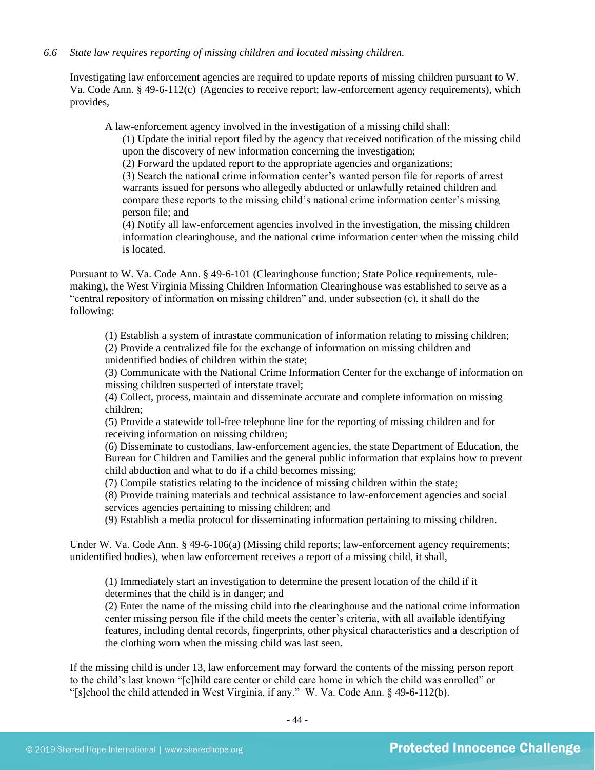#### *6.6 State law requires reporting of missing children and located missing children.*

Investigating law enforcement agencies are required to update reports of missing children pursuant to W. Va. Code Ann. § 49-6-112(c) (Agencies to receive report; law-enforcement agency requirements), which provides,

A law-enforcement agency involved in the investigation of a missing child shall:

(1) Update the initial report filed by the agency that received notification of the missing child upon the discovery of new information concerning the investigation;

(2) Forward the updated report to the appropriate agencies and organizations;

(3) Search the national crime information center's wanted person file for reports of arrest warrants issued for persons who allegedly abducted or unlawfully retained children and compare these reports to the missing child's national crime information center's missing person file; and

(4) Notify all law-enforcement agencies involved in the investigation, the missing children information clearinghouse, and the national crime information center when the missing child is located.

Pursuant to W. Va. Code Ann. § 49-6-101 (Clearinghouse function; State Police requirements, rulemaking), the West Virginia Missing Children Information Clearinghouse was established to serve as a "central repository of information on missing children" and, under subsection (c), it shall do the following:

(1) Establish a system of intrastate communication of information relating to missing children;

(2) Provide a centralized file for the exchange of information on missing children and unidentified bodies of children within the state;

(3) Communicate with the National Crime Information Center for the exchange of information on missing children suspected of interstate travel;

(4) Collect, process, maintain and disseminate accurate and complete information on missing children;

(5) Provide a statewide toll-free telephone line for the reporting of missing children and for receiving information on missing children;

(6) Disseminate to custodians, law-enforcement agencies, the state Department of Education, the Bureau for Children and Families and the general public information that explains how to prevent child abduction and what to do if a child becomes missing;

(7) Compile statistics relating to the incidence of missing children within the state;

(8) Provide training materials and technical assistance to law-enforcement agencies and social services agencies pertaining to missing children; and

(9) Establish a media protocol for disseminating information pertaining to missing children.

Under W. Va. Code Ann. § 49-6-106(a) (Missing child reports; law-enforcement agency requirements; unidentified bodies), when law enforcement receives a report of a missing child, it shall,

(1) Immediately start an investigation to determine the present location of the child if it determines that the child is in danger; and

(2) Enter the name of the missing child into the clearinghouse and the national crime information center missing person file if the child meets the center's criteria, with all available identifying features, including dental records, fingerprints, other physical characteristics and a description of the clothing worn when the missing child was last seen.

If the missing child is under 13, law enforcement may forward the contents of the missing person report to the child's last known "[c]hild care center or child care home in which the child was enrolled" or "[s]chool the child attended in West Virginia, if any." W. Va. Code Ann. § 49-6-112(b).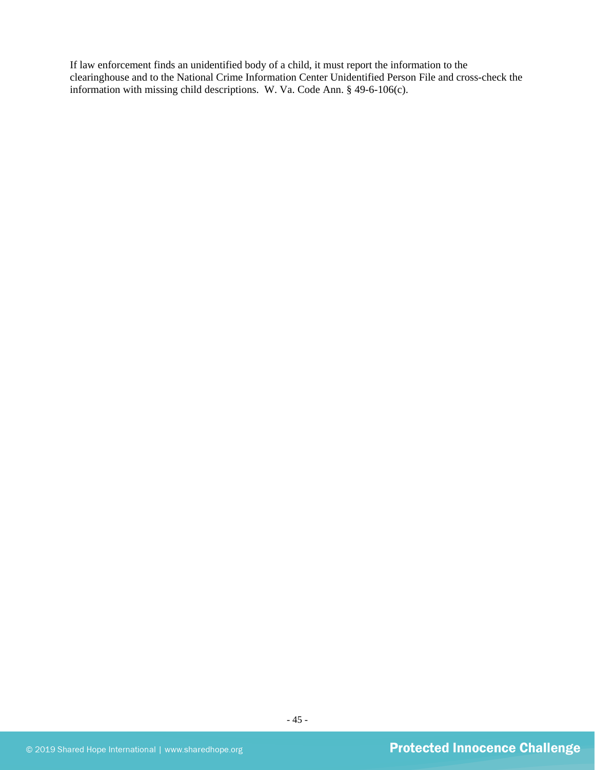If law enforcement finds an unidentified body of a child, it must report the information to the clearinghouse and to the National Crime Information Center Unidentified Person File and cross-check the information with missing child descriptions. W. Va. Code Ann. § 49-6-106(c).